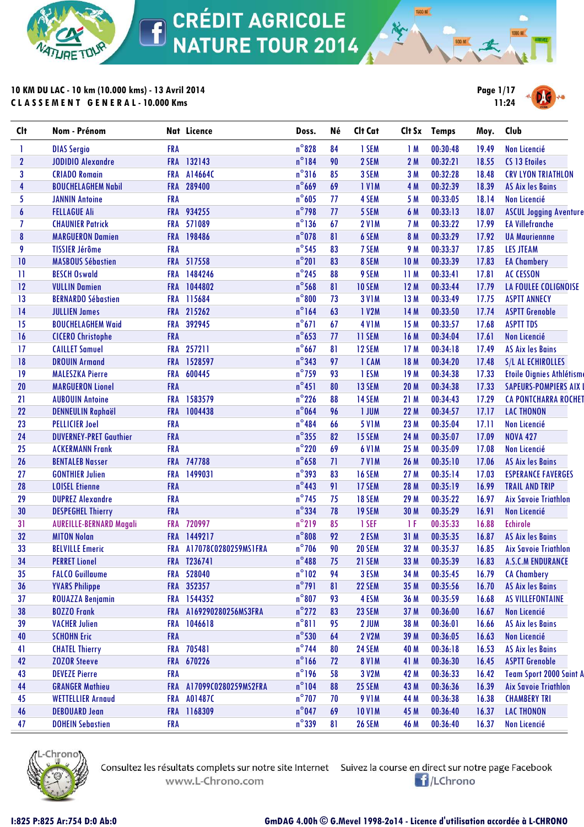

**10 KM DU LAC - 10 km (10.000 kms) - 13 Avril 2014 C L A S S E M E N T G E N E R A L - 10.000 Kms**



**1500 M** 

| <b>Clt</b>       | Nom - Prénom                   |            | Nat Licence          | Doss.           | Né | Clt Cat       | Clt Sx          | <b>Temps</b> | Moy.  | Club                           |
|------------------|--------------------------------|------------|----------------------|-----------------|----|---------------|-----------------|--------------|-------|--------------------------------|
|                  | <b>DIAS Sergio</b>             | <b>FRA</b> |                      | $n^{\circ}$ 828 | 84 | 1 SEM         | 1M              | 00:30:48     | 19.49 | Non Licencié                   |
| $\boldsymbol{2}$ | <b>JODIDIO Alexandre</b>       | <b>FRA</b> | 132143               | $n^{\circ}184$  | 90 | 2 SEM         | 2M              | 00:32:21     | 18.55 | CS 13 Etoiles                  |
| 3                | <b>CRIADO Romain</b>           | <b>FRA</b> | A14664C              | $n^{\circ}316$  | 85 | 3 SEM         | 3 M             | 00:32:28     | 18.48 | <b>CRV LYON TRIATHLON</b>      |
| 4                | <b>BOUCHELAGHEM Nabil</b>      | <b>FRA</b> | 289400               | $n^{\circ}669$  | 69 | <b>IVIM</b>   | 4 M             | 00:32:39     | 18.39 | <b>AS Aix les Bains</b>        |
| 5                | <b>JANNIN Antoine</b>          | <b>FRA</b> |                      | $n^{\circ}605$  | 77 | 4 SEM         | 5 M             | 00:33:05     | 18.14 | <b>Non Licencié</b>            |
| 6                | <b>FELLAGUE Ali</b>            | <b>FRA</b> | 934255               | $n^{\circ}$ 798 | 77 | 5 SEM         | 6 M             | 00:33:13     | 18.07 | <b>ASCUL Jogging Aventure</b>  |
| 7                | <b>CHAUNIER Patrick</b>        | <b>FRA</b> | 571089               | $n^{\circ}$ 136 | 67 | <b>2 V1M</b>  | 7 M             | 00:33:22     | 17.99 | <b>EA Villefranche</b>         |
| 8                | <b>MARGUERON Damien</b>        | <b>FRA</b> | 198486               | $n^{\circ}$ 078 | 81 | 6 SEM         | 8 M             | 00:33:29     | 17.92 | <b>UA Mauriennne</b>           |
| 9                | <b>TISSIER Jérôme</b>          | <b>FRA</b> |                      | $n^{\circ}$ 545 | 83 | 7 SEM         | 9 M             | 00:33:37     | 17.85 | <b>LES JTEAM</b>               |
| 10               | <b>MASBOUS Sébastien</b>       | <b>FRA</b> | 517558               | $n^{\circ}201$  | 83 | 8 SEM         | 10 <sub>M</sub> | 00:33:39     | 17.83 | <b>EA Chambery</b>             |
| 11               | <b>BESCH Oswald</b>            | <b>FRA</b> | 1484246              | $n^{\circ}$ 245 | 88 | 9 SEM         | 11M             | 00:33:41     | 17.81 | <b>AC CESSON</b>               |
| 12               | <b>VULLIN Damien</b>           | <b>FRA</b> | 1044802              | $n^{\circ}$ 568 | 81 | 10 SEM        | 12M             | 00:33:44     | 17.79 | LA FOULEE COLIGNOISE           |
| 13               | <b>BERNARDO Sébastien</b>      | <b>FRA</b> | 115684               | $n^{\circ}800$  | 73 | <b>3 V1M</b>  | 13 M            | 00:33:49     | 17.75 | <b>ASPTT ANNECY</b>            |
| 14               | <b>JULLIEN James</b>           | <b>FRA</b> | 215262               | $n^{\circ}164$  | 63 | 1 V2M         | 14 M            | 00:33:50     | 17.74 | <b>ASPTT Grenoble</b>          |
| 15               | <b>BOUCHELAGHEM Waid</b>       | <b>FRA</b> | 392945               | $n^{\circ}671$  | 67 | <b>4 V1M</b>  | 15 M            | 00:33:57     | 17.68 | <b>ASPTT TDS</b>               |
| 16               | <b>CICERO Christophe</b>       | <b>FRA</b> |                      | $n^{\circ}$ 653 | 77 | 11 SEM        | 16 M            | 00:34:04     | 17.61 | <b>Non Licencié</b>            |
| 17               | <b>CAILLET Samuel</b>          | <b>FRA</b> | 257211               | $n^{\circ}667$  | 81 | 12 SEM        | 17M             | 00:34:18     | 17.49 | <b>AS Aix les Bains</b>        |
| 18               | <b>DROUIN Armand</b>           | <b>FRA</b> | 1528597              | $n^{\circ}$ 343 | 97 | 1 CAM         | 18 M            | 00:34:20     | 17.48 | S/L AL ECHIROLLES              |
| 19               | <b>MALESZKA Pierre</b>         | <b>FRA</b> | 600445               | $n^{\circ}$ 759 | 93 | 1 ESM         | 19 M            | 00:34:38     | 17.33 | Etoile Oignies Athlétisme      |
| 20               | <b>MARGUERON Lionel</b>        | <b>FRA</b> |                      | $n^{\circ}451$  | 80 | 13 SEM        | 20 M            | 00:34:38     | 17.33 | <b>SAPEURS-POMPIERS AIX</b>    |
| 21               | <b>AUBOUIN Antoine</b>         | <b>FRA</b> | 1583579              | $n^{\circ}$ 226 | 88 | 14 SEM        | 21 M            | 00:34:43     | 17.29 | <b>CA PONTCHARRA ROCHET</b>    |
| 22               | <b>DENNEULIN Raphaël</b>       | <b>FRA</b> | 1004438              | $n^{\circ}$ 064 | 96 | 1 JUM         | 22 M            | 00:34:57     | 17.17 | <b>LAC THONON</b>              |
| 23               | <b>PELLICIER Joel</b>          | <b>FRA</b> |                      | $n^{\circ}$ 484 | 66 | 5 V1M         | 23 M            | 00:35:04     | 17.11 | Non Licencié                   |
| 24               | <b>DUVERNEY-PRET Gauthier</b>  | <b>FRA</b> |                      | $n^{\circ}$ 355 | 82 | 15 SEM        | 24 M            | 00:35:07     | 17.09 | <b>NOVA 427</b>                |
| 25               | <b>ACKERMANN Frank</b>         | <b>FRA</b> |                      | $n^{\circ}$ 220 | 69 | <b>6 V1M</b>  | 25 M            | 00:35:09     | 17.08 | Non Licencié                   |
| 26               | <b>BENTALEB Nasser</b>         | <b>FRA</b> | 747788               | $n^{\circ}$ 658 | 71 | <b>7 V1M</b>  | 26 M            | 00:35:10     | 17.06 | <b>AS Aix les Bains</b>        |
| 27               | <b>GONTHIER Julien</b>         | <b>FRA</b> | 1499031              | $n^{\circ}$ 393 | 83 | <b>16 SEM</b> | 27 M            | 00:35:14     | 17.03 | <b>ESPERANCE FAVERGES</b>      |
| 28               | <b>LOISEL Etienne</b>          | <b>FRA</b> |                      | $n^{\circ}$ 443 | 91 | 17 SEM        | 28 M            | 00:35:19     | 16.99 | <b>TRAIL AND TRIP</b>          |
| 29               | <b>DUPREZ Alexandre</b>        | <b>FRA</b> |                      | $n^{\circ}$ 745 | 75 | 18 SEM        | 29 M            | 00:35:22     | 16.97 | <b>Aix Savoie Triathlon</b>    |
| 30               | <b>DESPEGHEL Thierry</b>       | <b>FRA</b> |                      | $n^{\circ}$ 334 | 78 | 19 SEM        | 30 M            | 00:35:29     | 16.91 | Non Licencié                   |
| 31               | <b>AUREILLE-BERNARD Magali</b> | <b>FRA</b> | 720997               | $n^{\circ}$ 219 | 85 | 1 SEF         | 1F              | 00:35:33     | 16.88 | <b>Echirole</b>                |
| 32               | <b>MITON Nolan</b>             | <b>FRA</b> | 1449217              | $n^{\circ}$ 808 | 92 | 2 ESM         | 31 M            | 00:35:35     | 16.87 | <b>AS Aix les Bains</b>        |
| 33               | <b>BELVILLE Emeric</b>         | <b>FRA</b> | A17078C0280259MS1FRA | $n^{\circ}$ 706 | 90 | <b>20 SEM</b> | 32 M            | 00:35:37     | 16.85 | <b>Aix Savoie Triathlon</b>    |
| 34               | <b>PERRET Lionel</b>           |            | FRA T236741          | $n^{\circ}488$  | 75 | 21 SEM        | 33 M            | 00:35:39     | 16.83 | <b>A.S.C.M ENDURANCE</b>       |
| 35               | <b>FALCO Guillaume</b>         |            | FRA 528040           | $n^{\circ}102$  | 94 | 3 ESM         | 34 M            | 00:35:45     | 16.79 | <b>CA Chambery</b>             |
| 36               | <b>YVARS Philippe</b>          |            | FRA 352357           | $n^{\circ}$ 791 | 81 | 22 SEM        | 35 M            | 00:35:56     | 16.70 | <b>AS Aix les Bains</b>        |
| 37               | <b>ROUAZZA Benjamin</b>        | <b>FRA</b> | 1544352              | $n^{\circ}807$  | 93 | 4 ESM         | 36 M            | 00:35:59     | 16.68 | AS VILLEFONTAINE               |
| 38               | <b>BOZZO Frank</b>             | <b>FRA</b> | A169290280256MS3FRA  | $n^{\circ}$ 272 | 83 | 23 SEM        | 37 M            | 00:36:00     | 16.67 | Non Licencié                   |
| 39               | <b>VACHER Julien</b>           | <b>FRA</b> | 1046618              | $n^{\circ}811$  | 95 | 2 JUM         | 38 M            | 00:36:01     | 16.66 | <b>AS Aix les Bains</b>        |
| 40               | <b>SCHOHN Eric</b>             | <b>FRA</b> |                      | $n^{\circ}$ 530 | 64 | 2 V2M         | 39 M            | 00:36:05     | 16.63 | Non Licencié                   |
| 41               | <b>CHATEL Thierry</b>          | <b>FRA</b> | 705481               | $n^{\circ}$ 744 | 80 | 24 SEM        | 40 M            | 00:36:18     | 16.53 | <b>AS Aix les Bains</b>        |
| 42               | <b>ZOZOR Steeve</b>            | <b>FRA</b> | 670226               | $n^{\circ}166$  | 72 | <b>8 V1M</b>  | 41 M            | 00:36:30     | 16.45 | <b>ASPTT Grenoble</b>          |
| 43               | <b>DEVEZE Pierre</b>           | <b>FRA</b> |                      | $n^{\circ}$ 196 | 58 | 3 V2M         | 42 M            | 00:36:33     | 16.42 | <b>Team Sport 2000 Saint A</b> |
| 44               | <b>GRANGER Mathieu</b>         | <b>FRA</b> | A17099C0280259MS2FRA | $n^{\circ}104$  | 88 | 25 SEM        | 43 M            | 00:36:36     | 16.39 | <b>Aix Savoie Triathlon</b>    |
| 45               | <b>WETTELLIER Arnaud</b>       | FRA        | A01487C              | $n^{\circ}$ 707 | 70 | <b>9 V1M</b>  | 44 M            | 00:36:38     | 16.38 | <b>CHAMBERY TRI</b>            |
| 46               | <b>DEBOUARD Jean</b>           | <b>FRA</b> | 1168309              | $n^{\circ}$ 047 | 69 | <b>10 V1M</b> | 45 M            | 00:36:40     | 16.37 | <b>LAC THONON</b>              |
| 47               | <b>DOHEIN Sebastien</b>        | <b>FRA</b> |                      | $n^{\circ}$ 339 | 81 | <b>26 SEM</b> | 46 M            | 00:36:40     | 16.37 | <b>Non Licencié</b>            |
|                  |                                |            |                      |                 |    |               |                 |              |       |                                |



Consultez les résultats complets sur notre site Internet Suivez la course en direct sur notre page Facebook www.L-Chrono.com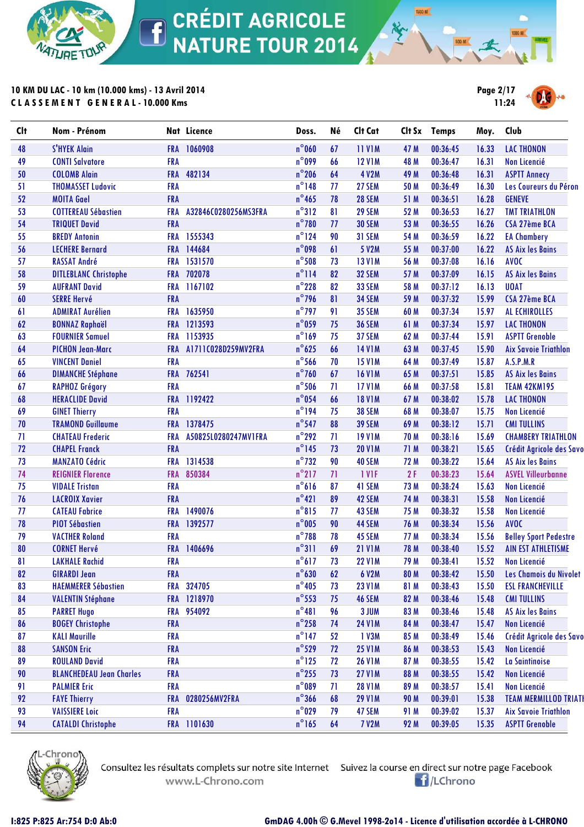

**10 KM DU LAC - 10 km (10.000 kms) - 13 Avril 2014 C L A S S E M E N T G E N E R A L - 10.000 Kms**



**1500 M** 

| <b>Clt</b> | Nom - Prénom                    |            | Nat Licence          | Doss.           | Né | Clt Cat       | Clt Sx | <b>Temps</b> | Moy.  | Club                         |
|------------|---------------------------------|------------|----------------------|-----------------|----|---------------|--------|--------------|-------|------------------------------|
| 48         | <b>S'HYEK Alain</b>             | <b>FRA</b> | 1060908              | $n^{\circ}$ 060 | 67 | <b>11 V1M</b> | 47 M   | 00:36:45     | 16.33 | <b>LAC THONON</b>            |
| 49         | <b>CONTI Salvatore</b>          | <b>FRA</b> |                      | $n^{\circ}$ 099 | 66 | <b>12 V1M</b> | 48 M   | 00:36:47     | 16.31 | Non Licencié                 |
| 50         | <b>COLOMB Alain</b>             | <b>FRA</b> | 482134               | $n^{\circ}$ 206 | 64 | 4 V2M         | 49 M   | 00:36:48     | 16.31 | <b>ASPTT Annecy</b>          |
| 51         | <b>THOMASSET Ludovic</b>        | <b>FRA</b> |                      | $n^{\circ}$ 148 | 77 | 27 SEM        | 50 M   | 00:36:49     | 16.30 | Les Coureurs du Péron        |
| 52         | <b>MOITA Gael</b>               | FRA        |                      | $n^{\circ}$ 465 | 78 | 28 SEM        | 51 M   | 00:36:51     | 16.28 | <b>GENEVE</b>                |
| 53         | <b>COTTEREAU Sébastien</b>      | <b>FRA</b> | A32846C0280256MS3FRA | $n^{\circ}312$  | 81 | 29 SEM        | 52 M   | 00:36:53     | 16.27 | <b>TMT TRIATHLON</b>         |
| 54         | <b>TRIQUET David</b>            | FRA        |                      | $n^{\circ}$ 780 | 77 | <b>30 SEM</b> | 53 M   | 00:36:55     | 16.26 | CSA 27ème BCA                |
| 55         | <b>BREDY Antonin</b>            |            | FRA 1555343          | $n^{\circ}$ 124 | 90 | 31 SEM        | 54 M   | 00:36:59     | 16.22 | <b>EA Chambery</b>           |
| 56         | <b>LECHERE Bernard</b>          | <b>FRA</b> | 144684               | $n^{\circ}$ 098 | 61 | 5 V2M         | 55 M   | 00:37:00     | 16.22 | <b>AS Aix les Bains</b>      |
| 57         | <b>RASSAT André</b>             | <b>FRA</b> | 1531570              | $n^{\circ}$ 508 | 73 | <b>13 V1M</b> | 56 M   | 00:37:08     | 16.16 | <b>AVOC</b>                  |
| 58         | <b>DITLEBLANC Christophe</b>    |            | FRA 702078           | $n^{\circ}$ 114 | 82 | 32 SEM        | 57 M   | 00:37:09     | 16.15 | <b>AS Aix les Bains</b>      |
| 59         | <b>AUFRANT David</b>            |            | FRA 1167102          | $n^{\circ}$ 228 | 82 | 33 SEM        | 58 M   | 00:37:12     | 16.13 | <b>UOAT</b>                  |
| 60         | <b>SERRE Hervé</b>              | FRA        |                      | $n^{\circ}$ 796 | 81 | 34 SEM        | 59 M   | 00:37:32     | 15.99 | CSA 27ème BCA                |
| 61         | <b>ADMIRAT Aurélien</b>         | <b>FRA</b> | 1635950              | $n^{\circ}$ 797 | 91 | <b>35 SEM</b> | 60 M   | 00:37:34     | 15.97 | AL ECHIROLLES                |
| 62         | <b>BONNAZ Raphaël</b>           |            | FRA 1213593          | $n^{\circ}$ 059 | 75 | <b>36 SEM</b> | 61 M   | 00:37:34     | 15.97 | <b>LAC THONON</b>            |
| 63         | <b>FOURNIER Samuel</b>          |            | FRA 1153935          | $n^{\circ}169$  | 75 | 37 SEM        | 62 M   | 00:37:44     | 15.91 | <b>ASPTT Grenoble</b>        |
| 64         | <b>PICHON Jean-Marc</b>         | <b>FRA</b> | A1711C028D259MV2FRA  | $n^{\circ}625$  | 66 | <b>14 V1M</b> | 63 M   | 00:37:45     | 15.90 | <b>Aix Savoie Triathlon</b>  |
| 65         | <b>VINCENT Daniel</b>           | <b>FRA</b> |                      | $n^{\circ}$ 566 | 70 | <b>15 V1M</b> | 64 M   | 00:37:49     | 15.87 | A.S.P.M.R                    |
| 66         | <b>DIMANCHE Stéphane</b>        |            | FRA 762541           | $n^{\circ}$ 760 | 67 | <b>16 V1M</b> | 65 M   | 00:37:51     | 15.85 | <b>AS Aix les Bains</b>      |
| 67         | <b>RAPHOZ Grégory</b>           | <b>FRA</b> |                      | $n^{\circ}$ 506 | 71 | <b>17 V1M</b> | 66 M   | 00:37:58     | 15.81 | <b>TEAM 42KM195</b>          |
| 68         | <b>HERACLIDE David</b>          | <b>FRA</b> | 1192422              | $n^{\circ}$ 054 | 66 | <b>18 V1M</b> | 67 M   | 00:38:02     | 15.78 | <b>LAC THONON</b>            |
| 69         | <b>GINET Thierry</b>            | <b>FRA</b> |                      | $n^{\circ}$ 194 | 75 | <b>38 SEM</b> | 68 M   | 00:38:07     | 15.75 | Non Licencié                 |
| 70         | <b>TRAMOND Guillaume</b>        |            | FRA 1378475          | $n^{\circ}$ 547 | 88 | <b>39 SEM</b> | 69 M   | 00:38:12     | 15.71 | <b>CMI TULLINS</b>           |
| 71         | <b>CHATEAU Frederic</b>         | <b>FRA</b> | A50825L0280247MV1FRA | $n^{\circ}$ 292 | 71 | <b>19 V1M</b> | 70 M   | 00:38:16     | 15.69 | <b>CHAMBERY TRIATHLON</b>    |
| 72         | <b>CHAPEL Franck</b>            | FRA        |                      | $n^{\circ}$ 145 | 73 | <b>20 V1M</b> | 71 M   | 00:38:21     | 15.65 | Crédit Agricole des Savo     |
| 73         | <b>MANZATO Cédric</b>           | <b>FRA</b> | 1314538              | $n^{\circ}$ 732 | 90 | 40 SEM        | 72 M   | 00:38:22     | 15.64 | <b>AS Aix les Bains</b>      |
| 74         | <b>REIGNIER Florence</b>        | <b>FRA</b> | 850384               | $n^{\circ}$ 217 | 71 | 1 VIF         | 2F     | 00:38:23     | 15.64 | <b>ASVEL Villeurbanne</b>    |
| 75         | <b>VIDALE Tristan</b>           | <b>FRA</b> |                      | $n^{\circ}616$  | 87 | 41 SEM        | 73 M   | 00:38:24     | 15.63 | Non Licencié                 |
| 76         | <b>LACROIX Xavier</b>           | <b>FRA</b> |                      | $n^{\circ}421$  | 89 | 42 SEM        | 74 M   | 00:38:31     | 15.58 | Non Licencié                 |
| 77         | <b>CATEAU Fabrice</b>           | <b>FRA</b> | 1490076              | $n^{\circ}815$  | 77 | 43 SEM        | 75 M   | 00:38:32     | 15.58 | Non Licencié                 |
| 78         | <b>PIOT Sébastien</b>           | <b>FRA</b> | 1392577              | $n^{\circ}$ 005 | 90 | 44 SEM        | 76 M   | 00:38:34     | 15.56 | <b>AVOC</b>                  |
| 79         | <b>VACTHER Roland</b>           | <b>FRA</b> |                      | $n^{\circ}$ 788 | 78 | 45 SEM        | 77 M   | 00:38:34     | 15.56 | <b>Belley Sport Pedestre</b> |
| 80         | <b>CORNET Hervé</b>             | <b>FRA</b> | 1406696              | $n^{\circ}311$  | 69 | <b>21 V1M</b> | 78 M   | 00:38:40     | 15.52 | <b>AIN EST ATHLETISME</b>    |
| 81         | <b>LAKHALE Rachid</b>           | <b>FRA</b> |                      | $n^{\circ}617$  | 73 | <b>22 V1M</b> | 79 M   | 00:38:41     | 15.52 | Non Licencié                 |
| 82         | <b>GIRARDI Jean</b>             | <b>FRA</b> |                      | $n^{\circ}$ 630 | 62 | 6 V2M         | 80 M   | 00:38:42     | 15.50 | Les Chamois du Nivolet       |
| 83         | <b>HAEMMERER Sébastien</b>      |            | FRA 324705           | $n^{\circ}$ 405 | 73 | <b>23 V1M</b> | 81 M   | 00:38:43     | 15.50 | <b>ESL FRANCHEVILLE</b>      |
| 84         | <b>VALENTIN Stéphane</b>        |            | FRA 1218970          | $n^{\circ}$ 553 | 75 | 46 SEM        | 82 M   | 00:38:46     | 15.48 | <b>CMI TULLINS</b>           |
| 85         | <b>PARRET Hugo</b>              |            | FRA 954092           | $n^{\circ}481$  | 96 | 3 JUM         | 83 M   | 00:38:46     | 15.48 | <b>AS Aix les Bains</b>      |
| 86         | <b>BOGEY Christophe</b>         | <b>FRA</b> |                      | $n^{\circ}$ 258 | 74 | <b>24 V1M</b> | 84 M   | 00:38:47     | 15.47 | <b>Non Licencié</b>          |
| 87         | <b>KALI Maurille</b>            | <b>FRA</b> |                      | $n^{\circ}$ 147 | 52 | 1 V3M         | 85 M   | 00:38:49     | 15.46 | Crédit Agricole des Savo     |
| 88         | <b>SANSON Eric</b>              | <b>FRA</b> |                      | $n^{\circ}529$  | 72 | <b>25 V1M</b> | 86 M   | 00:38:53     | 15.43 | Non Licencié                 |
| 89         | <b>ROULAND David</b>            | <b>FRA</b> |                      | $n^{\circ}$ 125 | 72 | <b>26 V1M</b> | 87 M   | 00:38:55     | 15.42 | La Saintinoise               |
| 90         | <b>BLANCHEDEAU Jean Charles</b> | <b>FRA</b> |                      | $n^{\circ}$ 255 | 73 | <b>27 V1M</b> | 88 M   | 00:38:55     | 15.42 | <b>Non Licencié</b>          |
| 91         | <b>PALMIER Eric</b>             | <b>FRA</b> |                      | $n^{\circ}089$  | 71 | <b>28 V1M</b> | 89 M   | 00:38:57     | 15.41 | Non Licencié                 |
| 92         | <b>FAYE Thierry</b>             |            | FRA 0280256MV2FRA    | $n^{\circ}$ 366 | 68 | <b>29 V1M</b> | 90 M   | 00:39:01     | 15.38 | <b>TEAM MERMILLOD TRIATH</b> |
| 93         | <b>VAISSIERE Loic</b>           | <b>FRA</b> |                      | $n^{\circ}$ 029 | 79 | 47 SEM        | 91 M   | 00:39:02     | 15.37 | <b>Aix Savoie Triathlon</b>  |
| 94         | <b>CATALDI Christophe</b>       |            | FRA 1101630          | $n^{\circ}$ 165 | 64 | <b>7 V2M</b>  | 92 M   | 00:39:05     | 15.35 | <b>ASPTT Grenoble</b>        |
|            |                                 |            |                      |                 |    |               |        |              |       |                              |



Consultez les résultats complets sur notre site Internet Suivez la course en direct sur notre page Facebook www.L-Chrono.com

**E**/LChrono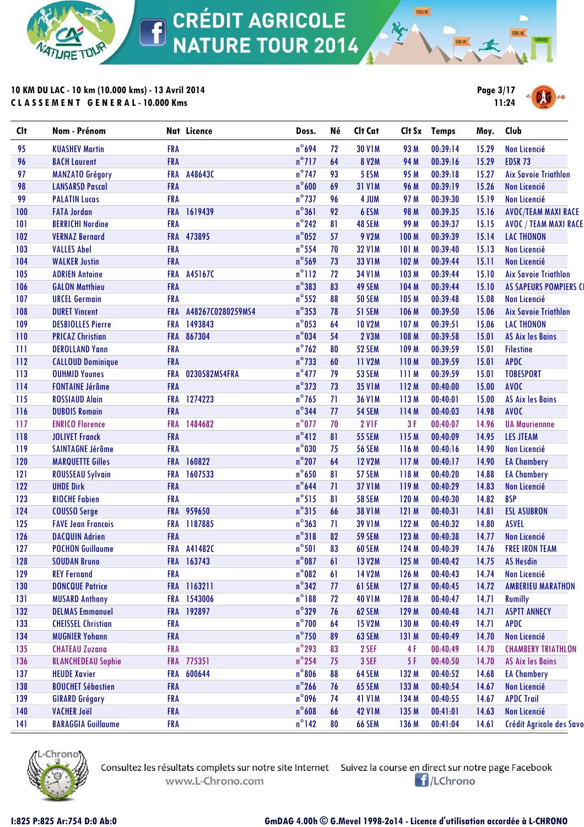

# **10 KM DU LAC - 10 km (10.000 kms) - 13 Avril 2014 C L A S S E M E N T G E N E R A L - 10.000 Kms**



**1500 M** 

| <b>Clt</b> | Nom - Prénom              |            | Nat Licence       | Doss.           | Né | Clt Cat       |              | Clt Sx Temps | Moy.  | Club                        |
|------------|---------------------------|------------|-------------------|-----------------|----|---------------|--------------|--------------|-------|-----------------------------|
| 95         | <b>KUASHEV Martin</b>     | <b>FRA</b> |                   | $n^{\circ}694$  | 72 | <b>30 V1M</b> | 93 M         | 00:39:14     | 15.29 | Non Licencié                |
| 96         | <b>BACH Laurent</b>       | <b>FRA</b> |                   | $n^{\circ}$ 717 | 64 | 8 V2M         | 94 M         | 00:39:16     | 15.29 | <b>EDSR 73</b>              |
| 97         | <b>MANZATO Grégory</b>    | <b>FRA</b> | A48643C           | $n^{\circ}$ 747 | 93 | 5 ESM         | 95 M         | 00:39:18     | 15.27 | <b>Aix Savoie Triathlon</b> |
| 98         | <b>LANSARSD Pascal</b>    | <b>FRA</b> |                   | $n^{\circ}600$  | 69 | <b>31 V1M</b> | 96 M         | 00:39:19     | 15.26 | Non Licencié                |
| 99         | <b>PALATIN Lucas</b>      | <b>FRA</b> |                   | $n^{\circ}$ 737 | 96 | 4 JUM         | 97 M         | 00:39:30     | 15.19 | <b>Non Licencié</b>         |
| 100        | <b>FATA Jordan</b>        | <b>FRA</b> | 1619439           | $n^{\circ}361$  | 92 | 6 ESM         | 98 M         | 00:39:35     | 15.16 | <b>AVOC/TEAM MAXI RACE</b>  |
| 101        | <b>BERRICHI Nordine</b>   | <b>FRA</b> |                   | $n^{\circ}$ 242 | 81 | 48 SEM        | 99 M         | 00:39:37     | 15.15 | AVOC / TEAM MAXI RACE       |
| 102        | <b>VERNAZ Bernard</b>     | <b>FRA</b> | 473895            | $n^{\circ}$ 052 | 57 | 9 V2M         | 100 M        | 00:39:39     | 15.14 | <b>LAC THONON</b>           |
| 103        | <b>VALLES Abel</b>        | <b>FRA</b> |                   | $n^{\circ}$ 554 | 70 | <b>32 V1M</b> | <b>101 M</b> | 00:39:40     | 15.13 | Non Licencié                |
| 104        | <b>WALKER Justin</b>      | <b>FRA</b> |                   | $n^{\circ}$ 569 | 73 | <b>33 V1M</b> | 102 M        | 00:39:44     | 15.11 | Non Licencié                |
| 105        | <b>ADRIEN Antoine</b>     | <b>FRA</b> | A45167C           | $n^{\circ}112$  | 72 | <b>34 V1M</b> | 103 M        | 00:39:44     | 15.10 | <b>Aix Savoie Triathlon</b> |
| 106        | <b>GALON Matthieu</b>     | <b>FRA</b> |                   | $n^{\circ}$ 383 | 83 | 49 SEM        | 104 M        | 00:39:44     | 15.10 | AS SAPEURS POMPIERS CI      |
| 107        | <b>URCEL Germain</b>      | <b>FRA</b> |                   | $n^{\circ}$ 552 | 88 | <b>50 SEM</b> | 105 M        | 00:39:48     | 15.08 | Non Licencié                |
| 108        | <b>DURET Vincent</b>      | <b>FRA</b> | A48267C0280259MS4 | $n^{\circ}353$  | 78 | 51 SEM        | 106 M        | 00:39:50     | 15.06 | <b>Aix Savoie Triathlon</b> |
| 109        | <b>DESBIOLLES Pierre</b>  | <b>FRA</b> | 1493843           | $n^{\circ}$ 053 | 64 | <b>10 V2M</b> | 107 M        | 00:39:51     | 15.06 | <b>LAC THONON</b>           |
| 110        | <b>PRICAZ Christian</b>   | <b>FRA</b> | 867304            | $n^{\circ}$ 034 | 54 | 2 V3M         | 108 M        | 00:39:58     | 15.01 | <b>AS Aix les Bains</b>     |
| 111        | <b>DEROLLAND Yann</b>     | <b>FRA</b> |                   | $n^{\circ}$ 762 | 80 | 52 SEM        | 109 M        | 00:39:59     | 15.01 | <b>Filestine</b>            |
| 112        | <b>CALLOUD Dominique</b>  | <b>FRA</b> |                   | $n^{\circ}$ 733 | 60 | <b>11 V2M</b> | 110M         | 00:39:59     | 15.01 | <b>APDC</b>                 |
| 113        | <b>OUHMID Younes</b>      | <b>FRA</b> | 0230582MS4FRA     | $n^{\circ}477$  | 79 | <b>53 SEM</b> | 111M         | 00:39:59     | 15.01 | <b>TOBESPORT</b>            |
| 114        | <b>FONTAINE Jérôme</b>    | <b>FRA</b> |                   | $n^{\circ}$ 373 | 73 | <b>35 V1M</b> | 112M         | 00:40:00     | 15.00 | <b>AVOC</b>                 |
| 115        | <b>ROSSIAUD Alain</b>     | <b>FRA</b> | 1274223           | $n^{\circ}$ 765 | 71 | <b>36 V1M</b> | 113M         | 00:40:01     | 15.00 | <b>AS Aix les Bains</b>     |
| 116        | <b>DUBOIS Romain</b>      | <b>FRA</b> |                   | $n^{\circ}$ 344 | 77 | <b>54 SEM</b> | 114 M        | 00:40:03     | 14.98 | <b>AVOC</b>                 |
| 117        | <b>ENRICO Florence</b>    | <b>FRA</b> | 1484682           | $n^{\circ}$ 077 | 70 | 2 VIF         | 3 F          | 00:40:07     | 14.96 | <b>UA Mauriennne</b>        |
| 118        | <b>JOLIVET Franck</b>     | <b>FRA</b> |                   | $n^{\circ}412$  | 81 | <b>55 SEM</b> | 115 M        | 00:40:09     | 14.95 | <b>LES JTEAM</b>            |
| 119        | <b>SAINTAGNE Jérôme</b>   | <b>FRA</b> |                   | $n^{\circ}$ 030 | 75 | <b>56 SEM</b> | 116 M        | 00:40:16     | 14.90 | <b>Non Licencié</b>         |
| 120        | <b>MARQUETTE Gilles</b>   | <b>FRA</b> | 160822            | $n^{\circ}$ 207 | 64 | <b>12 V2M</b> | 117 M        | 00:40:17     | 14.90 | <b>EA Chambery</b>          |
| 121        | <b>ROUSSEAU Sylvain</b>   | <b>FRA</b> | 1607533           | $n^{\circ}$ 650 | 81 | 57 SEM        | 118 M        | 00:40:20     | 14.88 | <b>EA Chambery</b>          |
| 122        | <b>UHDE Dirk</b>          | <b>FRA</b> |                   | $n^{\circ}$ 644 | 71 | <b>37 V1M</b> | 119 M        | 00:40:29     | 14.83 | <b>Non Licencié</b>         |
| 123        | <b>RIOCHE Fabien</b>      | <b>FRA</b> |                   | $n^{\circ}515$  | 81 | <b>58 SEM</b> | 120 M        | 00:40:30     | 14.82 | <b>BSP</b>                  |
| 124        | <b>COUSSO Serge</b>       | <b>FRA</b> | 959650            | $n^{\circ}315$  | 66 | <b>38 V1M</b> | 121M         | 00:40:31     | 14.81 | <b>ESL ASUBRON</b>          |
| 125        | <b>FAVE Jean Francois</b> | <b>FRA</b> | 1187885           | $n^{\circ}363$  | 71 | <b>39 V1M</b> | 122 M        | 00:40:32     | 14.80 | <b>ASVEL</b>                |
| 126        | <b>DACQUIN Adrien</b>     | <b>FRA</b> |                   | $n^{\circ}318$  | 82 | <b>59 SEM</b> | 123 M        | 00:40:38     | 14.77 | Non Licencié                |
| 127        | <b>POCHON Guillaume</b>   | <b>FRA</b> | A41482C           | $n^{\circ}501$  | 83 | 60 SEM        | 124 M        | 00:40:39     | 14.76 | <b>FREE IRON TEAM</b>       |
| 128        | <b>SOUDAN Bruno</b>       |            | FRA 163743        | $n^{\circ}087$  | 61 | <b>13 V2M</b> | 125 M        | 00:40:42     | 14.75 | <b>AS Hesdin</b>            |
| 129        | <b>REY Fernand</b>        | <b>FRA</b> |                   | $n^{\circ}082$  | 61 | 14 V2M        | 126 M        | 00:40:43     | 14.74 | Non Licencié                |
| 130        | <b>DONCQUE Patrice</b>    | <b>FRA</b> | 1163211           | $n^{\circ}342$  | 77 | 61 SEM        | 127 M        | 00:40:45     | 14.72 | <b>AMBERIEU MARATHON</b>    |
| 131        | <b>MUSARD Anthony</b>     | <b>FRA</b> | 1543006           | $n^{\circ}188$  | 72 | <b>40 V1M</b> | 128 M        | 00:40:47     | 14.71 | <b>Rumilly</b>              |
| 132        | <b>DELMAS Emmanuel</b>    | <b>FRA</b> | 192897            | $n^{\circ}329$  | 76 | 62 SEM        | 129 M        | 00:40:48     | 14.71 | <b>ASPTT ANNECY</b>         |
| 133        | <b>CHEISSEL Christian</b> | <b>FRA</b> |                   | $n^{\circ}$ 700 | 64 | <b>15 V2M</b> | 130 M        | 00:40:49     | 14.71 | <b>APDC</b>                 |
| 134        | <b>MUGNIER Yohann</b>     | <b>FRA</b> |                   | $n^{\circ}$ 750 | 89 | 63 SEM        | 131 M        | 00:40:49     | 14.70 | <b>Non Licencié</b>         |
| 135        | <b>CHATEAU Zuzana</b>     | <b>FRA</b> |                   | $n^{\circ}$ 293 | 83 | 2 SEF         | 4F           | 00:40:49     | 14.70 | <b>CHAMBERY TRIATHLON</b>   |
| 136        | <b>BLANCHEDEAU Sophie</b> | <b>FRA</b> | 775351            | $n^{\circ}$ 254 | 75 | 3 SEF         | 5F           | 00:40:50     | 14.70 | <b>AS Aix les Bains</b>     |
| 137        | <b>HEUDE Xavier</b>       | <b>FRA</b> | 600644            | $n^{\circ}806$  | 88 | 64 SEM        | 132 M        | 00:40:52     | 14.68 | <b>EA Chambery</b>          |
| 138        | <b>BOUCHET Sébastien</b>  | <b>FRA</b> |                   | $n^{\circ}$ 266 | 76 | 65 SEM        | 133 M        | 00:40:54     | 14.67 | <b>Non Licencié</b>         |
| 139        | <b>GIRARD Grégory</b>     | <b>FRA</b> |                   | $n^{\circ}$ 096 | 74 | <b>41 V1M</b> | 134 M        | 00:40:55     | 14.67 | <b>APDC Trail</b>           |
| 140        | <b>VACHER Joël</b>        | <b>FRA</b> |                   | $n^{\circ}$ 608 | 66 | <b>42 V1M</b> | 135 M        | 00:41:01     | 14.63 | Non Licencié                |
| 141        | <b>BARAGGIA Guillaume</b> | <b>FRA</b> |                   | $n^{\circ}$ 142 | 80 | <b>66 SEM</b> | 136 M        | 00:41:04     | 14.61 | Crédit Agricole des Savo    |
|            |                           |            |                   |                 |    |               |              |              |       |                             |



www.L-Chrono.com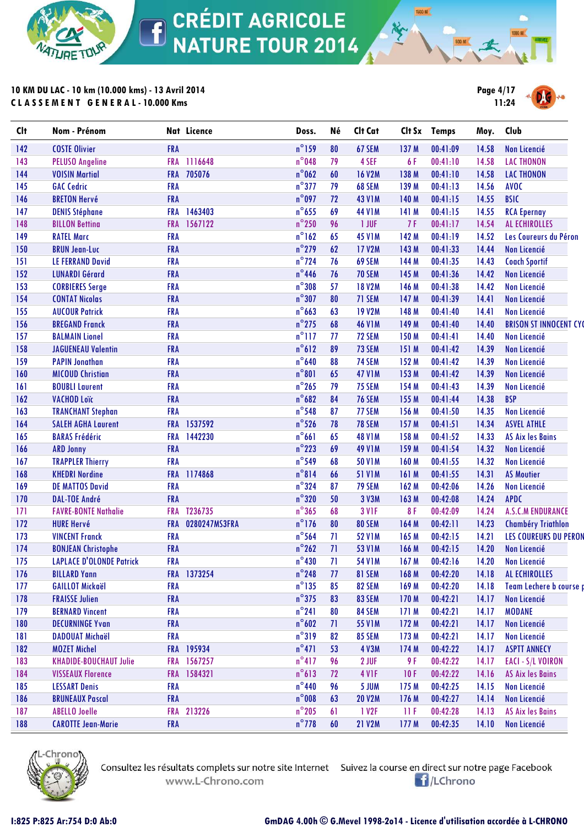

**10 KM DU LAC - 10 km (10.000 kms) - 13 Avril 2014 C L A S S E M E N T G E N E R A L - 10.000 Kms**



**1500 M** 

| <b>Clt</b> | Nom - Prénom                    |            | Nat Licence   | Doss.           | Né | Clt Cat           |                  | Clt Sx Temps | Moy.  | Club                          |
|------------|---------------------------------|------------|---------------|-----------------|----|-------------------|------------------|--------------|-------|-------------------------------|
| 142        | <b>COSTE Olivier</b>            | <b>FRA</b> |               | $n^{\circ}$ 159 | 80 | 67 SEM            | 137 M            | 00:41:09     | 14.58 | Non Licencié                  |
| 143        | <b>PELUSO Angeline</b>          | <b>FRA</b> | 1116648       | $n^{\circ}$ 048 | 79 | 4 SEF             | 6 F              | 00:41:10     | 14.58 | <b>LAC THONON</b>             |
| 144        | <b>VOISIN Martial</b>           | <b>FRA</b> | 705076        | $n^{\circ}$ 062 | 60 | <b>16 V2M</b>     | 138 M            | 00:41:10     | 14.58 | <b>LAC THONON</b>             |
| 145        | <b>GAC Cedric</b>               | <b>FRA</b> |               | $n^{\circ}$ 377 | 79 | 68 SEM            | 139 M            | 00:41:13     | 14.56 | <b>AVOC</b>                   |
| 146        | <b>BRETON Hervé</b>             | <b>FRA</b> |               | $n^{\circ}$ 097 | 72 | <b>43 V1M</b>     | 140 M            | 00:41:15     | 14.55 | <b>BSIC</b>                   |
| 147        | <b>DENIS Stéphane</b>           | <b>FRA</b> | 1463403       | $n^{\circ}$ 655 | 69 | <b>44 V1M</b>     | 141 M            | 00:41:15     | 14.55 | <b>RCA Epernay</b>            |
| 148        | <b>BILLON Bettina</b>           | <b>FRA</b> | 1567122       | $n^{\circ}$ 250 | 96 | 1 JUF             | 7F               | 00:41:17     | 14.54 | <b>AL ECHIROLLES</b>          |
| 149        | <b>RATEL Marc</b>               | <b>FRA</b> |               | $n^{\circ}$ 162 | 65 | <b>45 V1M</b>     | 142 M            | 00:41:19     | 14.52 | Les Coureurs du Péron         |
| 150        | <b>BRUN Jean-Luc</b>            | <b>FRA</b> |               | $n^{\circ}$ 279 | 62 | <b>17 V2M</b>     | 143 M            | 00:41:33     | 14.44 | Non Licencié                  |
| 151        | <b>LE FERRAND David</b>         | <b>FRA</b> |               | $n^{\circ}$ 724 | 76 | 69 SEM            | 144 M            | 00:41:35     | 14.43 | <b>Coach Sportif</b>          |
| 152        | <b>LUNARDI Gérard</b>           | <b>FRA</b> |               | $n^{\circ}$ 446 | 76 | <b>70 SEM</b>     | 145 M            | 00:41:36     | 14.42 | Non Licencié                  |
| 153        | <b>CORBIERES Serge</b>          | <b>FRA</b> |               | $n^{\circ}308$  | 57 | <b>18 V2M</b>     | 146 M            | 00:41:38     | 14.42 | <b>Non Licencié</b>           |
| 154        | <b>CONTAT Nicolas</b>           | <b>FRA</b> |               | $n^{\circ}307$  | 80 | 71 SEM            | 147 M            | 00:41:39     | 14.41 | Non Licencié                  |
| 155        | <b>AUCOUR Patrick</b>           | <b>FRA</b> |               | $n^{\circ}$ 663 | 63 | <b>19 V2M</b>     | 148 M            | 00:41:40     | 14.41 | Non Licencié                  |
| 156        | <b>BREGAND Franck</b>           | <b>FRA</b> |               | $n^{\circ}$ 275 | 68 | <b>46 V1M</b>     | 149 M            | 00:41:40     | 14.40 | <b>BRISON ST INNOCENT CYC</b> |
| 157        | <b>BALMAIN Lionel</b>           | <b>FRA</b> |               | $n^{\circ}$ 117 | 77 | 72 SEM            | 150 M            | 00:41:41     | 14.40 | <b>Non Licencié</b>           |
| 158        | <b>JAGUENEAU Valentin</b>       | <b>FRA</b> |               | $n^{\circ}612$  | 89 | 73 SEM            | 151 M            | 00:41:42     | 14.39 | Non Licencié                  |
| 159        | <b>PAPIN Jonathan</b>           | <b>FRA</b> |               | $n^{\circ}$ 640 | 88 | 74 SEM            | 152 M            | 00:41:42     | 14.39 | <b>Non Licencié</b>           |
| 160        | <b>MICOUD Christian</b>         | <b>FRA</b> |               | $n^{\circ}801$  | 65 | <b>47 V1M</b>     | 153 M            | 00:41:42     | 14.39 | <b>Non Licencié</b>           |
| 161        | <b>BOUBLI Laurent</b>           | <b>FRA</b> |               | $n^{\circ}$ 265 | 79 | <b>75 SEM</b>     | 154 M            | 00:41:43     | 14.39 | <b>Non Licencié</b>           |
| 162        | <b>VACHOD Loïc</b>              | <b>FRA</b> |               | $n^{\circ}682$  | 84 | <b>76 SEM</b>     | 155 M            | 00:41:44     | 14.38 | <b>BSP</b>                    |
| 163        | <b>TRANCHANT Stephan</b>        | <b>FRA</b> |               | $n^{\circ}$ 548 | 87 | 77 SEM            | 156 M            | 00:41:50     | 14.35 | Non Licencié                  |
| 164        | <b>SALEH AGHA Laurent</b>       | <b>FRA</b> | 1537592       | $n^{\circ}$ 526 | 78 | <b>78 SEM</b>     | 157 M            | 00:41:51     | 14.34 | <b>ASVEL ATHLE</b>            |
| 165        | <b>BARAS Frédéric</b>           |            | FRA 1442230   | $n^{\circ}661$  | 65 | <b>48 V1M</b>     | 158 M            | 00:41:52     | 14.33 | <b>AS Aix les Bains</b>       |
| 166        | <b>ARD Jonny</b>                | <b>FRA</b> |               | $n^{\circ}$ 223 | 69 | <b>49 V1M</b>     | 159 M            | 00:41:54     | 14.32 | <b>Non Licencié</b>           |
| 167        | <b>TRAPPLER Thierry</b>         | <b>FRA</b> |               | $n^{\circ}$ 549 | 68 | <b>50 V1M</b>     | 160 M            | 00:41:55     | 14.32 | <b>Non Licencié</b>           |
| 168        | <b>KHEDRI Nordine</b>           | <b>FRA</b> | 1174868       | $n^{\circ}814$  | 66 | <b>51 V1M</b>     | 161 M            | 00:41:55     | 14.31 | <b>AS Moutier</b>             |
| 169        | <b>DE MATTOS David</b>          | <b>FRA</b> |               | $n^{\circ}$ 324 | 87 | 79 SEM            | 162 M            | 00:42:06     | 14.26 | Non Licencié                  |
| 170        | <b>DAL-TOE André</b>            | <b>FRA</b> |               | $n^{\circ}320$  | 50 | 3 V3M             | 163 M            | 00:42:08     | 14.24 | <b>APDC</b>                   |
| 171        | <b>FAVRE-BONTE Nathalie</b>     | <b>FRA</b> | T236735       | $n^{\circ}365$  | 68 | 3 VIF             | 8F               | 00:42:09     | 14.24 | <b>A.S.C.M ENDURANCE</b>      |
| 172        | <b>HURE Hervé</b>               | <b>FRA</b> | 0280247MS3FRA | $n^{\circ}$ 176 | 80 | <b>80 SEM</b>     | 164 M            | 00:42:11     | 14.23 | <b>Chambéry Triathlon</b>     |
| 173        | <b>VINCENT Franck</b>           | <b>FRA</b> |               | $n^{\circ}$ 564 | 71 | <b>52 V1M</b>     | 165 M            | 00:42:15     | 14.21 | <b>LES COUREURS DU PERON</b>  |
| 174        | <b>BONJEAN Christophe</b>       | <b>FRA</b> |               | $n^{\circ}$ 262 | 71 | <b>53 V1M</b>     | 166 M            | 00:42:15     | 14.20 | Non Licencié                  |
| 175        | <b>LAPLACE D'OLONDE Patrick</b> | <b>FRA</b> |               | $n^{\circ}430$  | 71 | <b>54 V1M</b>     | 167 <sub>M</sub> | 00:42:16     | 14.20 | Non Licencié                  |
| 176        | <b>BILLARD Yann</b>             |            | FRA 1373254   | $n^{\circ}$ 248 | 77 | 81 SEM            | 168 M            | 00:42:20     | 14.18 | AL ECHIROLLES                 |
| 177        | <b>GAILLOT Mickaël</b>          | <b>FRA</b> |               | $n^{\circ}$ 135 | 85 | 82 SEM            | 169 M            | 00:42:20     | 14.18 | Team Lechere b course p       |
| 178        | <b>FRAISSE Julien</b>           | <b>FRA</b> |               | $n^{\circ}$ 375 | 83 | 83 SEM            | 170 M            | 00:42:21     | 14.17 | Non Licencié                  |
| 179        | <b>BERNARD Vincent</b>          | <b>FRA</b> |               | $n^{\circ}241$  | 80 | 84 SEM            | 171 M            | 00:42:21     | 14.17 | <b>MODANE</b>                 |
| 180        | <b>DECURNINGE Yvan</b>          | <b>FRA</b> |               | $n^{\circ}602$  | 71 | 55 V1M            | 172M             | 00:42:21     | 14.17 | Non Licencié                  |
| 181        | <b>DADOUAT Michaël</b>          | <b>FRA</b> |               | $n^{\circ}319$  | 82 | 85 SEM            | 173 M            | 00:42:21     | 14.17 | Non Licencié                  |
| 182        | <b>MOZET Michel</b>             |            | FRA 195934    | $n^{\circ}471$  | 53 | <b>4 V3M</b>      | 174 M            | 00:42:22     | 14.17 | <b>ASPTT ANNECY</b>           |
| 183        | <b>KHADIDE-BOUCHAUT Julie</b>   |            | FRA 1567257   | $n^{\circ}417$  | 96 | 2 JUF             | 9 F              | 00:42:22     | 14.17 | EACI - S/L VOIRON             |
| 184        | <b>VISSEAUX Florence</b>        |            | FRA 1584321   | $n^{\circ}613$  | 72 | 4 V <sub>IF</sub> | 10F              | 00:42:22     | 14.16 | <b>AS Aix les Bains</b>       |
| 185        | <b>LESSART Denis</b>            | <b>FRA</b> |               | $n^{\circ}$ 440 | 96 | 5 JUM             | 175 M            | 00:42:25     | 14.15 | Non Licencié                  |
| 186        | <b>BRUNEAUX Pascal</b>          | <b>FRA</b> |               | $n^{\circ}$ 008 | 63 | <b>20 V2M</b>     | 176 M            | 00:42:27     | 14.14 | Non Licencié                  |
| 187        | <b>ABELLO Joelle</b>            |            | FRA 213226    | $n^{\circ}$ 205 | 61 | 1 V <sub>2F</sub> | 11F              | 00:42:28     | 14.13 | <b>AS Aix les Bains</b>       |
| 188        | <b>CAROTTE Jean-Marie</b>       | <b>FRA</b> |               | $n^{\circ}$ 778 | 60 | <b>21 V2M</b>     | 177 M            | 00:42:35     | 14.10 | Non Licencié                  |
|            |                                 |            |               |                 |    |                   |                  |              |       |                               |



Consultez les résultats complets sur notre site Internet Suivez la course en direct sur notre page Facebook www.L-Chrono.com

**E**/LChrono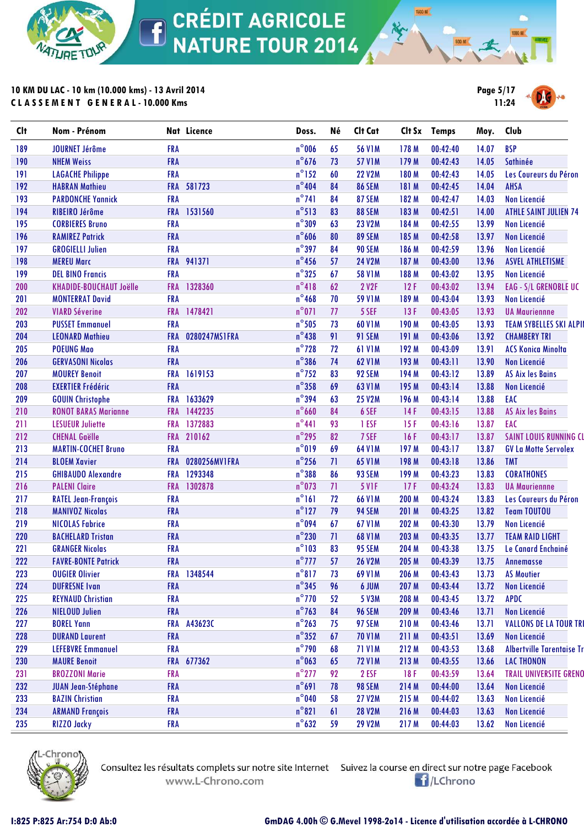

**10 KM DU LAC - 10 km (10.000 kms) - 13 Avril 2014 C L A S S E M E N T G E N E R A L - 10.000 Kms**



**1500 M** 

| $n^{\circ}$ 006<br><b>56 V1M</b><br><b>BSP</b><br><b>JOURNET Jérôme</b><br><b>FRA</b><br>65<br>178 M<br>00:42:40<br>14.07<br>$n^{\circ}$ 676<br><b>FRA</b><br>73<br><b>57 V1M</b><br>00:42:43<br>14.05<br>Sathinée<br><b>NHEM Weiss</b><br>179 M<br>$n^{\circ}$ 152<br><b>FRA</b><br>60<br><b>22 V2M</b><br>180 M<br>00:42:43<br>14.05<br><b>LAGACHE Philippe</b><br>$n^{\circ}404$<br><b>AHSA</b><br>FRA 581723<br>84<br><b>86 SEM</b><br>00:42:45<br>14.04<br><b>HABRAN Mathieu</b><br>181 M<br>$n^{\circ}$ 741<br><b>FRA</b><br>84<br>87 SEM<br>00:42:47<br>14.03<br><b>Non Licencié</b><br><b>PARDONCHE Yannick</b><br>182 M<br>$n^{\circ}513$<br>83<br>1531560<br>88 SEM<br>00:42:51<br>14.00<br>RIBEIRO Jérôme<br><b>FRA</b><br>183 M<br>$n^{\circ}309$<br><b>FRA</b><br>63<br><b>23 V2M</b><br>00:42:55<br>13.99<br><b>CORBIERES Bruno</b><br>184 M<br>Non Licencié<br>$n^{\circ}$ 606<br>89 SEM<br><b>RAMIREZ Patrick</b><br><b>FRA</b><br>80<br>185 M<br>00:42:58<br>13.97<br>Non Licencié<br>$n^{\circ}$ 397<br><b>GROGIELLI Julien</b><br><b>FRA</b><br>84<br><b>90 SEM</b><br>00:42:59<br>13.96<br>186 M<br>Non Licencié<br>$n^{\circ}$ 456<br>FRA 941371<br>57<br><b>24 V2M</b><br><b>MEREU Marc</b><br>187 M<br>00:43:00<br>13.96<br><b>ASVEL ATHLETISME</b><br>$n^{\circ}325$<br><b>DEL BINO Francis</b><br><b>FRA</b><br>67<br><b>58 V1M</b><br>13.95<br>188 M<br>00:43:02<br>Non Licencié<br>$n^{\circ}418$<br>1328360<br>62<br>2 V2F<br>00:43:02<br>13.94<br><b>KHADIDE-BOUCHAUT Joëlle</b><br><b>FRA</b><br>12F<br>$n^{\circ}$ 468<br><b>MONTERRAT David</b><br><b>FRA</b><br>70<br><b>59 V1M</b><br>00:43:04<br>13.93<br>189 M<br>Non Licencié<br>$n^{\circ}071$<br>1478421<br>77<br>5 SEF<br>13F<br>00:43:05<br>13.93<br><b>VIARD Séverine</b><br><b>FRA</b><br><b>UA Mauriennne</b><br>$n^{\circ}$ 505<br><b>FRA</b><br>73<br><b>60 V1M</b><br>190 M<br>00:43:05<br>13.93<br><b>PUSSET Emmanuel</b><br>$n^{\circ}$ 438<br>0280247MS1FRA<br>91<br>91 SEM<br>00:43:06<br>13.92<br><b>LEONARD Mathieu</b><br><b>FRA</b><br>191 M<br><b>CHAMBERY TRI</b><br>$n^{\circ}$ 728<br><b>POEUNG Mao</b><br><b>FRA</b><br>72<br><b>61 V1M</b><br>192 M<br>00:43:09<br>13.91<br><b>ACS Konica Minolta</b><br>$n^{\circ}$ 386<br><b>FRA</b><br>74<br><b>62 V1M</b><br>00:43:11<br>13.90<br><b>Non Licencié</b><br><b>GERVASONI Nicolas</b><br>193 M<br>$n^{\circ}$ 752<br>1619153<br><b>FRA</b><br>83<br>92 SEM<br>194 M<br>00:43:12<br>13.89<br><b>AS Aix les Bains</b><br><b>MOUREY Benoit</b><br>$n^{\circ}$ 358<br><b>FRA</b><br>69<br><b>63 V1M</b><br>195 M<br>00:43:14<br>13.88<br><b>EXERTIER Frédéric</b><br><b>Non Licencié</b><br>$n^{\circ}$ 394<br>1633629<br>63<br>13.88<br>EAC<br><b>25 V2M</b><br>00:43:14<br><b>GOUIN Christophe</b><br><b>FRA</b><br>196 M<br>$n^{\circ}$ 660<br>1442235<br>84<br>6 SEF<br>14F<br>00:43:15<br>13.88<br><b>AS Aix les Bains</b><br><b>RONOT BARAS Marianne</b><br><b>FRA</b><br>$n^{\circ}441$<br>93<br>1372883<br>1 ESF<br>15F<br>00:43:16<br>13.87<br>EAC<br><b>LESUEUR Juliette</b><br><b>FRA</b><br>$n^{\circ}$ 295<br>82<br>FRA 210162<br>7 SEF<br>00:43:17<br>13.87<br><b>CHENAL Gaëlle</b><br>16F<br>$n^{\circ}019$<br>69<br><b>64 V1M</b><br>197 M<br>00:43:17<br>13.87<br><b>MARTIN-COCHET Bruno</b><br><b>FRA</b><br><b>GV La Motte Servolex</b><br>$n^{\circ}$ 256<br><b>FRA</b><br>0280256MV1FRA<br>71<br><b>65 V1M</b><br>00:43:18<br>13.86<br><b>BLOEM Xavier</b><br>198 M<br><b>TMT</b><br>$n^{\circ}$ 388<br><b>GHIBAUDO Alexandre</b><br><b>FRA</b><br>1293348<br>86<br>93 SEM<br>199 M<br>00:43:23<br>13.83<br><b>CORATHONES</b><br>$n^{\circ}$ 073<br>FRA 1302878<br>71<br>5 V <sub>IF</sub><br>17F<br>00:43:24<br>13.83<br><b>PALENI Claire</b><br><b>UA Mauriennne</b><br>$n^{\circ}161$<br><b>FRA</b><br>72<br><b>66 V1M</b><br>00:43:24<br>13.83<br><b>RATEL Jean-François</b><br>200 M<br>$n^{\circ}$ 127<br><b>FRA</b><br>79<br>94 SEM<br>00:43:25<br>13.82<br><b>MANIVOZ Nicolas</b><br>201 M<br><b>Team TOUTOU</b><br>n°094<br>67<br><b>FRA</b><br><b>67 V1M</b><br>00:43:30<br>13.79<br><b>Non Licencié</b><br><b>NICOLAS Fabrice</b><br>202 M<br>$n^{\circ}$ 230<br><b>FRA</b><br>71<br><b>68 V1M</b><br>00:43:35<br>13.77<br><b>BACHELARD Tristan</b><br>203 M<br><b>TEAM RAID LIGHT</b><br>$n^{\circ}103$<br><b>FRA</b><br>83<br>95 SEM<br>13.75<br><b>GRANGER Nicolas</b><br>204 M<br>00:43:38<br>Le Canard Enchainé<br>$n^{\circ}$ 777<br><b>FRA</b><br>57<br><b>26 V2M</b><br><b>FAVRE-BONTE Patrick</b><br>205 M<br>00:43:39<br>13.75<br><b>Annemasse</b><br>$n^{\circ}817$<br><b>OUGIER Olivier</b><br>FRA 1348544<br>69 V1M<br>00:43:43<br><b>AS Moutier</b><br>73<br>206 M<br>13.73<br>$n^{\circ}345$<br><b>FRA</b><br><b>DUFRESNE Ivan</b><br>96<br>6 JUM<br>207 M<br>00:43:44<br>13.72<br>Non Licencié<br>$n^{\circ}$ 770<br><b>REYNAUD Christian</b><br><b>FRA</b><br>52<br>5 V3M<br>208 M<br>00:43:45<br>13.72<br><b>APDC</b><br>$n^{\circ}$ 763<br><b>FRA</b><br>84<br><b>96 SEM</b><br>00:43:46<br><b>NIELOUD Julien</b><br>209 M<br>13.71<br>Non Licencié<br>$n^{\circ}$ 263<br><b>BOREL Yann</b><br>75<br><b>FRA</b><br>A43623C<br>97 SEM<br>210 M<br>00:43:46<br>13.71<br>$n^{\circ}352$<br><b>FRA</b><br>67<br>Non Licencié<br><b>DURAND Laurent</b><br><b>70 V1M</b><br>211 M<br>00:43:51<br>13.69<br>$n^{\circ}$ 790<br><b>LEFEBVRE Emmanuel</b><br><b>FRA</b><br><b>71 V1M</b><br>212 M<br>00:43:53<br>13.68<br>68<br>$n^{\circ}$ 063<br>FRA 677362<br><b>LAC THONON</b><br><b>MAURE Benoit</b><br>65<br><b>72 V1M</b><br>213 M<br>00:43:55<br>13.66<br>$n^{\circ}$ 277<br><b>BROZZONI Marie</b><br><b>FRA</b><br>92<br>2 ESF<br>18 F<br>00:43:59<br>13.64<br>$n^{\circ}691$<br><b>FRA</b><br>98 SEM<br><b>JUAN Jean-Stéphane</b><br>78<br>214 M<br>00:44:00<br>13.64<br>Non Licencié<br>$n^{\circ}$ 040<br><b>BAZIN Christian</b><br><b>FRA</b><br>58<br><b>27 V2M</b><br>215 M<br>00:44:02<br>13.63<br>Non Licencié<br>$n^{\circ}821$<br>61<br><b>28 V2M</b><br>13.63<br><b>ARMAND François</b><br><b>FRA</b><br>216 M<br>00:44:03<br>Non Licencié<br>$n^{\circ}632$<br><b>RIZZO Jacky</b><br><b>29 V2M</b><br>00:44:03<br><b>FRA</b><br>59<br>217 M<br>13.62<br>Non Licencié | <b>Clt</b> | Nom - Prénom | Nat Licence | Doss. | Né | Clt Cat | Clt Sx Temps | Moy. | Club                           |
|---------------------------------------------------------------------------------------------------------------------------------------------------------------------------------------------------------------------------------------------------------------------------------------------------------------------------------------------------------------------------------------------------------------------------------------------------------------------------------------------------------------------------------------------------------------------------------------------------------------------------------------------------------------------------------------------------------------------------------------------------------------------------------------------------------------------------------------------------------------------------------------------------------------------------------------------------------------------------------------------------------------------------------------------------------------------------------------------------------------------------------------------------------------------------------------------------------------------------------------------------------------------------------------------------------------------------------------------------------------------------------------------------------------------------------------------------------------------------------------------------------------------------------------------------------------------------------------------------------------------------------------------------------------------------------------------------------------------------------------------------------------------------------------------------------------------------------------------------------------------------------------------------------------------------------------------------------------------------------------------------------------------------------------------------------------------------------------------------------------------------------------------------------------------------------------------------------------------------------------------------------------------------------------------------------------------------------------------------------------------------------------------------------------------------------------------------------------------------------------------------------------------------------------------------------------------------------------------------------------------------------------------------------------------------------------------------------------------------------------------------------------------------------------------------------------------------------------------------------------------------------------------------------------------------------------------------------------------------------------------------------------------------------------------------------------------------------------------------------------------------------------------------------------------------------------------------------------------------------------------------------------------------------------------------------------------------------------------------------------------------------------------------------------------------------------------------------------------------------------------------------------------------------------------------------------------------------------------------------------------------------------------------------------------------------------------------------------------------------------------------------------------------------------------------------------------------------------------------------------------------------------------------------------------------------------------------------------------------------------------------------------------------------------------------------------------------------------------------------------------------------------------------------------------------------------------------------------------------------------------------------------------------------------------------------------------------------------------------------------------------------------------------------------------------------------------------------------------------------------------------------------------------------------------------------------------------------------------------------------------------------------------------------------------------------------------------------------------------------------------------------------------------------------------------------------------------------------------------------------------------------------------------------------------------------------------------------------------------------------------------------------------------------------------------------------------------------------------------------------------------------------------------------------------------------------------------------------------------------------------------------------------------------------------------------------------------------------------------------------------------------------------------------------------------------------------------------------------------------------------------------------------------------------------------------------------------------------------------------------------------------------------------------------------------------------------------------------------------------------------------------------------------------------------------------------------------------------------------------------------------------------------------------------------------------------------------------------------------------------------------------------------------------------------------------------------------------------------------------------------------------------------------------------------------------------------|------------|--------------|-------------|-------|----|---------|--------------|------|--------------------------------|
|                                                                                                                                                                                                                                                                                                                                                                                                                                                                                                                                                                                                                                                                                                                                                                                                                                                                                                                                                                                                                                                                                                                                                                                                                                                                                                                                                                                                                                                                                                                                                                                                                                                                                                                                                                                                                                                                                                                                                                                                                                                                                                                                                                                                                                                                                                                                                                                                                                                                                                                                                                                                                                                                                                                                                                                                                                                                                                                                                                                                                                                                                                                                                                                                                                                                                                                                                                                                                                                                                                                                                                                                                                                                                                                                                                                                                                                                                                                                                                                                                                                                                                                                                                                                                                                                                                                                                                                                                                                                                                                                                                                                                                                                                                                                                                                                                                                                                                                                                                                                                                                                                                                                                                                                                                                                                                                                                                                                                                                                                                                                                                                                                                                                                                                                                                                                                                                                                                                                                                                                                                                                                                                                                                                             | 189        |              |             |       |    |         |              |      |                                |
|                                                                                                                                                                                                                                                                                                                                                                                                                                                                                                                                                                                                                                                                                                                                                                                                                                                                                                                                                                                                                                                                                                                                                                                                                                                                                                                                                                                                                                                                                                                                                                                                                                                                                                                                                                                                                                                                                                                                                                                                                                                                                                                                                                                                                                                                                                                                                                                                                                                                                                                                                                                                                                                                                                                                                                                                                                                                                                                                                                                                                                                                                                                                                                                                                                                                                                                                                                                                                                                                                                                                                                                                                                                                                                                                                                                                                                                                                                                                                                                                                                                                                                                                                                                                                                                                                                                                                                                                                                                                                                                                                                                                                                                                                                                                                                                                                                                                                                                                                                                                                                                                                                                                                                                                                                                                                                                                                                                                                                                                                                                                                                                                                                                                                                                                                                                                                                                                                                                                                                                                                                                                                                                                                                                             | 190        |              |             |       |    |         |              |      |                                |
|                                                                                                                                                                                                                                                                                                                                                                                                                                                                                                                                                                                                                                                                                                                                                                                                                                                                                                                                                                                                                                                                                                                                                                                                                                                                                                                                                                                                                                                                                                                                                                                                                                                                                                                                                                                                                                                                                                                                                                                                                                                                                                                                                                                                                                                                                                                                                                                                                                                                                                                                                                                                                                                                                                                                                                                                                                                                                                                                                                                                                                                                                                                                                                                                                                                                                                                                                                                                                                                                                                                                                                                                                                                                                                                                                                                                                                                                                                                                                                                                                                                                                                                                                                                                                                                                                                                                                                                                                                                                                                                                                                                                                                                                                                                                                                                                                                                                                                                                                                                                                                                                                                                                                                                                                                                                                                                                                                                                                                                                                                                                                                                                                                                                                                                                                                                                                                                                                                                                                                                                                                                                                                                                                                                             | 191        |              |             |       |    |         |              |      | Les Coureurs du Péron          |
|                                                                                                                                                                                                                                                                                                                                                                                                                                                                                                                                                                                                                                                                                                                                                                                                                                                                                                                                                                                                                                                                                                                                                                                                                                                                                                                                                                                                                                                                                                                                                                                                                                                                                                                                                                                                                                                                                                                                                                                                                                                                                                                                                                                                                                                                                                                                                                                                                                                                                                                                                                                                                                                                                                                                                                                                                                                                                                                                                                                                                                                                                                                                                                                                                                                                                                                                                                                                                                                                                                                                                                                                                                                                                                                                                                                                                                                                                                                                                                                                                                                                                                                                                                                                                                                                                                                                                                                                                                                                                                                                                                                                                                                                                                                                                                                                                                                                                                                                                                                                                                                                                                                                                                                                                                                                                                                                                                                                                                                                                                                                                                                                                                                                                                                                                                                                                                                                                                                                                                                                                                                                                                                                                                                             | 192        |              |             |       |    |         |              |      |                                |
|                                                                                                                                                                                                                                                                                                                                                                                                                                                                                                                                                                                                                                                                                                                                                                                                                                                                                                                                                                                                                                                                                                                                                                                                                                                                                                                                                                                                                                                                                                                                                                                                                                                                                                                                                                                                                                                                                                                                                                                                                                                                                                                                                                                                                                                                                                                                                                                                                                                                                                                                                                                                                                                                                                                                                                                                                                                                                                                                                                                                                                                                                                                                                                                                                                                                                                                                                                                                                                                                                                                                                                                                                                                                                                                                                                                                                                                                                                                                                                                                                                                                                                                                                                                                                                                                                                                                                                                                                                                                                                                                                                                                                                                                                                                                                                                                                                                                                                                                                                                                                                                                                                                                                                                                                                                                                                                                                                                                                                                                                                                                                                                                                                                                                                                                                                                                                                                                                                                                                                                                                                                                                                                                                                                             | 193        |              |             |       |    |         |              |      |                                |
|                                                                                                                                                                                                                                                                                                                                                                                                                                                                                                                                                                                                                                                                                                                                                                                                                                                                                                                                                                                                                                                                                                                                                                                                                                                                                                                                                                                                                                                                                                                                                                                                                                                                                                                                                                                                                                                                                                                                                                                                                                                                                                                                                                                                                                                                                                                                                                                                                                                                                                                                                                                                                                                                                                                                                                                                                                                                                                                                                                                                                                                                                                                                                                                                                                                                                                                                                                                                                                                                                                                                                                                                                                                                                                                                                                                                                                                                                                                                                                                                                                                                                                                                                                                                                                                                                                                                                                                                                                                                                                                                                                                                                                                                                                                                                                                                                                                                                                                                                                                                                                                                                                                                                                                                                                                                                                                                                                                                                                                                                                                                                                                                                                                                                                                                                                                                                                                                                                                                                                                                                                                                                                                                                                                             | 194        |              |             |       |    |         |              |      | <b>ATHLE SAINT JULIEN 74</b>   |
|                                                                                                                                                                                                                                                                                                                                                                                                                                                                                                                                                                                                                                                                                                                                                                                                                                                                                                                                                                                                                                                                                                                                                                                                                                                                                                                                                                                                                                                                                                                                                                                                                                                                                                                                                                                                                                                                                                                                                                                                                                                                                                                                                                                                                                                                                                                                                                                                                                                                                                                                                                                                                                                                                                                                                                                                                                                                                                                                                                                                                                                                                                                                                                                                                                                                                                                                                                                                                                                                                                                                                                                                                                                                                                                                                                                                                                                                                                                                                                                                                                                                                                                                                                                                                                                                                                                                                                                                                                                                                                                                                                                                                                                                                                                                                                                                                                                                                                                                                                                                                                                                                                                                                                                                                                                                                                                                                                                                                                                                                                                                                                                                                                                                                                                                                                                                                                                                                                                                                                                                                                                                                                                                                                                             | 195        |              |             |       |    |         |              |      |                                |
|                                                                                                                                                                                                                                                                                                                                                                                                                                                                                                                                                                                                                                                                                                                                                                                                                                                                                                                                                                                                                                                                                                                                                                                                                                                                                                                                                                                                                                                                                                                                                                                                                                                                                                                                                                                                                                                                                                                                                                                                                                                                                                                                                                                                                                                                                                                                                                                                                                                                                                                                                                                                                                                                                                                                                                                                                                                                                                                                                                                                                                                                                                                                                                                                                                                                                                                                                                                                                                                                                                                                                                                                                                                                                                                                                                                                                                                                                                                                                                                                                                                                                                                                                                                                                                                                                                                                                                                                                                                                                                                                                                                                                                                                                                                                                                                                                                                                                                                                                                                                                                                                                                                                                                                                                                                                                                                                                                                                                                                                                                                                                                                                                                                                                                                                                                                                                                                                                                                                                                                                                                                                                                                                                                                             | 196        |              |             |       |    |         |              |      |                                |
|                                                                                                                                                                                                                                                                                                                                                                                                                                                                                                                                                                                                                                                                                                                                                                                                                                                                                                                                                                                                                                                                                                                                                                                                                                                                                                                                                                                                                                                                                                                                                                                                                                                                                                                                                                                                                                                                                                                                                                                                                                                                                                                                                                                                                                                                                                                                                                                                                                                                                                                                                                                                                                                                                                                                                                                                                                                                                                                                                                                                                                                                                                                                                                                                                                                                                                                                                                                                                                                                                                                                                                                                                                                                                                                                                                                                                                                                                                                                                                                                                                                                                                                                                                                                                                                                                                                                                                                                                                                                                                                                                                                                                                                                                                                                                                                                                                                                                                                                                                                                                                                                                                                                                                                                                                                                                                                                                                                                                                                                                                                                                                                                                                                                                                                                                                                                                                                                                                                                                                                                                                                                                                                                                                                             | 197        |              |             |       |    |         |              |      |                                |
|                                                                                                                                                                                                                                                                                                                                                                                                                                                                                                                                                                                                                                                                                                                                                                                                                                                                                                                                                                                                                                                                                                                                                                                                                                                                                                                                                                                                                                                                                                                                                                                                                                                                                                                                                                                                                                                                                                                                                                                                                                                                                                                                                                                                                                                                                                                                                                                                                                                                                                                                                                                                                                                                                                                                                                                                                                                                                                                                                                                                                                                                                                                                                                                                                                                                                                                                                                                                                                                                                                                                                                                                                                                                                                                                                                                                                                                                                                                                                                                                                                                                                                                                                                                                                                                                                                                                                                                                                                                                                                                                                                                                                                                                                                                                                                                                                                                                                                                                                                                                                                                                                                                                                                                                                                                                                                                                                                                                                                                                                                                                                                                                                                                                                                                                                                                                                                                                                                                                                                                                                                                                                                                                                                                             | 198        |              |             |       |    |         |              |      |                                |
|                                                                                                                                                                                                                                                                                                                                                                                                                                                                                                                                                                                                                                                                                                                                                                                                                                                                                                                                                                                                                                                                                                                                                                                                                                                                                                                                                                                                                                                                                                                                                                                                                                                                                                                                                                                                                                                                                                                                                                                                                                                                                                                                                                                                                                                                                                                                                                                                                                                                                                                                                                                                                                                                                                                                                                                                                                                                                                                                                                                                                                                                                                                                                                                                                                                                                                                                                                                                                                                                                                                                                                                                                                                                                                                                                                                                                                                                                                                                                                                                                                                                                                                                                                                                                                                                                                                                                                                                                                                                                                                                                                                                                                                                                                                                                                                                                                                                                                                                                                                                                                                                                                                                                                                                                                                                                                                                                                                                                                                                                                                                                                                                                                                                                                                                                                                                                                                                                                                                                                                                                                                                                                                                                                                             | 199        |              |             |       |    |         |              |      |                                |
|                                                                                                                                                                                                                                                                                                                                                                                                                                                                                                                                                                                                                                                                                                                                                                                                                                                                                                                                                                                                                                                                                                                                                                                                                                                                                                                                                                                                                                                                                                                                                                                                                                                                                                                                                                                                                                                                                                                                                                                                                                                                                                                                                                                                                                                                                                                                                                                                                                                                                                                                                                                                                                                                                                                                                                                                                                                                                                                                                                                                                                                                                                                                                                                                                                                                                                                                                                                                                                                                                                                                                                                                                                                                                                                                                                                                                                                                                                                                                                                                                                                                                                                                                                                                                                                                                                                                                                                                                                                                                                                                                                                                                                                                                                                                                                                                                                                                                                                                                                                                                                                                                                                                                                                                                                                                                                                                                                                                                                                                                                                                                                                                                                                                                                                                                                                                                                                                                                                                                                                                                                                                                                                                                                                             | 200        |              |             |       |    |         |              |      | EAG - S/L GRENOBLE UC          |
|                                                                                                                                                                                                                                                                                                                                                                                                                                                                                                                                                                                                                                                                                                                                                                                                                                                                                                                                                                                                                                                                                                                                                                                                                                                                                                                                                                                                                                                                                                                                                                                                                                                                                                                                                                                                                                                                                                                                                                                                                                                                                                                                                                                                                                                                                                                                                                                                                                                                                                                                                                                                                                                                                                                                                                                                                                                                                                                                                                                                                                                                                                                                                                                                                                                                                                                                                                                                                                                                                                                                                                                                                                                                                                                                                                                                                                                                                                                                                                                                                                                                                                                                                                                                                                                                                                                                                                                                                                                                                                                                                                                                                                                                                                                                                                                                                                                                                                                                                                                                                                                                                                                                                                                                                                                                                                                                                                                                                                                                                                                                                                                                                                                                                                                                                                                                                                                                                                                                                                                                                                                                                                                                                                                             | 201        |              |             |       |    |         |              |      |                                |
|                                                                                                                                                                                                                                                                                                                                                                                                                                                                                                                                                                                                                                                                                                                                                                                                                                                                                                                                                                                                                                                                                                                                                                                                                                                                                                                                                                                                                                                                                                                                                                                                                                                                                                                                                                                                                                                                                                                                                                                                                                                                                                                                                                                                                                                                                                                                                                                                                                                                                                                                                                                                                                                                                                                                                                                                                                                                                                                                                                                                                                                                                                                                                                                                                                                                                                                                                                                                                                                                                                                                                                                                                                                                                                                                                                                                                                                                                                                                                                                                                                                                                                                                                                                                                                                                                                                                                                                                                                                                                                                                                                                                                                                                                                                                                                                                                                                                                                                                                                                                                                                                                                                                                                                                                                                                                                                                                                                                                                                                                                                                                                                                                                                                                                                                                                                                                                                                                                                                                                                                                                                                                                                                                                                             | 202        |              |             |       |    |         |              |      |                                |
|                                                                                                                                                                                                                                                                                                                                                                                                                                                                                                                                                                                                                                                                                                                                                                                                                                                                                                                                                                                                                                                                                                                                                                                                                                                                                                                                                                                                                                                                                                                                                                                                                                                                                                                                                                                                                                                                                                                                                                                                                                                                                                                                                                                                                                                                                                                                                                                                                                                                                                                                                                                                                                                                                                                                                                                                                                                                                                                                                                                                                                                                                                                                                                                                                                                                                                                                                                                                                                                                                                                                                                                                                                                                                                                                                                                                                                                                                                                                                                                                                                                                                                                                                                                                                                                                                                                                                                                                                                                                                                                                                                                                                                                                                                                                                                                                                                                                                                                                                                                                                                                                                                                                                                                                                                                                                                                                                                                                                                                                                                                                                                                                                                                                                                                                                                                                                                                                                                                                                                                                                                                                                                                                                                                             | 203        |              |             |       |    |         |              |      | <b>TEAM SYBELLES SKI ALPII</b> |
|                                                                                                                                                                                                                                                                                                                                                                                                                                                                                                                                                                                                                                                                                                                                                                                                                                                                                                                                                                                                                                                                                                                                                                                                                                                                                                                                                                                                                                                                                                                                                                                                                                                                                                                                                                                                                                                                                                                                                                                                                                                                                                                                                                                                                                                                                                                                                                                                                                                                                                                                                                                                                                                                                                                                                                                                                                                                                                                                                                                                                                                                                                                                                                                                                                                                                                                                                                                                                                                                                                                                                                                                                                                                                                                                                                                                                                                                                                                                                                                                                                                                                                                                                                                                                                                                                                                                                                                                                                                                                                                                                                                                                                                                                                                                                                                                                                                                                                                                                                                                                                                                                                                                                                                                                                                                                                                                                                                                                                                                                                                                                                                                                                                                                                                                                                                                                                                                                                                                                                                                                                                                                                                                                                                             | 204        |              |             |       |    |         |              |      |                                |
|                                                                                                                                                                                                                                                                                                                                                                                                                                                                                                                                                                                                                                                                                                                                                                                                                                                                                                                                                                                                                                                                                                                                                                                                                                                                                                                                                                                                                                                                                                                                                                                                                                                                                                                                                                                                                                                                                                                                                                                                                                                                                                                                                                                                                                                                                                                                                                                                                                                                                                                                                                                                                                                                                                                                                                                                                                                                                                                                                                                                                                                                                                                                                                                                                                                                                                                                                                                                                                                                                                                                                                                                                                                                                                                                                                                                                                                                                                                                                                                                                                                                                                                                                                                                                                                                                                                                                                                                                                                                                                                                                                                                                                                                                                                                                                                                                                                                                                                                                                                                                                                                                                                                                                                                                                                                                                                                                                                                                                                                                                                                                                                                                                                                                                                                                                                                                                                                                                                                                                                                                                                                                                                                                                                             | 205        |              |             |       |    |         |              |      |                                |
|                                                                                                                                                                                                                                                                                                                                                                                                                                                                                                                                                                                                                                                                                                                                                                                                                                                                                                                                                                                                                                                                                                                                                                                                                                                                                                                                                                                                                                                                                                                                                                                                                                                                                                                                                                                                                                                                                                                                                                                                                                                                                                                                                                                                                                                                                                                                                                                                                                                                                                                                                                                                                                                                                                                                                                                                                                                                                                                                                                                                                                                                                                                                                                                                                                                                                                                                                                                                                                                                                                                                                                                                                                                                                                                                                                                                                                                                                                                                                                                                                                                                                                                                                                                                                                                                                                                                                                                                                                                                                                                                                                                                                                                                                                                                                                                                                                                                                                                                                                                                                                                                                                                                                                                                                                                                                                                                                                                                                                                                                                                                                                                                                                                                                                                                                                                                                                                                                                                                                                                                                                                                                                                                                                                             | 206        |              |             |       |    |         |              |      |                                |
|                                                                                                                                                                                                                                                                                                                                                                                                                                                                                                                                                                                                                                                                                                                                                                                                                                                                                                                                                                                                                                                                                                                                                                                                                                                                                                                                                                                                                                                                                                                                                                                                                                                                                                                                                                                                                                                                                                                                                                                                                                                                                                                                                                                                                                                                                                                                                                                                                                                                                                                                                                                                                                                                                                                                                                                                                                                                                                                                                                                                                                                                                                                                                                                                                                                                                                                                                                                                                                                                                                                                                                                                                                                                                                                                                                                                                                                                                                                                                                                                                                                                                                                                                                                                                                                                                                                                                                                                                                                                                                                                                                                                                                                                                                                                                                                                                                                                                                                                                                                                                                                                                                                                                                                                                                                                                                                                                                                                                                                                                                                                                                                                                                                                                                                                                                                                                                                                                                                                                                                                                                                                                                                                                                                             | 207        |              |             |       |    |         |              |      |                                |
|                                                                                                                                                                                                                                                                                                                                                                                                                                                                                                                                                                                                                                                                                                                                                                                                                                                                                                                                                                                                                                                                                                                                                                                                                                                                                                                                                                                                                                                                                                                                                                                                                                                                                                                                                                                                                                                                                                                                                                                                                                                                                                                                                                                                                                                                                                                                                                                                                                                                                                                                                                                                                                                                                                                                                                                                                                                                                                                                                                                                                                                                                                                                                                                                                                                                                                                                                                                                                                                                                                                                                                                                                                                                                                                                                                                                                                                                                                                                                                                                                                                                                                                                                                                                                                                                                                                                                                                                                                                                                                                                                                                                                                                                                                                                                                                                                                                                                                                                                                                                                                                                                                                                                                                                                                                                                                                                                                                                                                                                                                                                                                                                                                                                                                                                                                                                                                                                                                                                                                                                                                                                                                                                                                                             | 208        |              |             |       |    |         |              |      |                                |
|                                                                                                                                                                                                                                                                                                                                                                                                                                                                                                                                                                                                                                                                                                                                                                                                                                                                                                                                                                                                                                                                                                                                                                                                                                                                                                                                                                                                                                                                                                                                                                                                                                                                                                                                                                                                                                                                                                                                                                                                                                                                                                                                                                                                                                                                                                                                                                                                                                                                                                                                                                                                                                                                                                                                                                                                                                                                                                                                                                                                                                                                                                                                                                                                                                                                                                                                                                                                                                                                                                                                                                                                                                                                                                                                                                                                                                                                                                                                                                                                                                                                                                                                                                                                                                                                                                                                                                                                                                                                                                                                                                                                                                                                                                                                                                                                                                                                                                                                                                                                                                                                                                                                                                                                                                                                                                                                                                                                                                                                                                                                                                                                                                                                                                                                                                                                                                                                                                                                                                                                                                                                                                                                                                                             | 209        |              |             |       |    |         |              |      |                                |
|                                                                                                                                                                                                                                                                                                                                                                                                                                                                                                                                                                                                                                                                                                                                                                                                                                                                                                                                                                                                                                                                                                                                                                                                                                                                                                                                                                                                                                                                                                                                                                                                                                                                                                                                                                                                                                                                                                                                                                                                                                                                                                                                                                                                                                                                                                                                                                                                                                                                                                                                                                                                                                                                                                                                                                                                                                                                                                                                                                                                                                                                                                                                                                                                                                                                                                                                                                                                                                                                                                                                                                                                                                                                                                                                                                                                                                                                                                                                                                                                                                                                                                                                                                                                                                                                                                                                                                                                                                                                                                                                                                                                                                                                                                                                                                                                                                                                                                                                                                                                                                                                                                                                                                                                                                                                                                                                                                                                                                                                                                                                                                                                                                                                                                                                                                                                                                                                                                                                                                                                                                                                                                                                                                                             | 210        |              |             |       |    |         |              |      |                                |
|                                                                                                                                                                                                                                                                                                                                                                                                                                                                                                                                                                                                                                                                                                                                                                                                                                                                                                                                                                                                                                                                                                                                                                                                                                                                                                                                                                                                                                                                                                                                                                                                                                                                                                                                                                                                                                                                                                                                                                                                                                                                                                                                                                                                                                                                                                                                                                                                                                                                                                                                                                                                                                                                                                                                                                                                                                                                                                                                                                                                                                                                                                                                                                                                                                                                                                                                                                                                                                                                                                                                                                                                                                                                                                                                                                                                                                                                                                                                                                                                                                                                                                                                                                                                                                                                                                                                                                                                                                                                                                                                                                                                                                                                                                                                                                                                                                                                                                                                                                                                                                                                                                                                                                                                                                                                                                                                                                                                                                                                                                                                                                                                                                                                                                                                                                                                                                                                                                                                                                                                                                                                                                                                                                                             | 211        |              |             |       |    |         |              |      |                                |
|                                                                                                                                                                                                                                                                                                                                                                                                                                                                                                                                                                                                                                                                                                                                                                                                                                                                                                                                                                                                                                                                                                                                                                                                                                                                                                                                                                                                                                                                                                                                                                                                                                                                                                                                                                                                                                                                                                                                                                                                                                                                                                                                                                                                                                                                                                                                                                                                                                                                                                                                                                                                                                                                                                                                                                                                                                                                                                                                                                                                                                                                                                                                                                                                                                                                                                                                                                                                                                                                                                                                                                                                                                                                                                                                                                                                                                                                                                                                                                                                                                                                                                                                                                                                                                                                                                                                                                                                                                                                                                                                                                                                                                                                                                                                                                                                                                                                                                                                                                                                                                                                                                                                                                                                                                                                                                                                                                                                                                                                                                                                                                                                                                                                                                                                                                                                                                                                                                                                                                                                                                                                                                                                                                                             | 212        |              |             |       |    |         |              |      | <b>SAINT LOUIS RUNNING CL</b>  |
|                                                                                                                                                                                                                                                                                                                                                                                                                                                                                                                                                                                                                                                                                                                                                                                                                                                                                                                                                                                                                                                                                                                                                                                                                                                                                                                                                                                                                                                                                                                                                                                                                                                                                                                                                                                                                                                                                                                                                                                                                                                                                                                                                                                                                                                                                                                                                                                                                                                                                                                                                                                                                                                                                                                                                                                                                                                                                                                                                                                                                                                                                                                                                                                                                                                                                                                                                                                                                                                                                                                                                                                                                                                                                                                                                                                                                                                                                                                                                                                                                                                                                                                                                                                                                                                                                                                                                                                                                                                                                                                                                                                                                                                                                                                                                                                                                                                                                                                                                                                                                                                                                                                                                                                                                                                                                                                                                                                                                                                                                                                                                                                                                                                                                                                                                                                                                                                                                                                                                                                                                                                                                                                                                                                             | 213        |              |             |       |    |         |              |      |                                |
|                                                                                                                                                                                                                                                                                                                                                                                                                                                                                                                                                                                                                                                                                                                                                                                                                                                                                                                                                                                                                                                                                                                                                                                                                                                                                                                                                                                                                                                                                                                                                                                                                                                                                                                                                                                                                                                                                                                                                                                                                                                                                                                                                                                                                                                                                                                                                                                                                                                                                                                                                                                                                                                                                                                                                                                                                                                                                                                                                                                                                                                                                                                                                                                                                                                                                                                                                                                                                                                                                                                                                                                                                                                                                                                                                                                                                                                                                                                                                                                                                                                                                                                                                                                                                                                                                                                                                                                                                                                                                                                                                                                                                                                                                                                                                                                                                                                                                                                                                                                                                                                                                                                                                                                                                                                                                                                                                                                                                                                                                                                                                                                                                                                                                                                                                                                                                                                                                                                                                                                                                                                                                                                                                                                             | 214        |              |             |       |    |         |              |      |                                |
|                                                                                                                                                                                                                                                                                                                                                                                                                                                                                                                                                                                                                                                                                                                                                                                                                                                                                                                                                                                                                                                                                                                                                                                                                                                                                                                                                                                                                                                                                                                                                                                                                                                                                                                                                                                                                                                                                                                                                                                                                                                                                                                                                                                                                                                                                                                                                                                                                                                                                                                                                                                                                                                                                                                                                                                                                                                                                                                                                                                                                                                                                                                                                                                                                                                                                                                                                                                                                                                                                                                                                                                                                                                                                                                                                                                                                                                                                                                                                                                                                                                                                                                                                                                                                                                                                                                                                                                                                                                                                                                                                                                                                                                                                                                                                                                                                                                                                                                                                                                                                                                                                                                                                                                                                                                                                                                                                                                                                                                                                                                                                                                                                                                                                                                                                                                                                                                                                                                                                                                                                                                                                                                                                                                             | 215        |              |             |       |    |         |              |      |                                |
|                                                                                                                                                                                                                                                                                                                                                                                                                                                                                                                                                                                                                                                                                                                                                                                                                                                                                                                                                                                                                                                                                                                                                                                                                                                                                                                                                                                                                                                                                                                                                                                                                                                                                                                                                                                                                                                                                                                                                                                                                                                                                                                                                                                                                                                                                                                                                                                                                                                                                                                                                                                                                                                                                                                                                                                                                                                                                                                                                                                                                                                                                                                                                                                                                                                                                                                                                                                                                                                                                                                                                                                                                                                                                                                                                                                                                                                                                                                                                                                                                                                                                                                                                                                                                                                                                                                                                                                                                                                                                                                                                                                                                                                                                                                                                                                                                                                                                                                                                                                                                                                                                                                                                                                                                                                                                                                                                                                                                                                                                                                                                                                                                                                                                                                                                                                                                                                                                                                                                                                                                                                                                                                                                                                             | 216        |              |             |       |    |         |              |      |                                |
|                                                                                                                                                                                                                                                                                                                                                                                                                                                                                                                                                                                                                                                                                                                                                                                                                                                                                                                                                                                                                                                                                                                                                                                                                                                                                                                                                                                                                                                                                                                                                                                                                                                                                                                                                                                                                                                                                                                                                                                                                                                                                                                                                                                                                                                                                                                                                                                                                                                                                                                                                                                                                                                                                                                                                                                                                                                                                                                                                                                                                                                                                                                                                                                                                                                                                                                                                                                                                                                                                                                                                                                                                                                                                                                                                                                                                                                                                                                                                                                                                                                                                                                                                                                                                                                                                                                                                                                                                                                                                                                                                                                                                                                                                                                                                                                                                                                                                                                                                                                                                                                                                                                                                                                                                                                                                                                                                                                                                                                                                                                                                                                                                                                                                                                                                                                                                                                                                                                                                                                                                                                                                                                                                                                             | 217        |              |             |       |    |         |              |      | Les Coureurs du Péron          |
|                                                                                                                                                                                                                                                                                                                                                                                                                                                                                                                                                                                                                                                                                                                                                                                                                                                                                                                                                                                                                                                                                                                                                                                                                                                                                                                                                                                                                                                                                                                                                                                                                                                                                                                                                                                                                                                                                                                                                                                                                                                                                                                                                                                                                                                                                                                                                                                                                                                                                                                                                                                                                                                                                                                                                                                                                                                                                                                                                                                                                                                                                                                                                                                                                                                                                                                                                                                                                                                                                                                                                                                                                                                                                                                                                                                                                                                                                                                                                                                                                                                                                                                                                                                                                                                                                                                                                                                                                                                                                                                                                                                                                                                                                                                                                                                                                                                                                                                                                                                                                                                                                                                                                                                                                                                                                                                                                                                                                                                                                                                                                                                                                                                                                                                                                                                                                                                                                                                                                                                                                                                                                                                                                                                             | 218        |              |             |       |    |         |              |      |                                |
|                                                                                                                                                                                                                                                                                                                                                                                                                                                                                                                                                                                                                                                                                                                                                                                                                                                                                                                                                                                                                                                                                                                                                                                                                                                                                                                                                                                                                                                                                                                                                                                                                                                                                                                                                                                                                                                                                                                                                                                                                                                                                                                                                                                                                                                                                                                                                                                                                                                                                                                                                                                                                                                                                                                                                                                                                                                                                                                                                                                                                                                                                                                                                                                                                                                                                                                                                                                                                                                                                                                                                                                                                                                                                                                                                                                                                                                                                                                                                                                                                                                                                                                                                                                                                                                                                                                                                                                                                                                                                                                                                                                                                                                                                                                                                                                                                                                                                                                                                                                                                                                                                                                                                                                                                                                                                                                                                                                                                                                                                                                                                                                                                                                                                                                                                                                                                                                                                                                                                                                                                                                                                                                                                                                             | 219        |              |             |       |    |         |              |      |                                |
|                                                                                                                                                                                                                                                                                                                                                                                                                                                                                                                                                                                                                                                                                                                                                                                                                                                                                                                                                                                                                                                                                                                                                                                                                                                                                                                                                                                                                                                                                                                                                                                                                                                                                                                                                                                                                                                                                                                                                                                                                                                                                                                                                                                                                                                                                                                                                                                                                                                                                                                                                                                                                                                                                                                                                                                                                                                                                                                                                                                                                                                                                                                                                                                                                                                                                                                                                                                                                                                                                                                                                                                                                                                                                                                                                                                                                                                                                                                                                                                                                                                                                                                                                                                                                                                                                                                                                                                                                                                                                                                                                                                                                                                                                                                                                                                                                                                                                                                                                                                                                                                                                                                                                                                                                                                                                                                                                                                                                                                                                                                                                                                                                                                                                                                                                                                                                                                                                                                                                                                                                                                                                                                                                                                             | 220        |              |             |       |    |         |              |      |                                |
|                                                                                                                                                                                                                                                                                                                                                                                                                                                                                                                                                                                                                                                                                                                                                                                                                                                                                                                                                                                                                                                                                                                                                                                                                                                                                                                                                                                                                                                                                                                                                                                                                                                                                                                                                                                                                                                                                                                                                                                                                                                                                                                                                                                                                                                                                                                                                                                                                                                                                                                                                                                                                                                                                                                                                                                                                                                                                                                                                                                                                                                                                                                                                                                                                                                                                                                                                                                                                                                                                                                                                                                                                                                                                                                                                                                                                                                                                                                                                                                                                                                                                                                                                                                                                                                                                                                                                                                                                                                                                                                                                                                                                                                                                                                                                                                                                                                                                                                                                                                                                                                                                                                                                                                                                                                                                                                                                                                                                                                                                                                                                                                                                                                                                                                                                                                                                                                                                                                                                                                                                                                                                                                                                                                             | 221        |              |             |       |    |         |              |      |                                |
|                                                                                                                                                                                                                                                                                                                                                                                                                                                                                                                                                                                                                                                                                                                                                                                                                                                                                                                                                                                                                                                                                                                                                                                                                                                                                                                                                                                                                                                                                                                                                                                                                                                                                                                                                                                                                                                                                                                                                                                                                                                                                                                                                                                                                                                                                                                                                                                                                                                                                                                                                                                                                                                                                                                                                                                                                                                                                                                                                                                                                                                                                                                                                                                                                                                                                                                                                                                                                                                                                                                                                                                                                                                                                                                                                                                                                                                                                                                                                                                                                                                                                                                                                                                                                                                                                                                                                                                                                                                                                                                                                                                                                                                                                                                                                                                                                                                                                                                                                                                                                                                                                                                                                                                                                                                                                                                                                                                                                                                                                                                                                                                                                                                                                                                                                                                                                                                                                                                                                                                                                                                                                                                                                                                             | 222        |              |             |       |    |         |              |      |                                |
|                                                                                                                                                                                                                                                                                                                                                                                                                                                                                                                                                                                                                                                                                                                                                                                                                                                                                                                                                                                                                                                                                                                                                                                                                                                                                                                                                                                                                                                                                                                                                                                                                                                                                                                                                                                                                                                                                                                                                                                                                                                                                                                                                                                                                                                                                                                                                                                                                                                                                                                                                                                                                                                                                                                                                                                                                                                                                                                                                                                                                                                                                                                                                                                                                                                                                                                                                                                                                                                                                                                                                                                                                                                                                                                                                                                                                                                                                                                                                                                                                                                                                                                                                                                                                                                                                                                                                                                                                                                                                                                                                                                                                                                                                                                                                                                                                                                                                                                                                                                                                                                                                                                                                                                                                                                                                                                                                                                                                                                                                                                                                                                                                                                                                                                                                                                                                                                                                                                                                                                                                                                                                                                                                                                             | 223        |              |             |       |    |         |              |      |                                |
|                                                                                                                                                                                                                                                                                                                                                                                                                                                                                                                                                                                                                                                                                                                                                                                                                                                                                                                                                                                                                                                                                                                                                                                                                                                                                                                                                                                                                                                                                                                                                                                                                                                                                                                                                                                                                                                                                                                                                                                                                                                                                                                                                                                                                                                                                                                                                                                                                                                                                                                                                                                                                                                                                                                                                                                                                                                                                                                                                                                                                                                                                                                                                                                                                                                                                                                                                                                                                                                                                                                                                                                                                                                                                                                                                                                                                                                                                                                                                                                                                                                                                                                                                                                                                                                                                                                                                                                                                                                                                                                                                                                                                                                                                                                                                                                                                                                                                                                                                                                                                                                                                                                                                                                                                                                                                                                                                                                                                                                                                                                                                                                                                                                                                                                                                                                                                                                                                                                                                                                                                                                                                                                                                                                             | 224        |              |             |       |    |         |              |      |                                |
|                                                                                                                                                                                                                                                                                                                                                                                                                                                                                                                                                                                                                                                                                                                                                                                                                                                                                                                                                                                                                                                                                                                                                                                                                                                                                                                                                                                                                                                                                                                                                                                                                                                                                                                                                                                                                                                                                                                                                                                                                                                                                                                                                                                                                                                                                                                                                                                                                                                                                                                                                                                                                                                                                                                                                                                                                                                                                                                                                                                                                                                                                                                                                                                                                                                                                                                                                                                                                                                                                                                                                                                                                                                                                                                                                                                                                                                                                                                                                                                                                                                                                                                                                                                                                                                                                                                                                                                                                                                                                                                                                                                                                                                                                                                                                                                                                                                                                                                                                                                                                                                                                                                                                                                                                                                                                                                                                                                                                                                                                                                                                                                                                                                                                                                                                                                                                                                                                                                                                                                                                                                                                                                                                                                             | 225        |              |             |       |    |         |              |      |                                |
|                                                                                                                                                                                                                                                                                                                                                                                                                                                                                                                                                                                                                                                                                                                                                                                                                                                                                                                                                                                                                                                                                                                                                                                                                                                                                                                                                                                                                                                                                                                                                                                                                                                                                                                                                                                                                                                                                                                                                                                                                                                                                                                                                                                                                                                                                                                                                                                                                                                                                                                                                                                                                                                                                                                                                                                                                                                                                                                                                                                                                                                                                                                                                                                                                                                                                                                                                                                                                                                                                                                                                                                                                                                                                                                                                                                                                                                                                                                                                                                                                                                                                                                                                                                                                                                                                                                                                                                                                                                                                                                                                                                                                                                                                                                                                                                                                                                                                                                                                                                                                                                                                                                                                                                                                                                                                                                                                                                                                                                                                                                                                                                                                                                                                                                                                                                                                                                                                                                                                                                                                                                                                                                                                                                             | 226        |              |             |       |    |         |              |      |                                |
|                                                                                                                                                                                                                                                                                                                                                                                                                                                                                                                                                                                                                                                                                                                                                                                                                                                                                                                                                                                                                                                                                                                                                                                                                                                                                                                                                                                                                                                                                                                                                                                                                                                                                                                                                                                                                                                                                                                                                                                                                                                                                                                                                                                                                                                                                                                                                                                                                                                                                                                                                                                                                                                                                                                                                                                                                                                                                                                                                                                                                                                                                                                                                                                                                                                                                                                                                                                                                                                                                                                                                                                                                                                                                                                                                                                                                                                                                                                                                                                                                                                                                                                                                                                                                                                                                                                                                                                                                                                                                                                                                                                                                                                                                                                                                                                                                                                                                                                                                                                                                                                                                                                                                                                                                                                                                                                                                                                                                                                                                                                                                                                                                                                                                                                                                                                                                                                                                                                                                                                                                                                                                                                                                                                             | 227        |              |             |       |    |         |              |      | <b>VALLONS DE LA TOUR TRI</b>  |
|                                                                                                                                                                                                                                                                                                                                                                                                                                                                                                                                                                                                                                                                                                                                                                                                                                                                                                                                                                                                                                                                                                                                                                                                                                                                                                                                                                                                                                                                                                                                                                                                                                                                                                                                                                                                                                                                                                                                                                                                                                                                                                                                                                                                                                                                                                                                                                                                                                                                                                                                                                                                                                                                                                                                                                                                                                                                                                                                                                                                                                                                                                                                                                                                                                                                                                                                                                                                                                                                                                                                                                                                                                                                                                                                                                                                                                                                                                                                                                                                                                                                                                                                                                                                                                                                                                                                                                                                                                                                                                                                                                                                                                                                                                                                                                                                                                                                                                                                                                                                                                                                                                                                                                                                                                                                                                                                                                                                                                                                                                                                                                                                                                                                                                                                                                                                                                                                                                                                                                                                                                                                                                                                                                                             | 228        |              |             |       |    |         |              |      |                                |
|                                                                                                                                                                                                                                                                                                                                                                                                                                                                                                                                                                                                                                                                                                                                                                                                                                                                                                                                                                                                                                                                                                                                                                                                                                                                                                                                                                                                                                                                                                                                                                                                                                                                                                                                                                                                                                                                                                                                                                                                                                                                                                                                                                                                                                                                                                                                                                                                                                                                                                                                                                                                                                                                                                                                                                                                                                                                                                                                                                                                                                                                                                                                                                                                                                                                                                                                                                                                                                                                                                                                                                                                                                                                                                                                                                                                                                                                                                                                                                                                                                                                                                                                                                                                                                                                                                                                                                                                                                                                                                                                                                                                                                                                                                                                                                                                                                                                                                                                                                                                                                                                                                                                                                                                                                                                                                                                                                                                                                                                                                                                                                                                                                                                                                                                                                                                                                                                                                                                                                                                                                                                                                                                                                                             | 229        |              |             |       |    |         |              |      | Albertville Tarentaise Tr      |
|                                                                                                                                                                                                                                                                                                                                                                                                                                                                                                                                                                                                                                                                                                                                                                                                                                                                                                                                                                                                                                                                                                                                                                                                                                                                                                                                                                                                                                                                                                                                                                                                                                                                                                                                                                                                                                                                                                                                                                                                                                                                                                                                                                                                                                                                                                                                                                                                                                                                                                                                                                                                                                                                                                                                                                                                                                                                                                                                                                                                                                                                                                                                                                                                                                                                                                                                                                                                                                                                                                                                                                                                                                                                                                                                                                                                                                                                                                                                                                                                                                                                                                                                                                                                                                                                                                                                                                                                                                                                                                                                                                                                                                                                                                                                                                                                                                                                                                                                                                                                                                                                                                                                                                                                                                                                                                                                                                                                                                                                                                                                                                                                                                                                                                                                                                                                                                                                                                                                                                                                                                                                                                                                                                                             | 230        |              |             |       |    |         |              |      |                                |
|                                                                                                                                                                                                                                                                                                                                                                                                                                                                                                                                                                                                                                                                                                                                                                                                                                                                                                                                                                                                                                                                                                                                                                                                                                                                                                                                                                                                                                                                                                                                                                                                                                                                                                                                                                                                                                                                                                                                                                                                                                                                                                                                                                                                                                                                                                                                                                                                                                                                                                                                                                                                                                                                                                                                                                                                                                                                                                                                                                                                                                                                                                                                                                                                                                                                                                                                                                                                                                                                                                                                                                                                                                                                                                                                                                                                                                                                                                                                                                                                                                                                                                                                                                                                                                                                                                                                                                                                                                                                                                                                                                                                                                                                                                                                                                                                                                                                                                                                                                                                                                                                                                                                                                                                                                                                                                                                                                                                                                                                                                                                                                                                                                                                                                                                                                                                                                                                                                                                                                                                                                                                                                                                                                                             | 231        |              |             |       |    |         |              |      | <b>TRAIL UNIVERSITE GRENO</b>  |
|                                                                                                                                                                                                                                                                                                                                                                                                                                                                                                                                                                                                                                                                                                                                                                                                                                                                                                                                                                                                                                                                                                                                                                                                                                                                                                                                                                                                                                                                                                                                                                                                                                                                                                                                                                                                                                                                                                                                                                                                                                                                                                                                                                                                                                                                                                                                                                                                                                                                                                                                                                                                                                                                                                                                                                                                                                                                                                                                                                                                                                                                                                                                                                                                                                                                                                                                                                                                                                                                                                                                                                                                                                                                                                                                                                                                                                                                                                                                                                                                                                                                                                                                                                                                                                                                                                                                                                                                                                                                                                                                                                                                                                                                                                                                                                                                                                                                                                                                                                                                                                                                                                                                                                                                                                                                                                                                                                                                                                                                                                                                                                                                                                                                                                                                                                                                                                                                                                                                                                                                                                                                                                                                                                                             | 232        |              |             |       |    |         |              |      |                                |
|                                                                                                                                                                                                                                                                                                                                                                                                                                                                                                                                                                                                                                                                                                                                                                                                                                                                                                                                                                                                                                                                                                                                                                                                                                                                                                                                                                                                                                                                                                                                                                                                                                                                                                                                                                                                                                                                                                                                                                                                                                                                                                                                                                                                                                                                                                                                                                                                                                                                                                                                                                                                                                                                                                                                                                                                                                                                                                                                                                                                                                                                                                                                                                                                                                                                                                                                                                                                                                                                                                                                                                                                                                                                                                                                                                                                                                                                                                                                                                                                                                                                                                                                                                                                                                                                                                                                                                                                                                                                                                                                                                                                                                                                                                                                                                                                                                                                                                                                                                                                                                                                                                                                                                                                                                                                                                                                                                                                                                                                                                                                                                                                                                                                                                                                                                                                                                                                                                                                                                                                                                                                                                                                                                                             | 233        |              |             |       |    |         |              |      |                                |
|                                                                                                                                                                                                                                                                                                                                                                                                                                                                                                                                                                                                                                                                                                                                                                                                                                                                                                                                                                                                                                                                                                                                                                                                                                                                                                                                                                                                                                                                                                                                                                                                                                                                                                                                                                                                                                                                                                                                                                                                                                                                                                                                                                                                                                                                                                                                                                                                                                                                                                                                                                                                                                                                                                                                                                                                                                                                                                                                                                                                                                                                                                                                                                                                                                                                                                                                                                                                                                                                                                                                                                                                                                                                                                                                                                                                                                                                                                                                                                                                                                                                                                                                                                                                                                                                                                                                                                                                                                                                                                                                                                                                                                                                                                                                                                                                                                                                                                                                                                                                                                                                                                                                                                                                                                                                                                                                                                                                                                                                                                                                                                                                                                                                                                                                                                                                                                                                                                                                                                                                                                                                                                                                                                                             | 234        |              |             |       |    |         |              |      |                                |
|                                                                                                                                                                                                                                                                                                                                                                                                                                                                                                                                                                                                                                                                                                                                                                                                                                                                                                                                                                                                                                                                                                                                                                                                                                                                                                                                                                                                                                                                                                                                                                                                                                                                                                                                                                                                                                                                                                                                                                                                                                                                                                                                                                                                                                                                                                                                                                                                                                                                                                                                                                                                                                                                                                                                                                                                                                                                                                                                                                                                                                                                                                                                                                                                                                                                                                                                                                                                                                                                                                                                                                                                                                                                                                                                                                                                                                                                                                                                                                                                                                                                                                                                                                                                                                                                                                                                                                                                                                                                                                                                                                                                                                                                                                                                                                                                                                                                                                                                                                                                                                                                                                                                                                                                                                                                                                                                                                                                                                                                                                                                                                                                                                                                                                                                                                                                                                                                                                                                                                                                                                                                                                                                                                                             | 235        |              |             |       |    |         |              |      |                                |



www.L-Chrono.com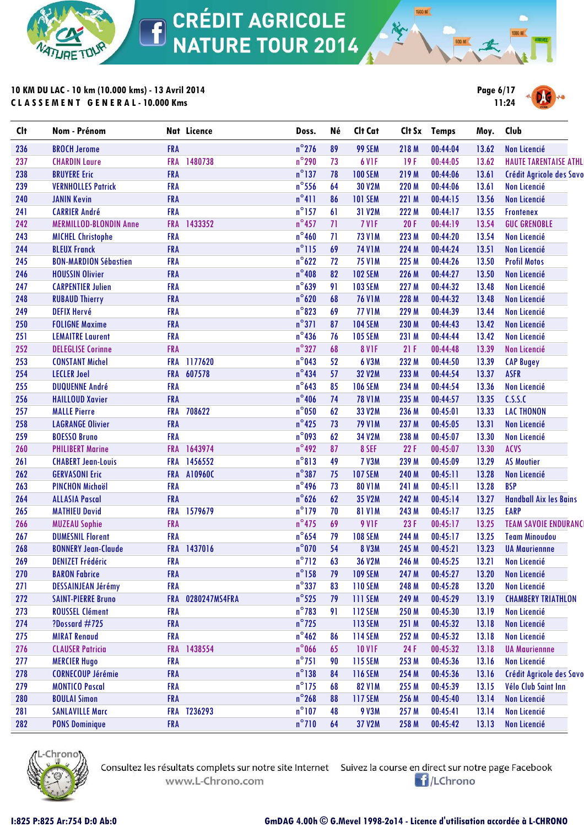

**10 KM DU LAC - 10 km (10.000 kms) - 13 Avril 2014 C L A S S E M E N T G E N E R A L - 10.000 Kms**



**1500 M** 

| Clt | Nom - Prénom                  |            | Nat Licence   | Doss.           | Né | Clt Cat        |       | Clt Sx Temps | Moy.  | Club                          |
|-----|-------------------------------|------------|---------------|-----------------|----|----------------|-------|--------------|-------|-------------------------------|
| 236 | <b>BROCH Jerome</b>           | <b>FRA</b> |               | $n^{\circ}$ 276 | 89 | 99 SEM         | 218 M | 00:44:04     | 13.62 | Non Licencié                  |
| 237 | <b>CHARDIN Laure</b>          | <b>FRA</b> | 1480738       | $n^{\circ}$ 290 | 73 | 6 VIF          | 19F   | 00:44:05     | 13.62 | <b>HAUTE TARENTAISE ATHLI</b> |
| 238 | <b>BRUYERE Eric</b>           | FRA        |               | $n^{\circ}$ 137 | 78 | <b>100 SEM</b> | 219 M | 00:44:06     | 13.61 | Crédit Agricole des Savo      |
| 239 | <b>VERNHOLLES Patrick</b>     | <b>FRA</b> |               | $n^{\circ}$ 556 | 64 | <b>30 V2M</b>  | 220 M | 00:44:06     | 13.61 | Non Licencié                  |
| 240 | <b>JANIN Kevin</b>            | FRA        |               | $n^{\circ}411$  | 86 | <b>101 SEM</b> | 221 M | 00:44:15     | 13.56 | Non Licencié                  |
| 241 | <b>CARRIER André</b>          | <b>FRA</b> |               | $n^{\circ}$ 157 | 61 | 31 V2M         | 222 M | 00:44:17     | 13.55 | <b>Frontenex</b>              |
| 242 | <b>MERMILLOD-BLONDIN Anne</b> |            | FRA 1433352   | $n^{\circ}$ 457 | 71 | <b>7 V1F</b>   | 20 F  | 00:44:19     | 13.54 | <b>GUC GRENOBLE</b>           |
| 243 | <b>MICHEL Christophe</b>      | <b>FRA</b> |               | $n^{\circ}$ 460 | 71 | <b>73 V1M</b>  | 223 M | 00:44:20     | 13.54 | <b>Non Licencié</b>           |
| 244 | <b>BLEUX Franck</b>           | FRA        |               | $n^{\circ}$ 115 | 69 | <b>74 V1M</b>  | 224 M | 00:44:24     | 13.51 | <b>Non Licencié</b>           |
| 245 | <b>BON-MARDION Sébastien</b>  | <b>FRA</b> |               | $n^{\circ}622$  | 72 | <b>75 V1M</b>  | 225 M | 00:44:26     | 13.50 | <b>Profil Motos</b>           |
| 246 | <b>HOUSSIN Olivier</b>        | <b>FRA</b> |               | $n^{\circ}408$  | 82 | <b>102 SEM</b> | 226 M | 00:44:27     | 13.50 | Non Licencié                  |
| 247 | <b>CARPENTIER Julien</b>      | <b>FRA</b> |               | $n^{\circ}639$  | 91 | <b>103 SEM</b> | 227 M | 00:44:32     | 13.48 | Non Licencié                  |
| 248 | <b>RUBAUD Thierry</b>         | <b>FRA</b> |               | $n^{\circ}620$  | 68 | <b>76 V1M</b>  | 228 M | 00:44:32     | 13.48 | Non Licencié                  |
| 249 | <b>DEFIX Hervé</b>            | <b>FRA</b> |               | $n^{\circ}$ 823 | 69 | <b>77 V1M</b>  | 229 M | 00:44:39     | 13.44 | Non Licencié                  |
| 250 | <b>FOLIGNE Maxime</b>         | <b>FRA</b> |               | $n^{\circ}371$  | 87 | <b>104 SEM</b> | 230 M | 00:44:43     | 13.42 | Non Licencié                  |
| 251 | <b>LEMAITRE Laurent</b>       | <b>FRA</b> |               | $n^{\circ}$ 436 | 76 | <b>105 SEM</b> | 231 M | 00:44:44     | 13.42 | Non Licencié                  |
| 252 | <b>DELEGLISE Corinne</b>      | <b>FRA</b> |               | $n^{\circ}327$  | 68 | <b>8 V1F</b>   | 21F   | 00:44:48     | 13.39 | Non Licencié                  |
| 253 | <b>CONSTANT Michel</b>        | <b>FRA</b> | 1177620       | $n^{\circ}$ 043 | 52 | 6 V3M          | 232 M | 00:44:50     | 13.39 | <b>CAP Bugey</b>              |
| 254 | <b>LECLER Joel</b>            | <b>FRA</b> | 607578        | $n^{\circ}434$  | 57 | <b>32 V2M</b>  | 233 M | 00:44:54     | 13.37 | <b>ASFR</b>                   |
| 255 | <b>DUQUENNE André</b>         | <b>FRA</b> |               | $n^{\circ}$ 643 | 85 | <b>106 SEM</b> | 234 M | 00:44:54     | 13.36 | Non Licencié                  |
| 256 | <b>HAILLOUD Xavier</b>        | FRA        |               | $n^{\circ}$ 406 | 74 | <b>78 V1M</b>  | 235 M | 00:44:57     | 13.35 | C.S.S.C                       |
| 257 | <b>MALLE Pierre</b>           | <b>FRA</b> | 708622        | $n^{\circ}$ 050 | 62 | 33 V2M         | 236 M | 00:45:01     | 13.33 | <b>LAC THONON</b>             |
| 258 | <b>LAGRANGE Olivier</b>       | FRA        |               | $n^{\circ}$ 425 | 73 | <b>79 V1M</b>  | 237 M | 00:45:05     | 13.31 | <b>Non Licencié</b>           |
| 259 | <b>BOESSO Bruno</b>           | <b>FRA</b> |               | $n°$ 093        | 62 | 34 V2M         | 238 M | 00:45:07     | 13.30 | Non Licencié                  |
| 260 | <b>PHILIBERT Marine</b>       |            | FRA 1643974   | $n^{\circ}$ 492 | 87 | 8 SEF          | 22F   | 00:45:07     | 13.30 | ACVS                          |
| 261 | <b>CHABERT Jean-Louis</b>     | <b>FRA</b> | 1456552       | $n^{\circ}813$  | 49 | <b>7 V3M</b>   | 239 M | 00:45:09     | 13.29 | <b>AS Moutier</b>             |
| 262 | <b>GERVASONI Eric</b>         | <b>FRA</b> | A10960C       | $n^{\circ}387$  | 75 | <b>107 SEM</b> | 240 M | 00:45:11     | 13.28 | Non Licencié                  |
| 263 | <b>PINCHON Michaël</b>        | <b>FRA</b> |               | $n^{\circ}$ 496 | 73 | <b>80 V1M</b>  | 241 M | 00:45:11     | 13.28 | <b>BSP</b>                    |
| 264 | <b>ALLASIA Pascal</b>         | <b>FRA</b> |               | $n^{\circ}626$  | 62 | 35 V2M         | 242 M | 00:45:14     | 13.27 | <b>Handball Aix les Bains</b> |
| 265 | <b>MATHIEU David</b>          | <b>FRA</b> | 1579679       | $n^{\circ}$ 179 | 70 | <b>81 V1M</b>  | 243 M | 00:45:17     | 13.25 | <b>EARP</b>                   |
| 266 | <b>MUZEAU Sophie</b>          | FRA        |               | $n^{\circ}$ 475 | 69 | 9 VIF          | 23F   | 00:45:17     | 13.25 | <b>TEAM SAVOIE ENDURANC</b>   |
| 267 | <b>DUMESNIL Florent</b>       | <b>FRA</b> |               | $n^{\circ}$ 654 | 79 | <b>108 SEM</b> | 244 M | 00:45:17     | 13.25 | <b>Team Minoudou</b>          |
| 268 | <b>BONNERY Jean-Claude</b>    | <b>FRA</b> | 1437016       | $n^{\circ}$ 070 | 54 | <b>8 V3M</b>   | 245 M | 00:45:21     | 13.23 | <b>UA Mauriennne</b>          |
| 269 | <b>DENIZET Frédéric</b>       | <b>FRA</b> |               | $n^{\circ}$ 712 | 63 | <b>36 V2M</b>  | 246 M | 00:45:25     | 13.21 | Non Licencié                  |
| 270 | <b>BARON Fabrice</b>          | <b>FRA</b> |               | $n^{\circ}$ 158 | 79 | <b>109 SEM</b> | 247 M | 00:45:27     | 13.20 | Non Licencié                  |
| 271 | <b>DESSAINJEAN Jérémy</b>     | <b>FRA</b> |               | $n^{\circ}$ 337 | 83 | <b>110 SEM</b> | 248 M | 00:45:28     | 13.20 | Non Licencié                  |
| 272 | <b>SAINT-PIERRE Bruno</b>     | <b>FRA</b> | 0280247MS4FRA | $n^{\circ}$ 525 | 79 | <b>111 SEM</b> | 249 M | 00:45:29     | 13.19 | <b>CHAMBERY TRIATHLON</b>     |
| 273 | <b>ROUSSEL Clément</b>        | <b>FRA</b> |               | $n^{\circ}$ 783 | 91 | <b>112 SEM</b> | 250 M | 00:45:30     | 13.19 | <b>Non Licencié</b>           |
| 274 | ?Dossard #725                 | <b>FRA</b> |               | $n^{\circ}$ 725 |    | <b>113 SEM</b> | 251 M | 00:45:32     | 13.18 | <b>Non Licencié</b>           |
| 275 | <b>MIRAT Renaud</b>           | <b>FRA</b> |               | $n^{\circ}$ 462 | 86 | <b>114 SEM</b> | 252 M | 00:45:32     | 13.18 | Non Licencié                  |
| 276 | <b>CLAUSER Patricia</b>       | <b>FRA</b> | 1438554       | $n^{\circ}$ 066 | 65 | <b>10 V1F</b>  | 24 F  | 00:45:32     | 13.18 | <b>UA Mauriennne</b>          |
| 277 | <b>MERCIER Hugo</b>           | <b>FRA</b> |               | $n^{\circ}$ 751 | 90 | <b>115 SEM</b> | 253 M | 00:45:36     | 13.16 | Non Licencié                  |
| 278 | <b>CORNECOUP Jérémie</b>      | <b>FRA</b> |               | $n^{\circ}$ 138 | 84 | <b>116 SEM</b> | 254 M | 00:45:36     | 13.16 | Crédit Agricole des Savo      |
| 279 | <b>MONTICO Pascal</b>         | <b>FRA</b> |               | $n^{\circ}$ 175 | 68 | <b>82 V1M</b>  | 255 M | 00:45:39     | 13.15 | Vélo Club Saint Inn           |
| 280 | <b>BOULAI Simon</b>           | <b>FRA</b> |               | $n^{\circ}$ 268 | 88 | <b>117 SEM</b> | 256 M | 00:45:40     | 13.14 | Non Licencié                  |
| 281 | <b>SANLAVILLE Marc</b>        | <b>FRA</b> | T236293       | $n^{\circ}107$  | 48 | <b>9 V3M</b>   | 257 M | 00:45:41     | 13.14 | Non Licencié                  |
| 282 | <b>PONS Dominique</b>         | <b>FRA</b> |               | $n^{\circ}$ 710 | 64 | 37 V2M         | 258 M | 00:45:42     | 13.13 | Non Licencié                  |



www.L-Chrono.com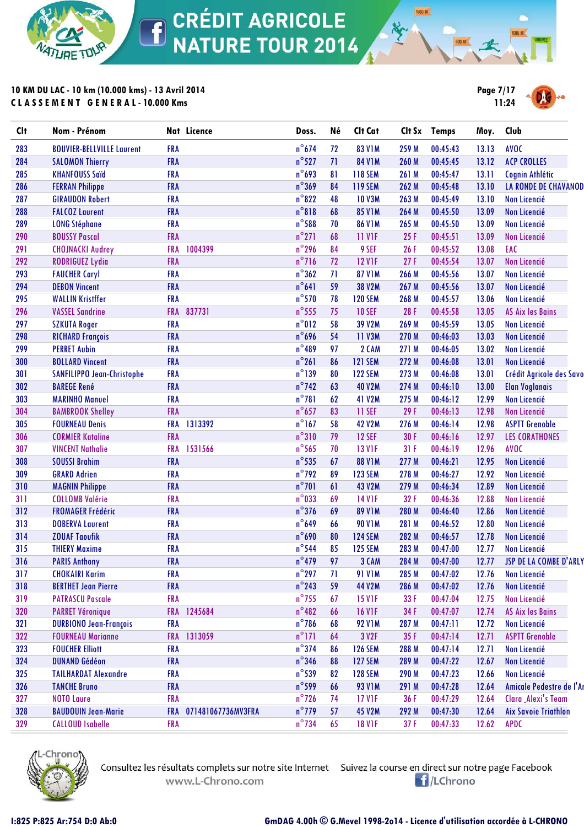

**10 KM DU LAC - 10 km (10.000 kms) - 13 Avril 2014 C L A S S E M E N T G E N E R A L - 10.000 Kms**



**1500 M** 

| <b>Clt</b> | Nom - Prénom                     |            | Nat Licence            | Doss.           | Né | Clt Cat        |       | Clt Sx Temps | Moy.  | Club                        |
|------------|----------------------------------|------------|------------------------|-----------------|----|----------------|-------|--------------|-------|-----------------------------|
| 283        | <b>BOUVIER-BELLVILLE Laurent</b> | <b>FRA</b> |                        | $n^{\circ}674$  | 72 | <b>83 V1M</b>  | 259 M | 00:45:43     | 13.13 | <b>AVOC</b>                 |
| 284        | <b>SALOMON Thierry</b>           | <b>FRA</b> |                        | $n^{\circ}527$  | 71 | <b>84 V1M</b>  | 260 M | 00:45:45     | 13.12 | <b>ACP CROLLES</b>          |
| 285        | <b>KHANFOUSS Saïd</b>            | <b>FRA</b> |                        | $n^{\circ}$ 693 | 81 | <b>118 SEM</b> | 261 M | 00:45:47     | 13.11 | Cognin Athlétic             |
| 286        | <b>FERRAN Philippe</b>           | <b>FRA</b> |                        | $n^{\circ}369$  | 84 | <b>119 SEM</b> | 262 M | 00:45:48     | 13.10 | <b>LA RONDE DE CHAVANOD</b> |
| 287        | <b>GIRAUDON Robert</b>           | <b>FRA</b> |                        | $n^{\circ}822$  | 48 | <b>10 V3M</b>  | 263 M | 00:45:49     | 13.10 | Non Licencié                |
| 288        | <b>FALCOZ Laurent</b>            | <b>FRA</b> |                        | $n^{\circ}818$  | 68 | <b>85 V1M</b>  | 264 M | 00:45:50     | 13.09 | Non Licencié                |
| 289        | <b>LONG Stéphane</b>             | <b>FRA</b> |                        | $n^{\circ}$ 588 | 70 | <b>86 V1M</b>  | 265 M | 00:45:50     | 13.09 | Non Licencié                |
| 290        | <b>BOUSSY Pascal</b>             | FRA        |                        | $n^{\circ}271$  | 68 | <b>11 V1F</b>  | 25F   | 00:45:51     | 13.09 | Non Licencié                |
| 291        | <b>CHOJNACKI Audrey</b>          | <b>FRA</b> | 1004399                | $n^{\circ}$ 296 | 84 | 9 SEF          | 26 F  | 00:45:52     | 13.08 | EAC                         |
| 292        | <b>RODRIGUEZ Lydia</b>           | <b>FRA</b> |                        | $n^{\circ}716$  | 72 | <b>12 V1F</b>  | 27F   | 00:45:54     | 13.07 | Non Licencié                |
| 293        | <b>FAUCHER Caryl</b>             | <b>FRA</b> |                        | $n^{\circ}362$  | 71 | <b>87 V1M</b>  | 266 M | 00:45:56     | 13.07 | Non Licencié                |
| 294        | <b>DEBON Vincent</b>             | <b>FRA</b> |                        | $n^{\circ}641$  | 59 | <b>38 V2M</b>  | 267 M | 00:45:56     | 13.07 | Non Licencié                |
| 295        | <b>WALLIN Kristffer</b>          | <b>FRA</b> |                        | $n^{\circ}$ 570 | 78 | <b>120 SEM</b> | 268 M | 00:45:57     | 13.06 | Non Licencié                |
| 296        | <b>VASSEL Sandrine</b>           | <b>FRA</b> | 837731                 | $n^{\circ}$ 555 | 75 | <b>10 SEF</b>  | 28 F  | 00:45:58     | 13.05 | <b>AS Aix les Bains</b>     |
| 297        | <b>SZKUTA Roger</b>              | <b>FRA</b> |                        | n°012           | 58 | <b>39 V2M</b>  | 269 M | 00:45:59     | 13.05 | Non Licencié                |
| 298        | <b>RICHARD François</b>          | <b>FRA</b> |                        | $n^{\circ}$ 696 | 54 | 11 V3M         | 270 M | 00:46:03     | 13.03 | <b>Non Licencié</b>         |
| 299        | <b>PERRET Aubin</b>              | <b>FRA</b> |                        | $n^{\circ}489$  | 97 | 2 CAM          | 271 M | 00:46:05     | 13.02 | <b>Non Licencié</b>         |
| 300        | <b>BOLLARD Vincent</b>           | <b>FRA</b> |                        | $n^{\circ}261$  | 86 | <b>121 SEM</b> | 272 M | 00:46:08     | 13.01 | Non Licencié                |
| 301        | SANFILIPPO Jean-Christophe       | <b>FRA</b> |                        | $n^{\circ}$ 139 | 80 | <b>122 SEM</b> | 273 M | 00:46:08     | 13.01 | Crédit Agricole des Savo    |
| 302        | <b>BAREGE René</b>               | <b>FRA</b> |                        | $n^{\circ}$ 742 | 63 | <b>40 V2M</b>  | 274 M | 00:46:10     | 13.00 | <b>Elan Voglanais</b>       |
| 303        | <b>MARINHO Manuel</b>            | <b>FRA</b> |                        | $n^{\circ}781$  | 62 | 41 V2M         | 275 M | 00:46:12     | 12.99 | Non Licencié                |
| 304        | <b>BAMBROOK Shelley</b>          | <b>FRA</b> |                        | $n^{\circ}$ 657 | 83 | <b>11 SEF</b>  | 29F   | 00:46:13     | 12.98 | Non Licencié                |
| 305        | <b>FOURNEAU Denis</b>            | <b>FRA</b> | 1313392                | $n^{\circ}$ 167 | 58 | <b>42 V2M</b>  | 276 M | 00:46:14     | 12.98 | <b>ASPTT Grenoble</b>       |
| 306        | <b>CORMIER Kataline</b>          | <b>FRA</b> |                        | $n^{\circ}310$  | 79 | <b>12 SEF</b>  | 30 F  | 00:46:16     | 12.97 | <b>LES CORATHONES</b>       |
| 307        | <b>VINCENT Nathalie</b>          | <b>FRA</b> | 1531566                | $n^{\circ}$ 565 | 70 | <b>13 V1F</b>  | 31F   | 00:46:19     | 12.96 | <b>AVOC</b>                 |
| 308        | <b>SOUSSI Brahim</b>             | <b>FRA</b> |                        | $n^{\circ}$ 535 | 67 | <b>88 V1M</b>  | 277 M | 00:46:21     | 12.95 | <b>Non Licencié</b>         |
| 309        | <b>GRARD Adrien</b>              | <b>FRA</b> |                        | $n^{\circ}$ 792 | 89 | <b>123 SEM</b> | 278 M | 00:46:27     | 12.92 | Non Licencié                |
| 310        | <b>MAGNIN Philippe</b>           | FRA        |                        | $n^{\circ}701$  | 61 | <b>43 V2M</b>  | 279 M | 00:46:34     | 12.89 | Non Licencié                |
| 311        | <b>COLLOMB Valérie</b>           | <b>FRA</b> |                        | $n^{\circ}$ 033 | 69 | <b>14 V1F</b>  | 32F   | 00:46:36     | 12.88 | Non Licencié                |
| 312        | <b>FROMAGER Frédéric</b>         | <b>FRA</b> |                        | $n^{\circ}$ 376 | 69 | <b>89 V1M</b>  | 280 M | 00:46:40     | 12.86 | Non Licencié                |
| 313        | <b>DOBERVA Laurent</b>           | <b>FRA</b> |                        | $n^{\circ}649$  | 66 | <b>90 V1M</b>  | 281 M | 00:46:52     | 12.80 | Non Licencié                |
| 314        | <b>ZOUAF Taoufik</b>             | <b>FRA</b> |                        | $n^{\circ}$ 690 | 80 | <b>124 SEM</b> | 282 M | 00:46:57     | 12.78 | Non Licencié                |
| 315        | <b>THIERY Maxime</b>             | <b>FRA</b> |                        | $n^{\circ}$ 544 | 85 | <b>125 SEM</b> | 283 M | 00:47:00     | 12.77 | Non Licencié                |
| 316        | <b>PARIS Anthony</b>             | <b>FRA</b> |                        | $n^{\circ}$ 479 | 97 | 3 CAM          | 284 M | 00:47:00     | 12.77 | JSP DE LA COMBE D'ARLY      |
| 317        | <b>CHOKAIRI Karim</b>            | <b>FRA</b> |                        | $n^{\circ}$ 297 | 71 | <b>91 V1M</b>  | 285 M | 00:47:02     | 12.76 | Non Licencié                |
| 318        | <b>BERTHET Jean Pierre</b>       | <b>FRA</b> |                        | $n^{\circ}$ 243 | 59 | <b>44 V2M</b>  | 286 M | 00:47:02     | 12.76 | Non Licencié                |
| 319        | <b>PATRASCU Pascale</b>          | <b>FRA</b> |                        | $n^{\circ}$ 755 | 67 | <b>15 V1F</b>  | 33 F  | 00:47:04     | 12.75 | Non Licencié                |
| 320        | <b>PARRET Véronique</b>          |            | FRA 1245684            | $n^{\circ}482$  | 66 | <b>16 V1F</b>  | 34 F  | 00:47:07     | 12.74 | <b>AS Aix les Bains</b>     |
| 321        | <b>DURBIONO Jean-François</b>    | <b>FRA</b> |                        | $n^{\circ}$ 786 | 68 | <b>92 V1M</b>  | 287 M | 00:47:11     | 12.72 | Non Licencié                |
| 322        | <b>FOURNEAU Marianne</b>         | <b>FRA</b> | 1313059                | $n^{\circ}$ 171 | 64 | 3 V2F          | 35F   | 00:47:14     | 12.71 | <b>ASPTT Grenoble</b>       |
| 323        | <b>FOUCHER Elliott</b>           | <b>FRA</b> |                        | $n^{\circ}$ 374 | 86 | <b>126 SEM</b> | 288 M | 00:47:14     | 12.71 | Non Licencié                |
| 324        | <b>DUNAND Gédéon</b>             | <b>FRA</b> |                        | $n^{\circ}$ 346 | 88 | <b>127 SEM</b> | 289 M | 00:47:22     | 12.67 | <b>Non Licencié</b>         |
| 325        | <b>TAILHARDAT Alexandre</b>      | <b>FRA</b> |                        | $n^{\circ}$ 539 | 82 | <b>128 SEM</b> | 290 M | 00:47:23     | 12.66 | Non Licencié                |
| 326        | <b>TANCHE Bruno</b>              | <b>FRA</b> |                        | $n^{\circ}$ 599 | 66 | <b>93 V1M</b>  | 291 M | 00:47:28     | 12.64 | Amicale Pedestre de l'Ar    |
| 327        | <b>NOTO Laure</b>                | <b>FRA</b> |                        | $n^{\circ}$ 726 | 74 | <b>17 V1F</b>  | 36 F  | 00:47:29     | 12.64 | Clara _Alexi's Team         |
| 328        | <b>BAUDOUIN Jean-Marie</b>       |            | FRA 071481067736MV3FRA | $n^{\circ}$ 779 | 57 | <b>45 V2M</b>  | 292 M | 00:47:30     | 12.64 | <b>Aix Savoie Triathlon</b> |
| 329        | <b>CALLOUD Isabelle</b>          | <b>FRA</b> |                        | $n^{\circ}$ 734 | 65 | <b>18 V1F</b>  | 37 F  | 00:47:33     | 12.62 | <b>APDC</b>                 |
|            |                                  |            |                        |                 |    |                |       |              |       |                             |



www.L-Chrono.com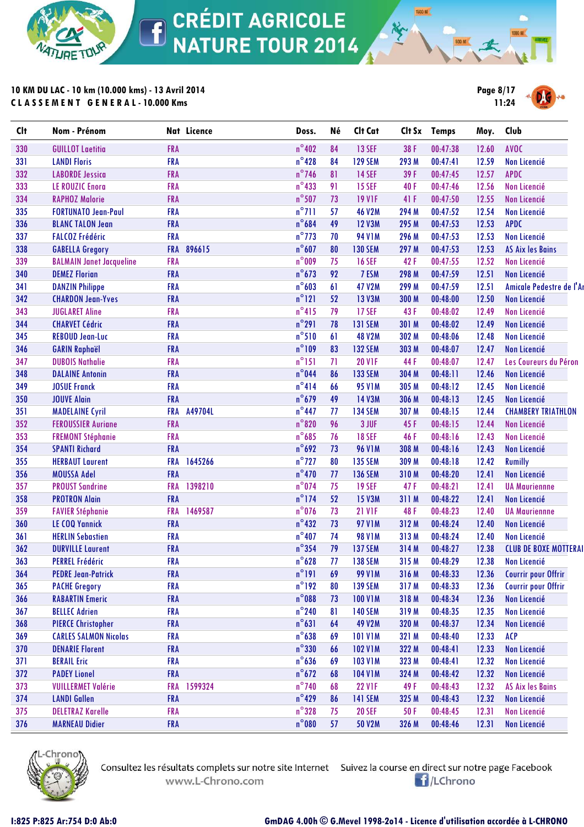

**10 KM DU LAC - 10 km (10.000 kms) - 13 Avril 2014 C L A S S E M E N T G E N E R A L - 10.000 Kms**



**1500 M** 

| $n^{\circ}402$<br>330<br><b>13 SEF</b><br>00:47:38<br>AVOC<br><b>GUILLOT Laetitia</b><br><b>FRA</b><br>84<br>38 F<br>12.60<br>$n^{\circ}$ 428<br>84<br><b>129 SEM</b><br>12.59<br>331<br><b>LANDI Floris</b><br><b>FRA</b><br>293 M<br>00:47:41<br>Non Licencié<br>$n^{\circ}$ 746<br>332<br><b>FRA</b><br><b>14 SEF</b><br>39 F<br>00:47:45<br>12.57<br><b>APDC</b><br><b>LABORDE Jessica</b><br>81<br>$n^{\circ}433$<br>333<br><b>FRA</b><br>91<br><b>15 SEF</b><br>40 F<br>00:47:46<br>12.56<br><b>Non Licencié</b><br><b>LE ROUZIC Enorg</b><br>$n^{\circ}$ 507<br>334<br><b>RAPHOZ Malorie</b><br><b>FRA</b><br>73<br><b>19 V1F</b><br>41 F<br>00:47:50<br>12.55<br><b>Non Licencié</b><br>$n^{\circ}$ 711<br>335<br><b>FRA</b><br>57<br><b>46 V2M</b><br>00:47:52<br><b>FORTUNATO Jean-Paul</b><br>294 M<br>12.54<br>Non Licencié<br>$n^{\circ}684$<br>49<br><b>APDC</b><br>336<br><b>FRA</b><br><b>12 V3M</b><br>295 M<br>00:47:53<br>12.53<br><b>BLANC TALON Jean</b><br>$n^{\circ}$ 773<br><b>Non Licencié</b><br>337<br><b>FALCOZ Frédéric</b><br><b>FRA</b><br>70<br><b>94 V1M</b><br>296 M<br>00:47:53<br>12.53<br>$n^{\circ}607$<br>338<br><b>GABELLA Gregory</b><br><b>FRA</b><br>896615<br>80<br><b>130 SEM</b><br>00:47:53<br>12.53<br><b>AS Aix les Bains</b><br>297 M<br>$n^{\circ}$ 009<br>339<br><b>BALMAIN Janet Jacqueline</b><br>75<br>42F<br>00:47:55<br>12.52<br><b>FRA</b><br><b>16 SEF</b><br>Non Licencié<br>$n^{\circ}$ 673<br>340<br><b>FRA</b><br>92<br>7 ESM<br>298 M<br>12.51<br><b>DEMEZ Florian</b><br>00:47:59<br>Non Licencié<br>$n^{\circ}603$<br>341<br><b>DANZIN Philippe</b><br><b>FRA</b><br>61<br><b>47 V2M</b><br>299 M<br>00:47:59<br>12.51<br>Amicale Pedestre de l'Ar<br>$n^{\circ}121$<br>342<br><b>FRA</b><br>52<br><b>13 V3M</b><br>00:48:00<br>12.50<br><b>CHARDON Jean-Yves</b><br>300 M<br>Non Licencié<br>$n^{\circ}415$<br>343<br>79<br><b>17 SEF</b><br>00:48:02<br><b>JUGLARET Aline</b><br><b>FRA</b><br>43 F<br>12.49<br>Non Licencié<br>$n^{\circ}291$<br>344<br><b>CHARVET Cédric</b><br><b>FRA</b><br>78<br><b>131 SEM</b><br>301 M<br>00:48:02<br>12.49<br>Non Licencié<br>$n^{\circ}510$<br>345<br><b>FRA</b><br>61<br><b>48 V2M</b><br>00:48:06<br><b>Non Licencié</b><br><b>REBOUD Jean-Luc</b><br>302 M<br>12.48<br>$n^{\circ}109$<br>346<br><b>FRA</b><br>83<br><b>132 SEM</b><br>00:48:07<br>12.47<br><b>Non Licencié</b><br><b>GARIN Raphaël</b><br>303 M<br>$n^{\circ}$ 151<br>71<br>347<br><b>20 V1F</b><br>44 F<br>00:48:07<br>12.47<br><b>DUBOIS Nathalie</b><br><b>FRA</b><br>Les Coureurs du Péron<br>$n^{\circ}$ 044<br>348<br><b>FRA</b><br>86<br><b>133 SEM</b><br>304 M<br>00:48:11<br>12.46<br><b>Non Licencié</b><br><b>DALAINE Antonin</b><br>$n^{\circ}414$<br>349<br><b>JOSUE Franck</b><br><b>FRA</b><br><b>95 V1M</b><br>305 M<br>00:48:12<br>12.45<br>Non Licencié<br>66<br>$n^{\circ}$ 679<br>350<br><b>JOUVE Alain</b><br><b>FRA</b><br>49<br><b>14 V3M</b><br>306 M<br>00:48:13<br>12.45<br><b>Non Licencié</b><br>$n^{\circ}$ 447<br>A49704L<br>351<br>77<br><b>134 SEM</b><br>00:48:15<br>12.44<br><b>CHAMBERY TRIATHLON</b><br><b>MADELAINE Cyril</b><br><b>FRA</b><br>307 M<br>$n^{\circ}820$<br>352<br><b>FRA</b><br>96<br>3 JUF<br>45F<br>00:48:15<br>12.44<br><b>Non Licencié</b><br><b>FEROUSSIER Auriane</b><br>$n^{\circ}685$<br>353<br><b>FRA</b><br>76<br><b>18 SEF</b><br>46 F<br>00:48:16<br>Non Licencié<br><b>FREMONT Stéphanie</b><br>12.43<br>$n^{\circ}$ 692<br>354<br><b>FRA</b><br>73<br><b>96 V1M</b><br>00:48:16<br>12.43<br>Non Licencié<br><b>SPANTI Richard</b><br>308 M<br>$n^{\circ}$ 727<br>355<br><b>FRA</b><br>1645266<br>80<br><b>135 SEM</b><br>12.42<br><b>Rumilly</b><br><b>HERBAUT Laurent</b><br>309 M<br>00:48:18<br>$n^{\circ}470$<br>356<br><b>MOUSSA Adel</b><br><b>FRA</b><br><b>136 SEM</b><br>00:48:20<br>12.41<br><b>Non Licencié</b><br>77<br>310 M<br>$n^{\circ}$ 074<br>1398210<br>357<br><b>PROUST Sandrine</b><br><b>FRA</b><br>75<br><b>19 SEF</b><br>47F<br>00:48:21<br>12.41<br><b>UA Mauriennne</b><br>$n^{\circ}$ 174<br>358<br><b>PROTRON Alain</b><br><b>FRA</b><br>52<br><b>15 V3M</b><br>00:48:22<br>12.41<br><b>Non Licencié</b><br>311 M<br>$n^{\circ}$ 076<br>1469587<br>359<br>73<br><b>21 V1F</b><br>48F<br>00:48:23<br>12.40<br><b>FAVIER Stéphanie</b><br><b>FRA</b><br><b>UA Mauriennne</b><br>$n^{\circ}432$<br>360<br><b>FRA</b><br>73<br><b>97 V1M</b><br>00:48:24<br><b>LE COQ Yannick</b><br>312 M<br>12.40<br>Non Licencié<br>$n^{\circ}407$<br>361<br><b>HERLIN Sebastien</b><br><b>FRA</b><br>74<br><b>98 V1M</b><br>313 M<br>00:48:24<br>Non Licencié<br>12.40<br>$n^{\circ}$ 354<br>79<br>362<br><b>FRA</b><br><b>137 SEM</b><br>314 M<br>00:48:27<br><b>CLUB DE BOXE MOTTERAI</b><br><b>DURVILLE Laurent</b><br>12.38<br>$n^{\circ}628$<br>363<br><b>FRA</b><br>77<br><b>PERREL Frédéric</b><br><b>138 SEM</b><br>315 M<br>00:48:29<br>12.38<br>Non Licencié<br>$n^{\circ}191$<br><b>Courrir pour Offrir</b><br>364<br><b>PEDRE Jean-Patrick</b><br><b>FRA</b><br>69<br><b>99 V1M</b><br>00:48:33<br>12.36<br>316 M<br>$n^{\circ}192$<br>365<br><b>FRA</b><br><b>139 SEM</b><br>317 M<br>00:48:33<br>12.36<br><b>Courrir pour Offrir</b><br><b>PACHE Gregory</b><br>80<br>$n^{\circ}$ 088<br><b>FRA</b><br>366<br><b>RABARTIN Emeric</b><br><b>100 V1M</b><br>318 M<br>00:48:34<br>12.36<br>Non Licencié<br>73<br>$n^{\circ}$ 240<br>367<br><b>BELLEC Adrien</b><br><b>FRA</b><br>81<br><b>140 SEM</b><br>12.35<br>319 M<br>00:48:35<br>Non Licencié<br>$n^{\circ}631$<br><b>PIERCE Christopher</b><br><b>49 V2M</b><br>368<br><b>FRA</b><br>64<br>320 M<br>00:48:37<br>12.34<br>Non Licencié<br>$n^{\circ}$ 638<br>369<br><b>101 V1M</b><br>00:48:40<br><b>ACP</b><br><b>CARLES SALMON Nicolas</b><br><b>FRA</b><br>69<br>321 M<br>12.33<br>$n^{\circ}330$<br>66<br>370<br><b>DENARIE Florent</b><br><b>FRA</b><br><b>102 V1M</b><br>322 M<br>00:48:41<br>12.33<br>Non Licencié<br>$n^{\circ}$ 636<br><b>BERAIL Eric</b><br><b>103 V1M</b><br>371<br><b>FRA</b><br>69<br>323 M<br>00:48:41<br>12.32<br>Non Licencié<br>$n^{\circ}672$<br>372<br><b>PADEY Lionel</b><br><b>FRA</b><br>68<br><b>104 V1M</b><br>324 M<br>00:48:42<br>12.32<br>Non Licencié<br>$n^{\circ}$ 740<br>373<br><b>VUILLERMET Valérie</b><br>1599324<br><b>22 V1F</b><br><b>FRA</b><br>68<br>49 F<br>00:48:43<br>12.32<br>AS Aix les Bains<br>$n^{\circ}$ 429<br>374<br><b>FRA</b><br><b>LANDI Gallen</b><br>86<br><b>141 SEM</b><br>325 M<br>00:48:43<br>12.32<br>Non Licencié<br>$n^{\circ}328$<br>375<br><b>DELETRAZ Karelle</b><br><b>FRA</b><br>75<br><b>20 SEF</b><br>50 F<br>00:48:45<br>12.31<br>Non Licencié<br>$n^{\circ}080$<br>57<br>12.31<br>376<br><b>MARNEAU Didier</b><br><b>FRA</b><br><b>50 V2M</b><br>326 M<br>00:48:46<br>Non Licencié | <b>Clt</b> | Nom - Prénom | Nat Licence | Doss. | Né | Clt Cat | Clt Sx Temps | Moy. | Club |
|-----------------------------------------------------------------------------------------------------------------------------------------------------------------------------------------------------------------------------------------------------------------------------------------------------------------------------------------------------------------------------------------------------------------------------------------------------------------------------------------------------------------------------------------------------------------------------------------------------------------------------------------------------------------------------------------------------------------------------------------------------------------------------------------------------------------------------------------------------------------------------------------------------------------------------------------------------------------------------------------------------------------------------------------------------------------------------------------------------------------------------------------------------------------------------------------------------------------------------------------------------------------------------------------------------------------------------------------------------------------------------------------------------------------------------------------------------------------------------------------------------------------------------------------------------------------------------------------------------------------------------------------------------------------------------------------------------------------------------------------------------------------------------------------------------------------------------------------------------------------------------------------------------------------------------------------------------------------------------------------------------------------------------------------------------------------------------------------------------------------------------------------------------------------------------------------------------------------------------------------------------------------------------------------------------------------------------------------------------------------------------------------------------------------------------------------------------------------------------------------------------------------------------------------------------------------------------------------------------------------------------------------------------------------------------------------------------------------------------------------------------------------------------------------------------------------------------------------------------------------------------------------------------------------------------------------------------------------------------------------------------------------------------------------------------------------------------------------------------------------------------------------------------------------------------------------------------------------------------------------------------------------------------------------------------------------------------------------------------------------------------------------------------------------------------------------------------------------------------------------------------------------------------------------------------------------------------------------------------------------------------------------------------------------------------------------------------------------------------------------------------------------------------------------------------------------------------------------------------------------------------------------------------------------------------------------------------------------------------------------------------------------------------------------------------------------------------------------------------------------------------------------------------------------------------------------------------------------------------------------------------------------------------------------------------------------------------------------------------------------------------------------------------------------------------------------------------------------------------------------------------------------------------------------------------------------------------------------------------------------------------------------------------------------------------------------------------------------------------------------------------------------------------------------------------------------------------------------------------------------------------------------------------------------------------------------------------------------------------------------------------------------------------------------------------------------------------------------------------------------------------------------------------------------------------------------------------------------------------------------------------------------------------------------------------------------------------------------------------------------------------------------------------------------------------------------------------------------------------------------------------------------------------------------------------------------------------------------------------------------------------------------------------------------------------------------------------------------------------------------------------------------------------------------------------------------------------------------------------------------------------------------------------------------------------------------------------------------------------------------------------------------------------------------------------------------------------------------------------------------------------------------------------------------------------------------------------------------------------------------------------------------------------------------------------------------------------------------------------------------------------------------------------------------------------------------------------------------------------------------------------------------------------------------------------------------------------------------------------------------------------------------------------------------------------------------------------------------------------------------------------------------------------------------------------------|------------|--------------|-------------|-------|----|---------|--------------|------|------|
|                                                                                                                                                                                                                                                                                                                                                                                                                                                                                                                                                                                                                                                                                                                                                                                                                                                                                                                                                                                                                                                                                                                                                                                                                                                                                                                                                                                                                                                                                                                                                                                                                                                                                                                                                                                                                                                                                                                                                                                                                                                                                                                                                                                                                                                                                                                                                                                                                                                                                                                                                                                                                                                                                                                                                                                                                                                                                                                                                                                                                                                                                                                                                                                                                                                                                                                                                                                                                                                                                                                                                                                                                                                                                                                                                                                                                                                                                                                                                                                                                                                                                                                                                                                                                                                                                                                                                                                                                                                                                                                                                                                                                                                                                                                                                                                                                                                                                                                                                                                                                                                                                                                                                                                                                                                                                                                                                                                                                                                                                                                                                                                                                                                                                                                                                                                                                                                                                                                                                                                                                                                                                                                                                                                                                                                                                                                                                                                                                                                                                                                                                                                                                                                                                                                                                                                                           |            |              |             |       |    |         |              |      |      |
|                                                                                                                                                                                                                                                                                                                                                                                                                                                                                                                                                                                                                                                                                                                                                                                                                                                                                                                                                                                                                                                                                                                                                                                                                                                                                                                                                                                                                                                                                                                                                                                                                                                                                                                                                                                                                                                                                                                                                                                                                                                                                                                                                                                                                                                                                                                                                                                                                                                                                                                                                                                                                                                                                                                                                                                                                                                                                                                                                                                                                                                                                                                                                                                                                                                                                                                                                                                                                                                                                                                                                                                                                                                                                                                                                                                                                                                                                                                                                                                                                                                                                                                                                                                                                                                                                                                                                                                                                                                                                                                                                                                                                                                                                                                                                                                                                                                                                                                                                                                                                                                                                                                                                                                                                                                                                                                                                                                                                                                                                                                                                                                                                                                                                                                                                                                                                                                                                                                                                                                                                                                                                                                                                                                                                                                                                                                                                                                                                                                                                                                                                                                                                                                                                                                                                                                                           |            |              |             |       |    |         |              |      |      |
|                                                                                                                                                                                                                                                                                                                                                                                                                                                                                                                                                                                                                                                                                                                                                                                                                                                                                                                                                                                                                                                                                                                                                                                                                                                                                                                                                                                                                                                                                                                                                                                                                                                                                                                                                                                                                                                                                                                                                                                                                                                                                                                                                                                                                                                                                                                                                                                                                                                                                                                                                                                                                                                                                                                                                                                                                                                                                                                                                                                                                                                                                                                                                                                                                                                                                                                                                                                                                                                                                                                                                                                                                                                                                                                                                                                                                                                                                                                                                                                                                                                                                                                                                                                                                                                                                                                                                                                                                                                                                                                                                                                                                                                                                                                                                                                                                                                                                                                                                                                                                                                                                                                                                                                                                                                                                                                                                                                                                                                                                                                                                                                                                                                                                                                                                                                                                                                                                                                                                                                                                                                                                                                                                                                                                                                                                                                                                                                                                                                                                                                                                                                                                                                                                                                                                                                                           |            |              |             |       |    |         |              |      |      |
|                                                                                                                                                                                                                                                                                                                                                                                                                                                                                                                                                                                                                                                                                                                                                                                                                                                                                                                                                                                                                                                                                                                                                                                                                                                                                                                                                                                                                                                                                                                                                                                                                                                                                                                                                                                                                                                                                                                                                                                                                                                                                                                                                                                                                                                                                                                                                                                                                                                                                                                                                                                                                                                                                                                                                                                                                                                                                                                                                                                                                                                                                                                                                                                                                                                                                                                                                                                                                                                                                                                                                                                                                                                                                                                                                                                                                                                                                                                                                                                                                                                                                                                                                                                                                                                                                                                                                                                                                                                                                                                                                                                                                                                                                                                                                                                                                                                                                                                                                                                                                                                                                                                                                                                                                                                                                                                                                                                                                                                                                                                                                                                                                                                                                                                                                                                                                                                                                                                                                                                                                                                                                                                                                                                                                                                                                                                                                                                                                                                                                                                                                                                                                                                                                                                                                                                                           |            |              |             |       |    |         |              |      |      |
|                                                                                                                                                                                                                                                                                                                                                                                                                                                                                                                                                                                                                                                                                                                                                                                                                                                                                                                                                                                                                                                                                                                                                                                                                                                                                                                                                                                                                                                                                                                                                                                                                                                                                                                                                                                                                                                                                                                                                                                                                                                                                                                                                                                                                                                                                                                                                                                                                                                                                                                                                                                                                                                                                                                                                                                                                                                                                                                                                                                                                                                                                                                                                                                                                                                                                                                                                                                                                                                                                                                                                                                                                                                                                                                                                                                                                                                                                                                                                                                                                                                                                                                                                                                                                                                                                                                                                                                                                                                                                                                                                                                                                                                                                                                                                                                                                                                                                                                                                                                                                                                                                                                                                                                                                                                                                                                                                                                                                                                                                                                                                                                                                                                                                                                                                                                                                                                                                                                                                                                                                                                                                                                                                                                                                                                                                                                                                                                                                                                                                                                                                                                                                                                                                                                                                                                                           |            |              |             |       |    |         |              |      |      |
|                                                                                                                                                                                                                                                                                                                                                                                                                                                                                                                                                                                                                                                                                                                                                                                                                                                                                                                                                                                                                                                                                                                                                                                                                                                                                                                                                                                                                                                                                                                                                                                                                                                                                                                                                                                                                                                                                                                                                                                                                                                                                                                                                                                                                                                                                                                                                                                                                                                                                                                                                                                                                                                                                                                                                                                                                                                                                                                                                                                                                                                                                                                                                                                                                                                                                                                                                                                                                                                                                                                                                                                                                                                                                                                                                                                                                                                                                                                                                                                                                                                                                                                                                                                                                                                                                                                                                                                                                                                                                                                                                                                                                                                                                                                                                                                                                                                                                                                                                                                                                                                                                                                                                                                                                                                                                                                                                                                                                                                                                                                                                                                                                                                                                                                                                                                                                                                                                                                                                                                                                                                                                                                                                                                                                                                                                                                                                                                                                                                                                                                                                                                                                                                                                                                                                                                                           |            |              |             |       |    |         |              |      |      |
|                                                                                                                                                                                                                                                                                                                                                                                                                                                                                                                                                                                                                                                                                                                                                                                                                                                                                                                                                                                                                                                                                                                                                                                                                                                                                                                                                                                                                                                                                                                                                                                                                                                                                                                                                                                                                                                                                                                                                                                                                                                                                                                                                                                                                                                                                                                                                                                                                                                                                                                                                                                                                                                                                                                                                                                                                                                                                                                                                                                                                                                                                                                                                                                                                                                                                                                                                                                                                                                                                                                                                                                                                                                                                                                                                                                                                                                                                                                                                                                                                                                                                                                                                                                                                                                                                                                                                                                                                                                                                                                                                                                                                                                                                                                                                                                                                                                                                                                                                                                                                                                                                                                                                                                                                                                                                                                                                                                                                                                                                                                                                                                                                                                                                                                                                                                                                                                                                                                                                                                                                                                                                                                                                                                                                                                                                                                                                                                                                                                                                                                                                                                                                                                                                                                                                                                                           |            |              |             |       |    |         |              |      |      |
|                                                                                                                                                                                                                                                                                                                                                                                                                                                                                                                                                                                                                                                                                                                                                                                                                                                                                                                                                                                                                                                                                                                                                                                                                                                                                                                                                                                                                                                                                                                                                                                                                                                                                                                                                                                                                                                                                                                                                                                                                                                                                                                                                                                                                                                                                                                                                                                                                                                                                                                                                                                                                                                                                                                                                                                                                                                                                                                                                                                                                                                                                                                                                                                                                                                                                                                                                                                                                                                                                                                                                                                                                                                                                                                                                                                                                                                                                                                                                                                                                                                                                                                                                                                                                                                                                                                                                                                                                                                                                                                                                                                                                                                                                                                                                                                                                                                                                                                                                                                                                                                                                                                                                                                                                                                                                                                                                                                                                                                                                                                                                                                                                                                                                                                                                                                                                                                                                                                                                                                                                                                                                                                                                                                                                                                                                                                                                                                                                                                                                                                                                                                                                                                                                                                                                                                                           |            |              |             |       |    |         |              |      |      |
|                                                                                                                                                                                                                                                                                                                                                                                                                                                                                                                                                                                                                                                                                                                                                                                                                                                                                                                                                                                                                                                                                                                                                                                                                                                                                                                                                                                                                                                                                                                                                                                                                                                                                                                                                                                                                                                                                                                                                                                                                                                                                                                                                                                                                                                                                                                                                                                                                                                                                                                                                                                                                                                                                                                                                                                                                                                                                                                                                                                                                                                                                                                                                                                                                                                                                                                                                                                                                                                                                                                                                                                                                                                                                                                                                                                                                                                                                                                                                                                                                                                                                                                                                                                                                                                                                                                                                                                                                                                                                                                                                                                                                                                                                                                                                                                                                                                                                                                                                                                                                                                                                                                                                                                                                                                                                                                                                                                                                                                                                                                                                                                                                                                                                                                                                                                                                                                                                                                                                                                                                                                                                                                                                                                                                                                                                                                                                                                                                                                                                                                                                                                                                                                                                                                                                                                                           |            |              |             |       |    |         |              |      |      |
|                                                                                                                                                                                                                                                                                                                                                                                                                                                                                                                                                                                                                                                                                                                                                                                                                                                                                                                                                                                                                                                                                                                                                                                                                                                                                                                                                                                                                                                                                                                                                                                                                                                                                                                                                                                                                                                                                                                                                                                                                                                                                                                                                                                                                                                                                                                                                                                                                                                                                                                                                                                                                                                                                                                                                                                                                                                                                                                                                                                                                                                                                                                                                                                                                                                                                                                                                                                                                                                                                                                                                                                                                                                                                                                                                                                                                                                                                                                                                                                                                                                                                                                                                                                                                                                                                                                                                                                                                                                                                                                                                                                                                                                                                                                                                                                                                                                                                                                                                                                                                                                                                                                                                                                                                                                                                                                                                                                                                                                                                                                                                                                                                                                                                                                                                                                                                                                                                                                                                                                                                                                                                                                                                                                                                                                                                                                                                                                                                                                                                                                                                                                                                                                                                                                                                                                                           |            |              |             |       |    |         |              |      |      |
|                                                                                                                                                                                                                                                                                                                                                                                                                                                                                                                                                                                                                                                                                                                                                                                                                                                                                                                                                                                                                                                                                                                                                                                                                                                                                                                                                                                                                                                                                                                                                                                                                                                                                                                                                                                                                                                                                                                                                                                                                                                                                                                                                                                                                                                                                                                                                                                                                                                                                                                                                                                                                                                                                                                                                                                                                                                                                                                                                                                                                                                                                                                                                                                                                                                                                                                                                                                                                                                                                                                                                                                                                                                                                                                                                                                                                                                                                                                                                                                                                                                                                                                                                                                                                                                                                                                                                                                                                                                                                                                                                                                                                                                                                                                                                                                                                                                                                                                                                                                                                                                                                                                                                                                                                                                                                                                                                                                                                                                                                                                                                                                                                                                                                                                                                                                                                                                                                                                                                                                                                                                                                                                                                                                                                                                                                                                                                                                                                                                                                                                                                                                                                                                                                                                                                                                                           |            |              |             |       |    |         |              |      |      |
|                                                                                                                                                                                                                                                                                                                                                                                                                                                                                                                                                                                                                                                                                                                                                                                                                                                                                                                                                                                                                                                                                                                                                                                                                                                                                                                                                                                                                                                                                                                                                                                                                                                                                                                                                                                                                                                                                                                                                                                                                                                                                                                                                                                                                                                                                                                                                                                                                                                                                                                                                                                                                                                                                                                                                                                                                                                                                                                                                                                                                                                                                                                                                                                                                                                                                                                                                                                                                                                                                                                                                                                                                                                                                                                                                                                                                                                                                                                                                                                                                                                                                                                                                                                                                                                                                                                                                                                                                                                                                                                                                                                                                                                                                                                                                                                                                                                                                                                                                                                                                                                                                                                                                                                                                                                                                                                                                                                                                                                                                                                                                                                                                                                                                                                                                                                                                                                                                                                                                                                                                                                                                                                                                                                                                                                                                                                                                                                                                                                                                                                                                                                                                                                                                                                                                                                                           |            |              |             |       |    |         |              |      |      |
|                                                                                                                                                                                                                                                                                                                                                                                                                                                                                                                                                                                                                                                                                                                                                                                                                                                                                                                                                                                                                                                                                                                                                                                                                                                                                                                                                                                                                                                                                                                                                                                                                                                                                                                                                                                                                                                                                                                                                                                                                                                                                                                                                                                                                                                                                                                                                                                                                                                                                                                                                                                                                                                                                                                                                                                                                                                                                                                                                                                                                                                                                                                                                                                                                                                                                                                                                                                                                                                                                                                                                                                                                                                                                                                                                                                                                                                                                                                                                                                                                                                                                                                                                                                                                                                                                                                                                                                                                                                                                                                                                                                                                                                                                                                                                                                                                                                                                                                                                                                                                                                                                                                                                                                                                                                                                                                                                                                                                                                                                                                                                                                                                                                                                                                                                                                                                                                                                                                                                                                                                                                                                                                                                                                                                                                                                                                                                                                                                                                                                                                                                                                                                                                                                                                                                                                                           |            |              |             |       |    |         |              |      |      |
|                                                                                                                                                                                                                                                                                                                                                                                                                                                                                                                                                                                                                                                                                                                                                                                                                                                                                                                                                                                                                                                                                                                                                                                                                                                                                                                                                                                                                                                                                                                                                                                                                                                                                                                                                                                                                                                                                                                                                                                                                                                                                                                                                                                                                                                                                                                                                                                                                                                                                                                                                                                                                                                                                                                                                                                                                                                                                                                                                                                                                                                                                                                                                                                                                                                                                                                                                                                                                                                                                                                                                                                                                                                                                                                                                                                                                                                                                                                                                                                                                                                                                                                                                                                                                                                                                                                                                                                                                                                                                                                                                                                                                                                                                                                                                                                                                                                                                                                                                                                                                                                                                                                                                                                                                                                                                                                                                                                                                                                                                                                                                                                                                                                                                                                                                                                                                                                                                                                                                                                                                                                                                                                                                                                                                                                                                                                                                                                                                                                                                                                                                                                                                                                                                                                                                                                                           |            |              |             |       |    |         |              |      |      |
|                                                                                                                                                                                                                                                                                                                                                                                                                                                                                                                                                                                                                                                                                                                                                                                                                                                                                                                                                                                                                                                                                                                                                                                                                                                                                                                                                                                                                                                                                                                                                                                                                                                                                                                                                                                                                                                                                                                                                                                                                                                                                                                                                                                                                                                                                                                                                                                                                                                                                                                                                                                                                                                                                                                                                                                                                                                                                                                                                                                                                                                                                                                                                                                                                                                                                                                                                                                                                                                                                                                                                                                                                                                                                                                                                                                                                                                                                                                                                                                                                                                                                                                                                                                                                                                                                                                                                                                                                                                                                                                                                                                                                                                                                                                                                                                                                                                                                                                                                                                                                                                                                                                                                                                                                                                                                                                                                                                                                                                                                                                                                                                                                                                                                                                                                                                                                                                                                                                                                                                                                                                                                                                                                                                                                                                                                                                                                                                                                                                                                                                                                                                                                                                                                                                                                                                                           |            |              |             |       |    |         |              |      |      |
|                                                                                                                                                                                                                                                                                                                                                                                                                                                                                                                                                                                                                                                                                                                                                                                                                                                                                                                                                                                                                                                                                                                                                                                                                                                                                                                                                                                                                                                                                                                                                                                                                                                                                                                                                                                                                                                                                                                                                                                                                                                                                                                                                                                                                                                                                                                                                                                                                                                                                                                                                                                                                                                                                                                                                                                                                                                                                                                                                                                                                                                                                                                                                                                                                                                                                                                                                                                                                                                                                                                                                                                                                                                                                                                                                                                                                                                                                                                                                                                                                                                                                                                                                                                                                                                                                                                                                                                                                                                                                                                                                                                                                                                                                                                                                                                                                                                                                                                                                                                                                                                                                                                                                                                                                                                                                                                                                                                                                                                                                                                                                                                                                                                                                                                                                                                                                                                                                                                                                                                                                                                                                                                                                                                                                                                                                                                                                                                                                                                                                                                                                                                                                                                                                                                                                                                                           |            |              |             |       |    |         |              |      |      |
|                                                                                                                                                                                                                                                                                                                                                                                                                                                                                                                                                                                                                                                                                                                                                                                                                                                                                                                                                                                                                                                                                                                                                                                                                                                                                                                                                                                                                                                                                                                                                                                                                                                                                                                                                                                                                                                                                                                                                                                                                                                                                                                                                                                                                                                                                                                                                                                                                                                                                                                                                                                                                                                                                                                                                                                                                                                                                                                                                                                                                                                                                                                                                                                                                                                                                                                                                                                                                                                                                                                                                                                                                                                                                                                                                                                                                                                                                                                                                                                                                                                                                                                                                                                                                                                                                                                                                                                                                                                                                                                                                                                                                                                                                                                                                                                                                                                                                                                                                                                                                                                                                                                                                                                                                                                                                                                                                                                                                                                                                                                                                                                                                                                                                                                                                                                                                                                                                                                                                                                                                                                                                                                                                                                                                                                                                                                                                                                                                                                                                                                                                                                                                                                                                                                                                                                                           |            |              |             |       |    |         |              |      |      |
|                                                                                                                                                                                                                                                                                                                                                                                                                                                                                                                                                                                                                                                                                                                                                                                                                                                                                                                                                                                                                                                                                                                                                                                                                                                                                                                                                                                                                                                                                                                                                                                                                                                                                                                                                                                                                                                                                                                                                                                                                                                                                                                                                                                                                                                                                                                                                                                                                                                                                                                                                                                                                                                                                                                                                                                                                                                                                                                                                                                                                                                                                                                                                                                                                                                                                                                                                                                                                                                                                                                                                                                                                                                                                                                                                                                                                                                                                                                                                                                                                                                                                                                                                                                                                                                                                                                                                                                                                                                                                                                                                                                                                                                                                                                                                                                                                                                                                                                                                                                                                                                                                                                                                                                                                                                                                                                                                                                                                                                                                                                                                                                                                                                                                                                                                                                                                                                                                                                                                                                                                                                                                                                                                                                                                                                                                                                                                                                                                                                                                                                                                                                                                                                                                                                                                                                                           |            |              |             |       |    |         |              |      |      |
|                                                                                                                                                                                                                                                                                                                                                                                                                                                                                                                                                                                                                                                                                                                                                                                                                                                                                                                                                                                                                                                                                                                                                                                                                                                                                                                                                                                                                                                                                                                                                                                                                                                                                                                                                                                                                                                                                                                                                                                                                                                                                                                                                                                                                                                                                                                                                                                                                                                                                                                                                                                                                                                                                                                                                                                                                                                                                                                                                                                                                                                                                                                                                                                                                                                                                                                                                                                                                                                                                                                                                                                                                                                                                                                                                                                                                                                                                                                                                                                                                                                                                                                                                                                                                                                                                                                                                                                                                                                                                                                                                                                                                                                                                                                                                                                                                                                                                                                                                                                                                                                                                                                                                                                                                                                                                                                                                                                                                                                                                                                                                                                                                                                                                                                                                                                                                                                                                                                                                                                                                                                                                                                                                                                                                                                                                                                                                                                                                                                                                                                                                                                                                                                                                                                                                                                                           |            |              |             |       |    |         |              |      |      |
|                                                                                                                                                                                                                                                                                                                                                                                                                                                                                                                                                                                                                                                                                                                                                                                                                                                                                                                                                                                                                                                                                                                                                                                                                                                                                                                                                                                                                                                                                                                                                                                                                                                                                                                                                                                                                                                                                                                                                                                                                                                                                                                                                                                                                                                                                                                                                                                                                                                                                                                                                                                                                                                                                                                                                                                                                                                                                                                                                                                                                                                                                                                                                                                                                                                                                                                                                                                                                                                                                                                                                                                                                                                                                                                                                                                                                                                                                                                                                                                                                                                                                                                                                                                                                                                                                                                                                                                                                                                                                                                                                                                                                                                                                                                                                                                                                                                                                                                                                                                                                                                                                                                                                                                                                                                                                                                                                                                                                                                                                                                                                                                                                                                                                                                                                                                                                                                                                                                                                                                                                                                                                                                                                                                                                                                                                                                                                                                                                                                                                                                                                                                                                                                                                                                                                                                                           |            |              |             |       |    |         |              |      |      |
|                                                                                                                                                                                                                                                                                                                                                                                                                                                                                                                                                                                                                                                                                                                                                                                                                                                                                                                                                                                                                                                                                                                                                                                                                                                                                                                                                                                                                                                                                                                                                                                                                                                                                                                                                                                                                                                                                                                                                                                                                                                                                                                                                                                                                                                                                                                                                                                                                                                                                                                                                                                                                                                                                                                                                                                                                                                                                                                                                                                                                                                                                                                                                                                                                                                                                                                                                                                                                                                                                                                                                                                                                                                                                                                                                                                                                                                                                                                                                                                                                                                                                                                                                                                                                                                                                                                                                                                                                                                                                                                                                                                                                                                                                                                                                                                                                                                                                                                                                                                                                                                                                                                                                                                                                                                                                                                                                                                                                                                                                                                                                                                                                                                                                                                                                                                                                                                                                                                                                                                                                                                                                                                                                                                                                                                                                                                                                                                                                                                                                                                                                                                                                                                                                                                                                                                                           |            |              |             |       |    |         |              |      |      |
|                                                                                                                                                                                                                                                                                                                                                                                                                                                                                                                                                                                                                                                                                                                                                                                                                                                                                                                                                                                                                                                                                                                                                                                                                                                                                                                                                                                                                                                                                                                                                                                                                                                                                                                                                                                                                                                                                                                                                                                                                                                                                                                                                                                                                                                                                                                                                                                                                                                                                                                                                                                                                                                                                                                                                                                                                                                                                                                                                                                                                                                                                                                                                                                                                                                                                                                                                                                                                                                                                                                                                                                                                                                                                                                                                                                                                                                                                                                                                                                                                                                                                                                                                                                                                                                                                                                                                                                                                                                                                                                                                                                                                                                                                                                                                                                                                                                                                                                                                                                                                                                                                                                                                                                                                                                                                                                                                                                                                                                                                                                                                                                                                                                                                                                                                                                                                                                                                                                                                                                                                                                                                                                                                                                                                                                                                                                                                                                                                                                                                                                                                                                                                                                                                                                                                                                                           |            |              |             |       |    |         |              |      |      |
|                                                                                                                                                                                                                                                                                                                                                                                                                                                                                                                                                                                                                                                                                                                                                                                                                                                                                                                                                                                                                                                                                                                                                                                                                                                                                                                                                                                                                                                                                                                                                                                                                                                                                                                                                                                                                                                                                                                                                                                                                                                                                                                                                                                                                                                                                                                                                                                                                                                                                                                                                                                                                                                                                                                                                                                                                                                                                                                                                                                                                                                                                                                                                                                                                                                                                                                                                                                                                                                                                                                                                                                                                                                                                                                                                                                                                                                                                                                                                                                                                                                                                                                                                                                                                                                                                                                                                                                                                                                                                                                                                                                                                                                                                                                                                                                                                                                                                                                                                                                                                                                                                                                                                                                                                                                                                                                                                                                                                                                                                                                                                                                                                                                                                                                                                                                                                                                                                                                                                                                                                                                                                                                                                                                                                                                                                                                                                                                                                                                                                                                                                                                                                                                                                                                                                                                                           |            |              |             |       |    |         |              |      |      |
|                                                                                                                                                                                                                                                                                                                                                                                                                                                                                                                                                                                                                                                                                                                                                                                                                                                                                                                                                                                                                                                                                                                                                                                                                                                                                                                                                                                                                                                                                                                                                                                                                                                                                                                                                                                                                                                                                                                                                                                                                                                                                                                                                                                                                                                                                                                                                                                                                                                                                                                                                                                                                                                                                                                                                                                                                                                                                                                                                                                                                                                                                                                                                                                                                                                                                                                                                                                                                                                                                                                                                                                                                                                                                                                                                                                                                                                                                                                                                                                                                                                                                                                                                                                                                                                                                                                                                                                                                                                                                                                                                                                                                                                                                                                                                                                                                                                                                                                                                                                                                                                                                                                                                                                                                                                                                                                                                                                                                                                                                                                                                                                                                                                                                                                                                                                                                                                                                                                                                                                                                                                                                                                                                                                                                                                                                                                                                                                                                                                                                                                                                                                                                                                                                                                                                                                                           |            |              |             |       |    |         |              |      |      |
|                                                                                                                                                                                                                                                                                                                                                                                                                                                                                                                                                                                                                                                                                                                                                                                                                                                                                                                                                                                                                                                                                                                                                                                                                                                                                                                                                                                                                                                                                                                                                                                                                                                                                                                                                                                                                                                                                                                                                                                                                                                                                                                                                                                                                                                                                                                                                                                                                                                                                                                                                                                                                                                                                                                                                                                                                                                                                                                                                                                                                                                                                                                                                                                                                                                                                                                                                                                                                                                                                                                                                                                                                                                                                                                                                                                                                                                                                                                                                                                                                                                                                                                                                                                                                                                                                                                                                                                                                                                                                                                                                                                                                                                                                                                                                                                                                                                                                                                                                                                                                                                                                                                                                                                                                                                                                                                                                                                                                                                                                                                                                                                                                                                                                                                                                                                                                                                                                                                                                                                                                                                                                                                                                                                                                                                                                                                                                                                                                                                                                                                                                                                                                                                                                                                                                                                                           |            |              |             |       |    |         |              |      |      |
|                                                                                                                                                                                                                                                                                                                                                                                                                                                                                                                                                                                                                                                                                                                                                                                                                                                                                                                                                                                                                                                                                                                                                                                                                                                                                                                                                                                                                                                                                                                                                                                                                                                                                                                                                                                                                                                                                                                                                                                                                                                                                                                                                                                                                                                                                                                                                                                                                                                                                                                                                                                                                                                                                                                                                                                                                                                                                                                                                                                                                                                                                                                                                                                                                                                                                                                                                                                                                                                                                                                                                                                                                                                                                                                                                                                                                                                                                                                                                                                                                                                                                                                                                                                                                                                                                                                                                                                                                                                                                                                                                                                                                                                                                                                                                                                                                                                                                                                                                                                                                                                                                                                                                                                                                                                                                                                                                                                                                                                                                                                                                                                                                                                                                                                                                                                                                                                                                                                                                                                                                                                                                                                                                                                                                                                                                                                                                                                                                                                                                                                                                                                                                                                                                                                                                                                                           |            |              |             |       |    |         |              |      |      |
|                                                                                                                                                                                                                                                                                                                                                                                                                                                                                                                                                                                                                                                                                                                                                                                                                                                                                                                                                                                                                                                                                                                                                                                                                                                                                                                                                                                                                                                                                                                                                                                                                                                                                                                                                                                                                                                                                                                                                                                                                                                                                                                                                                                                                                                                                                                                                                                                                                                                                                                                                                                                                                                                                                                                                                                                                                                                                                                                                                                                                                                                                                                                                                                                                                                                                                                                                                                                                                                                                                                                                                                                                                                                                                                                                                                                                                                                                                                                                                                                                                                                                                                                                                                                                                                                                                                                                                                                                                                                                                                                                                                                                                                                                                                                                                                                                                                                                                                                                                                                                                                                                                                                                                                                                                                                                                                                                                                                                                                                                                                                                                                                                                                                                                                                                                                                                                                                                                                                                                                                                                                                                                                                                                                                                                                                                                                                                                                                                                                                                                                                                                                                                                                                                                                                                                                                           |            |              |             |       |    |         |              |      |      |
|                                                                                                                                                                                                                                                                                                                                                                                                                                                                                                                                                                                                                                                                                                                                                                                                                                                                                                                                                                                                                                                                                                                                                                                                                                                                                                                                                                                                                                                                                                                                                                                                                                                                                                                                                                                                                                                                                                                                                                                                                                                                                                                                                                                                                                                                                                                                                                                                                                                                                                                                                                                                                                                                                                                                                                                                                                                                                                                                                                                                                                                                                                                                                                                                                                                                                                                                                                                                                                                                                                                                                                                                                                                                                                                                                                                                                                                                                                                                                                                                                                                                                                                                                                                                                                                                                                                                                                                                                                                                                                                                                                                                                                                                                                                                                                                                                                                                                                                                                                                                                                                                                                                                                                                                                                                                                                                                                                                                                                                                                                                                                                                                                                                                                                                                                                                                                                                                                                                                                                                                                                                                                                                                                                                                                                                                                                                                                                                                                                                                                                                                                                                                                                                                                                                                                                                                           |            |              |             |       |    |         |              |      |      |
|                                                                                                                                                                                                                                                                                                                                                                                                                                                                                                                                                                                                                                                                                                                                                                                                                                                                                                                                                                                                                                                                                                                                                                                                                                                                                                                                                                                                                                                                                                                                                                                                                                                                                                                                                                                                                                                                                                                                                                                                                                                                                                                                                                                                                                                                                                                                                                                                                                                                                                                                                                                                                                                                                                                                                                                                                                                                                                                                                                                                                                                                                                                                                                                                                                                                                                                                                                                                                                                                                                                                                                                                                                                                                                                                                                                                                                                                                                                                                                                                                                                                                                                                                                                                                                                                                                                                                                                                                                                                                                                                                                                                                                                                                                                                                                                                                                                                                                                                                                                                                                                                                                                                                                                                                                                                                                                                                                                                                                                                                                                                                                                                                                                                                                                                                                                                                                                                                                                                                                                                                                                                                                                                                                                                                                                                                                                                                                                                                                                                                                                                                                                                                                                                                                                                                                                                           |            |              |             |       |    |         |              |      |      |
|                                                                                                                                                                                                                                                                                                                                                                                                                                                                                                                                                                                                                                                                                                                                                                                                                                                                                                                                                                                                                                                                                                                                                                                                                                                                                                                                                                                                                                                                                                                                                                                                                                                                                                                                                                                                                                                                                                                                                                                                                                                                                                                                                                                                                                                                                                                                                                                                                                                                                                                                                                                                                                                                                                                                                                                                                                                                                                                                                                                                                                                                                                                                                                                                                                                                                                                                                                                                                                                                                                                                                                                                                                                                                                                                                                                                                                                                                                                                                                                                                                                                                                                                                                                                                                                                                                                                                                                                                                                                                                                                                                                                                                                                                                                                                                                                                                                                                                                                                                                                                                                                                                                                                                                                                                                                                                                                                                                                                                                                                                                                                                                                                                                                                                                                                                                                                                                                                                                                                                                                                                                                                                                                                                                                                                                                                                                                                                                                                                                                                                                                                                                                                                                                                                                                                                                                           |            |              |             |       |    |         |              |      |      |
|                                                                                                                                                                                                                                                                                                                                                                                                                                                                                                                                                                                                                                                                                                                                                                                                                                                                                                                                                                                                                                                                                                                                                                                                                                                                                                                                                                                                                                                                                                                                                                                                                                                                                                                                                                                                                                                                                                                                                                                                                                                                                                                                                                                                                                                                                                                                                                                                                                                                                                                                                                                                                                                                                                                                                                                                                                                                                                                                                                                                                                                                                                                                                                                                                                                                                                                                                                                                                                                                                                                                                                                                                                                                                                                                                                                                                                                                                                                                                                                                                                                                                                                                                                                                                                                                                                                                                                                                                                                                                                                                                                                                                                                                                                                                                                                                                                                                                                                                                                                                                                                                                                                                                                                                                                                                                                                                                                                                                                                                                                                                                                                                                                                                                                                                                                                                                                                                                                                                                                                                                                                                                                                                                                                                                                                                                                                                                                                                                                                                                                                                                                                                                                                                                                                                                                                                           |            |              |             |       |    |         |              |      |      |
|                                                                                                                                                                                                                                                                                                                                                                                                                                                                                                                                                                                                                                                                                                                                                                                                                                                                                                                                                                                                                                                                                                                                                                                                                                                                                                                                                                                                                                                                                                                                                                                                                                                                                                                                                                                                                                                                                                                                                                                                                                                                                                                                                                                                                                                                                                                                                                                                                                                                                                                                                                                                                                                                                                                                                                                                                                                                                                                                                                                                                                                                                                                                                                                                                                                                                                                                                                                                                                                                                                                                                                                                                                                                                                                                                                                                                                                                                                                                                                                                                                                                                                                                                                                                                                                                                                                                                                                                                                                                                                                                                                                                                                                                                                                                                                                                                                                                                                                                                                                                                                                                                                                                                                                                                                                                                                                                                                                                                                                                                                                                                                                                                                                                                                                                                                                                                                                                                                                                                                                                                                                                                                                                                                                                                                                                                                                                                                                                                                                                                                                                                                                                                                                                                                                                                                                                           |            |              |             |       |    |         |              |      |      |
|                                                                                                                                                                                                                                                                                                                                                                                                                                                                                                                                                                                                                                                                                                                                                                                                                                                                                                                                                                                                                                                                                                                                                                                                                                                                                                                                                                                                                                                                                                                                                                                                                                                                                                                                                                                                                                                                                                                                                                                                                                                                                                                                                                                                                                                                                                                                                                                                                                                                                                                                                                                                                                                                                                                                                                                                                                                                                                                                                                                                                                                                                                                                                                                                                                                                                                                                                                                                                                                                                                                                                                                                                                                                                                                                                                                                                                                                                                                                                                                                                                                                                                                                                                                                                                                                                                                                                                                                                                                                                                                                                                                                                                                                                                                                                                                                                                                                                                                                                                                                                                                                                                                                                                                                                                                                                                                                                                                                                                                                                                                                                                                                                                                                                                                                                                                                                                                                                                                                                                                                                                                                                                                                                                                                                                                                                                                                                                                                                                                                                                                                                                                                                                                                                                                                                                                                           |            |              |             |       |    |         |              |      |      |
|                                                                                                                                                                                                                                                                                                                                                                                                                                                                                                                                                                                                                                                                                                                                                                                                                                                                                                                                                                                                                                                                                                                                                                                                                                                                                                                                                                                                                                                                                                                                                                                                                                                                                                                                                                                                                                                                                                                                                                                                                                                                                                                                                                                                                                                                                                                                                                                                                                                                                                                                                                                                                                                                                                                                                                                                                                                                                                                                                                                                                                                                                                                                                                                                                                                                                                                                                                                                                                                                                                                                                                                                                                                                                                                                                                                                                                                                                                                                                                                                                                                                                                                                                                                                                                                                                                                                                                                                                                                                                                                                                                                                                                                                                                                                                                                                                                                                                                                                                                                                                                                                                                                                                                                                                                                                                                                                                                                                                                                                                                                                                                                                                                                                                                                                                                                                                                                                                                                                                                                                                                                                                                                                                                                                                                                                                                                                                                                                                                                                                                                                                                                                                                                                                                                                                                                                           |            |              |             |       |    |         |              |      |      |
|                                                                                                                                                                                                                                                                                                                                                                                                                                                                                                                                                                                                                                                                                                                                                                                                                                                                                                                                                                                                                                                                                                                                                                                                                                                                                                                                                                                                                                                                                                                                                                                                                                                                                                                                                                                                                                                                                                                                                                                                                                                                                                                                                                                                                                                                                                                                                                                                                                                                                                                                                                                                                                                                                                                                                                                                                                                                                                                                                                                                                                                                                                                                                                                                                                                                                                                                                                                                                                                                                                                                                                                                                                                                                                                                                                                                                                                                                                                                                                                                                                                                                                                                                                                                                                                                                                                                                                                                                                                                                                                                                                                                                                                                                                                                                                                                                                                                                                                                                                                                                                                                                                                                                                                                                                                                                                                                                                                                                                                                                                                                                                                                                                                                                                                                                                                                                                                                                                                                                                                                                                                                                                                                                                                                                                                                                                                                                                                                                                                                                                                                                                                                                                                                                                                                                                                                           |            |              |             |       |    |         |              |      |      |
|                                                                                                                                                                                                                                                                                                                                                                                                                                                                                                                                                                                                                                                                                                                                                                                                                                                                                                                                                                                                                                                                                                                                                                                                                                                                                                                                                                                                                                                                                                                                                                                                                                                                                                                                                                                                                                                                                                                                                                                                                                                                                                                                                                                                                                                                                                                                                                                                                                                                                                                                                                                                                                                                                                                                                                                                                                                                                                                                                                                                                                                                                                                                                                                                                                                                                                                                                                                                                                                                                                                                                                                                                                                                                                                                                                                                                                                                                                                                                                                                                                                                                                                                                                                                                                                                                                                                                                                                                                                                                                                                                                                                                                                                                                                                                                                                                                                                                                                                                                                                                                                                                                                                                                                                                                                                                                                                                                                                                                                                                                                                                                                                                                                                                                                                                                                                                                                                                                                                                                                                                                                                                                                                                                                                                                                                                                                                                                                                                                                                                                                                                                                                                                                                                                                                                                                                           |            |              |             |       |    |         |              |      |      |
|                                                                                                                                                                                                                                                                                                                                                                                                                                                                                                                                                                                                                                                                                                                                                                                                                                                                                                                                                                                                                                                                                                                                                                                                                                                                                                                                                                                                                                                                                                                                                                                                                                                                                                                                                                                                                                                                                                                                                                                                                                                                                                                                                                                                                                                                                                                                                                                                                                                                                                                                                                                                                                                                                                                                                                                                                                                                                                                                                                                                                                                                                                                                                                                                                                                                                                                                                                                                                                                                                                                                                                                                                                                                                                                                                                                                                                                                                                                                                                                                                                                                                                                                                                                                                                                                                                                                                                                                                                                                                                                                                                                                                                                                                                                                                                                                                                                                                                                                                                                                                                                                                                                                                                                                                                                                                                                                                                                                                                                                                                                                                                                                                                                                                                                                                                                                                                                                                                                                                                                                                                                                                                                                                                                                                                                                                                                                                                                                                                                                                                                                                                                                                                                                                                                                                                                                           |            |              |             |       |    |         |              |      |      |
|                                                                                                                                                                                                                                                                                                                                                                                                                                                                                                                                                                                                                                                                                                                                                                                                                                                                                                                                                                                                                                                                                                                                                                                                                                                                                                                                                                                                                                                                                                                                                                                                                                                                                                                                                                                                                                                                                                                                                                                                                                                                                                                                                                                                                                                                                                                                                                                                                                                                                                                                                                                                                                                                                                                                                                                                                                                                                                                                                                                                                                                                                                                                                                                                                                                                                                                                                                                                                                                                                                                                                                                                                                                                                                                                                                                                                                                                                                                                                                                                                                                                                                                                                                                                                                                                                                                                                                                                                                                                                                                                                                                                                                                                                                                                                                                                                                                                                                                                                                                                                                                                                                                                                                                                                                                                                                                                                                                                                                                                                                                                                                                                                                                                                                                                                                                                                                                                                                                                                                                                                                                                                                                                                                                                                                                                                                                                                                                                                                                                                                                                                                                                                                                                                                                                                                                                           |            |              |             |       |    |         |              |      |      |
|                                                                                                                                                                                                                                                                                                                                                                                                                                                                                                                                                                                                                                                                                                                                                                                                                                                                                                                                                                                                                                                                                                                                                                                                                                                                                                                                                                                                                                                                                                                                                                                                                                                                                                                                                                                                                                                                                                                                                                                                                                                                                                                                                                                                                                                                                                                                                                                                                                                                                                                                                                                                                                                                                                                                                                                                                                                                                                                                                                                                                                                                                                                                                                                                                                                                                                                                                                                                                                                                                                                                                                                                                                                                                                                                                                                                                                                                                                                                                                                                                                                                                                                                                                                                                                                                                                                                                                                                                                                                                                                                                                                                                                                                                                                                                                                                                                                                                                                                                                                                                                                                                                                                                                                                                                                                                                                                                                                                                                                                                                                                                                                                                                                                                                                                                                                                                                                                                                                                                                                                                                                                                                                                                                                                                                                                                                                                                                                                                                                                                                                                                                                                                                                                                                                                                                                                           |            |              |             |       |    |         |              |      |      |
|                                                                                                                                                                                                                                                                                                                                                                                                                                                                                                                                                                                                                                                                                                                                                                                                                                                                                                                                                                                                                                                                                                                                                                                                                                                                                                                                                                                                                                                                                                                                                                                                                                                                                                                                                                                                                                                                                                                                                                                                                                                                                                                                                                                                                                                                                                                                                                                                                                                                                                                                                                                                                                                                                                                                                                                                                                                                                                                                                                                                                                                                                                                                                                                                                                                                                                                                                                                                                                                                                                                                                                                                                                                                                                                                                                                                                                                                                                                                                                                                                                                                                                                                                                                                                                                                                                                                                                                                                                                                                                                                                                                                                                                                                                                                                                                                                                                                                                                                                                                                                                                                                                                                                                                                                                                                                                                                                                                                                                                                                                                                                                                                                                                                                                                                                                                                                                                                                                                                                                                                                                                                                                                                                                                                                                                                                                                                                                                                                                                                                                                                                                                                                                                                                                                                                                                                           |            |              |             |       |    |         |              |      |      |
|                                                                                                                                                                                                                                                                                                                                                                                                                                                                                                                                                                                                                                                                                                                                                                                                                                                                                                                                                                                                                                                                                                                                                                                                                                                                                                                                                                                                                                                                                                                                                                                                                                                                                                                                                                                                                                                                                                                                                                                                                                                                                                                                                                                                                                                                                                                                                                                                                                                                                                                                                                                                                                                                                                                                                                                                                                                                                                                                                                                                                                                                                                                                                                                                                                                                                                                                                                                                                                                                                                                                                                                                                                                                                                                                                                                                                                                                                                                                                                                                                                                                                                                                                                                                                                                                                                                                                                                                                                                                                                                                                                                                                                                                                                                                                                                                                                                                                                                                                                                                                                                                                                                                                                                                                                                                                                                                                                                                                                                                                                                                                                                                                                                                                                                                                                                                                                                                                                                                                                                                                                                                                                                                                                                                                                                                                                                                                                                                                                                                                                                                                                                                                                                                                                                                                                                                           |            |              |             |       |    |         |              |      |      |
|                                                                                                                                                                                                                                                                                                                                                                                                                                                                                                                                                                                                                                                                                                                                                                                                                                                                                                                                                                                                                                                                                                                                                                                                                                                                                                                                                                                                                                                                                                                                                                                                                                                                                                                                                                                                                                                                                                                                                                                                                                                                                                                                                                                                                                                                                                                                                                                                                                                                                                                                                                                                                                                                                                                                                                                                                                                                                                                                                                                                                                                                                                                                                                                                                                                                                                                                                                                                                                                                                                                                                                                                                                                                                                                                                                                                                                                                                                                                                                                                                                                                                                                                                                                                                                                                                                                                                                                                                                                                                                                                                                                                                                                                                                                                                                                                                                                                                                                                                                                                                                                                                                                                                                                                                                                                                                                                                                                                                                                                                                                                                                                                                                                                                                                                                                                                                                                                                                                                                                                                                                                                                                                                                                                                                                                                                                                                                                                                                                                                                                                                                                                                                                                                                                                                                                                                           |            |              |             |       |    |         |              |      |      |
|                                                                                                                                                                                                                                                                                                                                                                                                                                                                                                                                                                                                                                                                                                                                                                                                                                                                                                                                                                                                                                                                                                                                                                                                                                                                                                                                                                                                                                                                                                                                                                                                                                                                                                                                                                                                                                                                                                                                                                                                                                                                                                                                                                                                                                                                                                                                                                                                                                                                                                                                                                                                                                                                                                                                                                                                                                                                                                                                                                                                                                                                                                                                                                                                                                                                                                                                                                                                                                                                                                                                                                                                                                                                                                                                                                                                                                                                                                                                                                                                                                                                                                                                                                                                                                                                                                                                                                                                                                                                                                                                                                                                                                                                                                                                                                                                                                                                                                                                                                                                                                                                                                                                                                                                                                                                                                                                                                                                                                                                                                                                                                                                                                                                                                                                                                                                                                                                                                                                                                                                                                                                                                                                                                                                                                                                                                                                                                                                                                                                                                                                                                                                                                                                                                                                                                                                           |            |              |             |       |    |         |              |      |      |
|                                                                                                                                                                                                                                                                                                                                                                                                                                                                                                                                                                                                                                                                                                                                                                                                                                                                                                                                                                                                                                                                                                                                                                                                                                                                                                                                                                                                                                                                                                                                                                                                                                                                                                                                                                                                                                                                                                                                                                                                                                                                                                                                                                                                                                                                                                                                                                                                                                                                                                                                                                                                                                                                                                                                                                                                                                                                                                                                                                                                                                                                                                                                                                                                                                                                                                                                                                                                                                                                                                                                                                                                                                                                                                                                                                                                                                                                                                                                                                                                                                                                                                                                                                                                                                                                                                                                                                                                                                                                                                                                                                                                                                                                                                                                                                                                                                                                                                                                                                                                                                                                                                                                                                                                                                                                                                                                                                                                                                                                                                                                                                                                                                                                                                                                                                                                                                                                                                                                                                                                                                                                                                                                                                                                                                                                                                                                                                                                                                                                                                                                                                                                                                                                                                                                                                                                           |            |              |             |       |    |         |              |      |      |
|                                                                                                                                                                                                                                                                                                                                                                                                                                                                                                                                                                                                                                                                                                                                                                                                                                                                                                                                                                                                                                                                                                                                                                                                                                                                                                                                                                                                                                                                                                                                                                                                                                                                                                                                                                                                                                                                                                                                                                                                                                                                                                                                                                                                                                                                                                                                                                                                                                                                                                                                                                                                                                                                                                                                                                                                                                                                                                                                                                                                                                                                                                                                                                                                                                                                                                                                                                                                                                                                                                                                                                                                                                                                                                                                                                                                                                                                                                                                                                                                                                                                                                                                                                                                                                                                                                                                                                                                                                                                                                                                                                                                                                                                                                                                                                                                                                                                                                                                                                                                                                                                                                                                                                                                                                                                                                                                                                                                                                                                                                                                                                                                                                                                                                                                                                                                                                                                                                                                                                                                                                                                                                                                                                                                                                                                                                                                                                                                                                                                                                                                                                                                                                                                                                                                                                                                           |            |              |             |       |    |         |              |      |      |
|                                                                                                                                                                                                                                                                                                                                                                                                                                                                                                                                                                                                                                                                                                                                                                                                                                                                                                                                                                                                                                                                                                                                                                                                                                                                                                                                                                                                                                                                                                                                                                                                                                                                                                                                                                                                                                                                                                                                                                                                                                                                                                                                                                                                                                                                                                                                                                                                                                                                                                                                                                                                                                                                                                                                                                                                                                                                                                                                                                                                                                                                                                                                                                                                                                                                                                                                                                                                                                                                                                                                                                                                                                                                                                                                                                                                                                                                                                                                                                                                                                                                                                                                                                                                                                                                                                                                                                                                                                                                                                                                                                                                                                                                                                                                                                                                                                                                                                                                                                                                                                                                                                                                                                                                                                                                                                                                                                                                                                                                                                                                                                                                                                                                                                                                                                                                                                                                                                                                                                                                                                                                                                                                                                                                                                                                                                                                                                                                                                                                                                                                                                                                                                                                                                                                                                                                           |            |              |             |       |    |         |              |      |      |
|                                                                                                                                                                                                                                                                                                                                                                                                                                                                                                                                                                                                                                                                                                                                                                                                                                                                                                                                                                                                                                                                                                                                                                                                                                                                                                                                                                                                                                                                                                                                                                                                                                                                                                                                                                                                                                                                                                                                                                                                                                                                                                                                                                                                                                                                                                                                                                                                                                                                                                                                                                                                                                                                                                                                                                                                                                                                                                                                                                                                                                                                                                                                                                                                                                                                                                                                                                                                                                                                                                                                                                                                                                                                                                                                                                                                                                                                                                                                                                                                                                                                                                                                                                                                                                                                                                                                                                                                                                                                                                                                                                                                                                                                                                                                                                                                                                                                                                                                                                                                                                                                                                                                                                                                                                                                                                                                                                                                                                                                                                                                                                                                                                                                                                                                                                                                                                                                                                                                                                                                                                                                                                                                                                                                                                                                                                                                                                                                                                                                                                                                                                                                                                                                                                                                                                                                           |            |              |             |       |    |         |              |      |      |



www.L-Chrono.com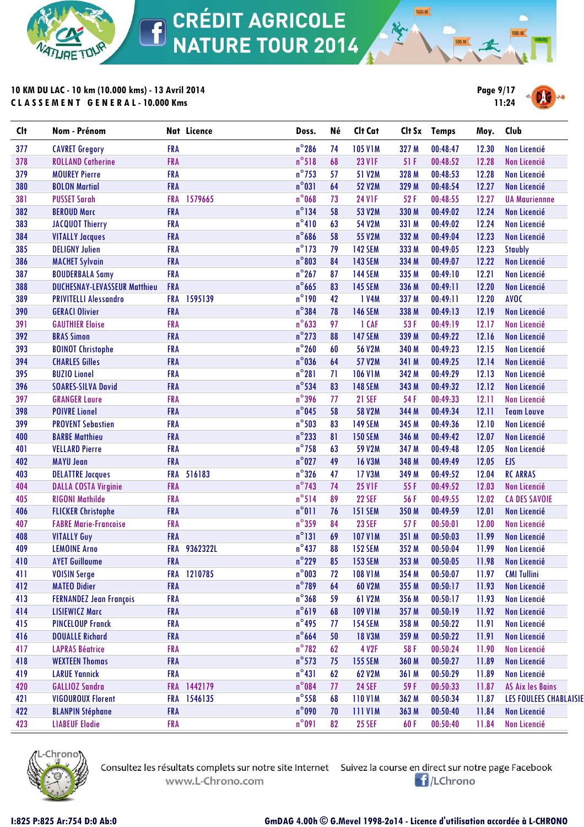

**CRÉDIT AGRICOLE**  $\overline{\textbf{f}}$ **NATURE TOUR 2014** 

### **10 KM DU LAC - 10 km (10.000 kms) - 13 Avril 2014 C L A S S E M E N T G E N E R A L - 10.000 Kms**



**1500 M** 





Consultez les résultats complets sur notre site Internet Suivez la course en direct sur notre page Facebook www.L-Chrono.com

**El**/LChrono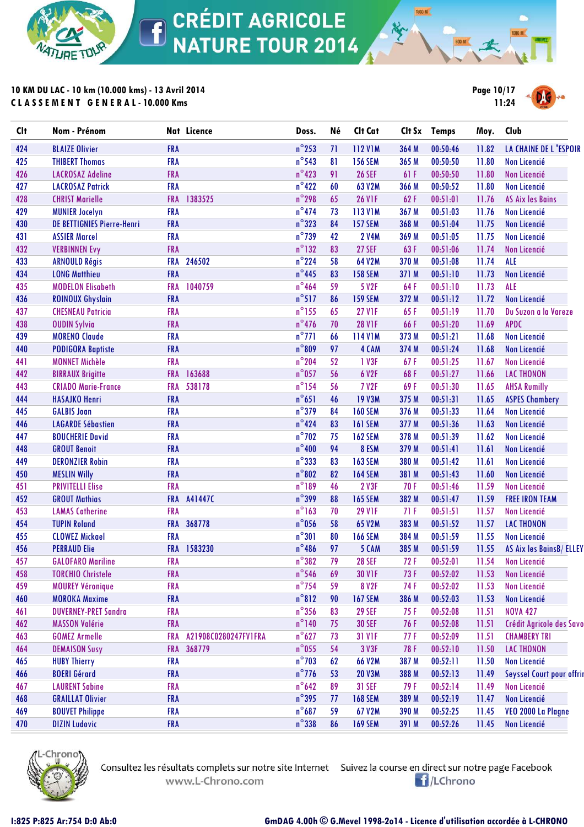

**10 KM DU LAC - 10 km (10.000 kms) - 13 Avril 2014 C L A S S E M E N T G E N E R A L - 10.000 Kms**



**1500 M** 

| <b>Clt</b> | Nom - Prénom                      |            | Nat Licence          | Doss.           | Né | Clt Cat        |       | Clt Sx Temps | Moy.  | Club                      |
|------------|-----------------------------------|------------|----------------------|-----------------|----|----------------|-------|--------------|-------|---------------------------|
| 424        | <b>BLAIZE Olivier</b>             | <b>FRA</b> |                      | $n^{\circ}$ 253 | 71 | <b>112 V1M</b> | 364 M | 00:50:46     | 11.82 | LA CHAINE DE L'ESPOIR     |
| 425        | <b>THIBERT Thomas</b>             | <b>FRA</b> |                      | $n^{\circ}$ 543 | 81 | <b>156 SEM</b> | 365 M | 00:50:50     | 11.80 | Non Licencié              |
| 426        | <b>LACROSAZ Adeline</b>           | <b>FRA</b> |                      | $n^{\circ}423$  | 91 | <b>26 SEF</b>  | 61 F  | 00:50:50     | 11.80 | Non Licencié              |
| 427        | <b>LACROSAZ Patrick</b>           | <b>FRA</b> |                      | $n^{\circ}422$  | 60 | 63 V2M         | 366 M | 00:50:52     | 11.80 | <b>Non Licencié</b>       |
| 428        | <b>CHRIST Marielle</b>            | <b>FRA</b> | 1383525              | $n^{\circ}$ 298 | 65 | <b>26 V1F</b>  | 62F   | 00:51:01     | 11.76 | <b>AS Aix les Bains</b>   |
| 429        | <b>MUNIER Jocelyn</b>             | <b>FRA</b> |                      | $n^{\circ}474$  | 73 | 113 V1M        | 367 M | 00:51:03     | 11.76 | <b>Non Licencié</b>       |
| 430        | <b>DE BETTIGNIES Pierre-Henri</b> | <b>FRA</b> |                      | $n^{\circ}323$  | 84 | <b>157 SEM</b> | 368 M | 00:51:04     | 11.75 | Non Licencié              |
| 431        | <b>ASSIER Marcel</b>              | <b>FRA</b> |                      | $n^{\circ}$ 739 | 42 | <b>2 V4M</b>   | 369 M | 00:51:05     | 11.75 | <b>Non Licencié</b>       |
| 432        | <b>VERBINNEN Evy</b>              | <b>FRA</b> |                      | $n^{\circ}$ 132 | 83 | <b>27 SEF</b>  | 63F   | 00:51:06     | 11.74 | Non Licencié              |
| 433        | <b>ARNOULD Régis</b>              | <b>FRA</b> | 246502               | $n^{\circ}$ 224 | 58 | 64 V2M         | 370 M | 00:51:08     | 11.74 | <b>ALE</b>                |
| 434        | <b>LONG Matthieu</b>              | <b>FRA</b> |                      | $n^{\circ}$ 445 | 83 | <b>158 SEM</b> | 371 M | 00:51:10     | 11.73 | Non Licencié              |
| 435        | <b>MODELON Elisabeth</b>          | <b>FRA</b> | 1040759              | $n^{\circ}$ 464 | 59 | 5 V2F          | 64F   | 00:51:10     | 11.73 | <b>ALE</b>                |
| 436        | <b>ROINOUX Ghyslain</b>           | <b>FRA</b> |                      | $n^{\circ}517$  | 86 | <b>159 SEM</b> | 372 M | 00:51:12     | 11.72 | <b>Non Licencié</b>       |
| 437        | <b>CHESNEAU Patricia</b>          | <b>FRA</b> |                      | $n^{\circ}$ 155 | 65 | <b>27 V1F</b>  | 65F   | 00:51:19     | 11.70 | Du Suzon a la Vareze      |
| 438        | <b>OUDIN Sylvia</b>               | <b>FRA</b> |                      | $n^{\circ}476$  | 70 | <b>28 V1F</b>  | 66F   | 00:51:20     | 11.69 | <b>APDC</b>               |
| 439        | <b>MORENO Claude</b>              | <b>FRA</b> |                      | $n^{\circ}$ 771 | 66 | 114 V1M        | 373 M | 00:51:21     | 11.68 | <b>Non Licencié</b>       |
| 440        | <b>PODIGORA Baptiste</b>          | <b>FRA</b> |                      | $n^{\circ}809$  | 97 | 4 CAM          | 374 M | 00:51:24     | 11.68 | Non Licencié              |
| 441        | <b>MONNET Michèle</b>             | <b>FRA</b> |                      | $n^{\circ}$ 204 | 52 | 1 V3F          | 67F   | 00:51:25     | 11.67 | <b>Non Licencié</b>       |
| 442        | <b>BIRRAUX Brigitte</b>           | <b>FRA</b> | 163688               | $n^{\circ}$ 057 | 56 | 6 V2F          | 68F   | 00:51:27     | 11.66 | <b>LAC THONON</b>         |
| 443        | <b>CRIADO Marie-France</b>        | <b>FRA</b> | 538178               | $n^{\circ}$ 154 | 56 | <b>7 V2F</b>   | 69F   | 00:51:30     | 11.65 | <b>AHSA Rumilly</b>       |
| 444        | <b>HASAJKO Henri</b>              | <b>FRA</b> |                      | $n^{\circ}651$  | 46 | <b>19 V3M</b>  | 375 M | 00:51:31     | 11.65 | <b>ASPES Chambery</b>     |
| 445        | <b>GALBIS Joan</b>                | <b>FRA</b> |                      | $n^{\circ}$ 379 | 84 | <b>160 SEM</b> | 376 M | 00:51:33     | 11.64 | <b>Non Licencié</b>       |
| 446        | <b>LAGARDE Sébastien</b>          | <b>FRA</b> |                      | $n^{\circ}$ 424 | 83 | <b>161 SEM</b> | 377 M | 00:51:36     | 11.63 | <b>Non Licencié</b>       |
| 447        | <b>BOUCHERIE David</b>            | <b>FRA</b> |                      | $n^{\circ}$ 702 | 75 | <b>162 SEM</b> | 378 M | 00:51:39     | 11.62 | <b>Non Licencié</b>       |
| 448        | <b>GROUT Benoit</b>               | <b>FRA</b> |                      | $n^{\circ}400$  | 94 | 8 ESM          | 379 M | 00:51:41     | 11.61 | Non Licencié              |
| 449        | <b>DERONZIER Robin</b>            | <b>FRA</b> |                      | $n^{\circ}$ 333 | 83 | <b>163 SEM</b> | 380 M | 00:51:42     | 11.61 | <b>Non Licencié</b>       |
| 450        | <b>MESLIN Willy</b>               | <b>FRA</b> |                      | $n^{\circ}802$  | 82 | <b>164 SEM</b> | 381 M | 00:51:43     | 11.60 | <b>Non Licencié</b>       |
| 451        | <b>PRIVITELLI Elise</b>           | <b>FRA</b> |                      | $n^{\circ}189$  | 46 | 2 V3F          | 70F   | 00:51:46     | 11.59 | Non Licencié              |
| 452        | <b>GROUT Mathias</b>              | <b>FRA</b> | A41447C              | $n^{\circ}$ 399 | 88 | <b>165 SEM</b> | 382 M | 00:51:47     | 11.59 | <b>FREE IRON TEAM</b>     |
| 453        | <b>LAMAS Catherine</b>            | <b>FRA</b> |                      | $n^{\circ}$ 163 | 70 | <b>29 V1F</b>  | 71F   | 00:51:51     | 11.57 | <b>Non Licencié</b>       |
| 454        | <b>TUPIN Roland</b>               | <b>FRA</b> | 368778               | $n^{\circ}$ 056 | 58 | 65 V2M         | 383 M | 00:51:52     | 11.57 | <b>LAC THONON</b>         |
| 455        | <b>CLOWEZ Mickael</b>             | <b>FRA</b> |                      | $n^{\circ}301$  | 80 | <b>166 SEM</b> | 384 M | 00:51:59     | 11.55 | Non Licencié              |
| 456        | <b>PERRAUD Elie</b>               | <b>FRA</b> | 1583230              | $n^{\circ}$ 486 | 97 | 5 CAM          | 385 M | 00:51:59     | 11.55 | AS Aix les BainsB/ELLEY   |
| 457        | <b>GALOFARO Mariline</b>          | <b>FRA</b> |                      | $n^{\circ}382$  | 79 | <b>28 SEF</b>  | 72F   | 00:52:01     | 11.54 | Non Licencié              |
| 458        | <b>TORCHIO Christele</b>          | <b>FRA</b> |                      | $n^{\circ}$ 546 | 69 | <b>30 V1F</b>  | 73 F  | 00:52:02     | 11.53 | Non Licencié              |
| 459        | <b>MOUREY Véronique</b>           | <b>FRA</b> |                      | $n^{\circ}$ 754 | 59 | <b>8 V2F</b>   | 74 F  | 00:52:02     | 11.53 | <b>Non Licencié</b>       |
| 460        | <b>MOROKA Maxime</b>              | <b>FRA</b> |                      | $n^{\circ}812$  | 90 | <b>167 SEM</b> | 386 M | 00:52:03     | 11.53 | <b>Non Licencié</b>       |
| 461        | <b>DUVERNEY-PRET Sandra</b>       | <b>FRA</b> |                      | $n^{\circ}$ 356 | 83 | <b>29 SEF</b>  | 75F   | 00:52:08     | 11.51 | <b>NOVA 427</b>           |
| 462        | <b>MASSON Valérie</b>             | <b>FRA</b> |                      | $n^{\circ}$ 140 | 75 | <b>30 SEF</b>  | 76 F  | 00:52:08     | 11.51 | Crédit Agricole des Savo  |
| 463        | <b>GOMEZ Armelle</b>              | <b>FRA</b> | A21908C0280247FV1FRA | $n^{\circ}627$  | 73 | 31 V1F         | 77 F  | 00:52:09     | 11.51 | <b>CHAMBERY TRI</b>       |
| 464        | <b>DEMAISON Susy</b>              | <b>FRA</b> | 368779               | $n^{\circ}$ 055 | 54 | 3 V3F          | 78 F  | 00:52:10     | 11.50 | <b>LAC THONON</b>         |
| 465        | <b>HUBY Thierry</b>               | <b>FRA</b> |                      | $n^{\circ}$ 703 | 62 | 66 V2M         | 387 M | 00:52:11     | 11.50 | Non Licencié              |
| 466        | <b>BOERI Gérard</b>               | <b>FRA</b> |                      | $n^{\circ}$ 776 | 53 | <b>20 V3M</b>  | 388 M | 00:52:13     | 11.49 | Seyssel Court pour offrir |
| 467        | <b>LAURENT Sabine</b>             | <b>FRA</b> |                      | $n^{\circ}642$  | 89 | <b>31 SEF</b>  | 79 F  | 00:52:14     | 11.49 | Non Licencié              |
| 468        | <b>GRAILLAT Olivier</b>           | <b>FRA</b> |                      | $n^{\circ}$ 395 | 77 | <b>168 SEM</b> | 389 M | 00:52:19     | 11.47 | Non Licencié              |
| 469        | <b>BOUVET Philippe</b>            | <b>FRA</b> |                      | $n^{\circ}687$  | 59 | 67 V2M         | 390 M | 00:52:25     | 11.45 | VEO 2000 La Plagne        |
| 470        | <b>DIZIN Ludovic</b>              | <b>FRA</b> |                      | $n^{\circ}$ 338 | 86 | <b>169 SEM</b> | 391 M | 00:52:26     | 11.45 | Non Licencié              |



www.L-Chrono.com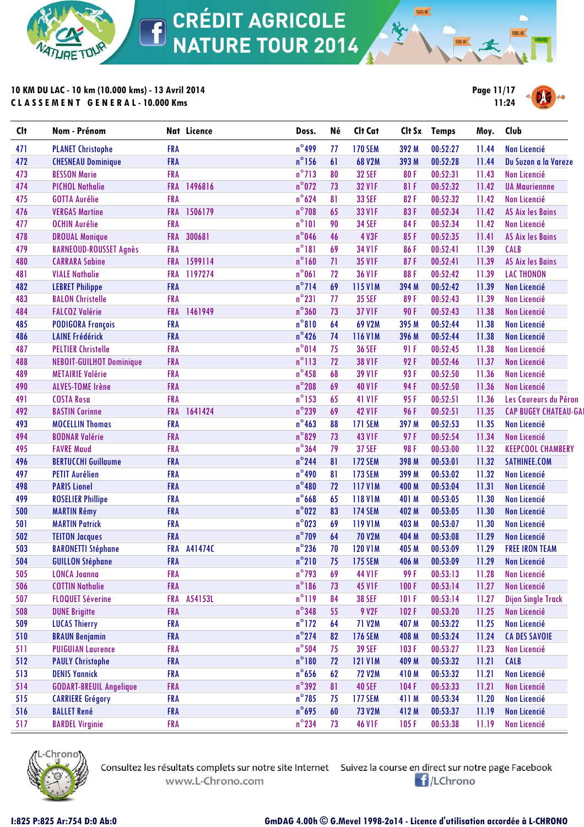

**10 KM DU LAC - 10 km (10.000 kms) - 13 Avril 2014 C L A S S E M E N T G E N E R A L - 10.000 Kms**



**1500 M** 

| <b>Clt</b> | Nom - Prénom                    |            | Nat Licence | Doss.           | Né              | Clt Cat        | Clt Sx | <b>Temps</b> | Moy.  | Club                         |
|------------|---------------------------------|------------|-------------|-----------------|-----------------|----------------|--------|--------------|-------|------------------------------|
| 471        | <b>PLANET Christophe</b>        | <b>FRA</b> |             | $n^{\circ}$ 499 | 77              | <b>170 SEM</b> | 392 M  | 00:52:27     | 11.44 | <b>Non Licencié</b>          |
| 472        | <b>CHESNEAU Dominique</b>       | <b>FRA</b> |             | $n^{\circ}$ 156 | 61              | <b>68 V2M</b>  | 393 M  | 00:52:28     | 11.44 | Du Suzon a la Vareze         |
| 473        | <b>BESSON Marie</b>             | <b>FRA</b> |             | $n^{\circ}$ 713 | 80              | <b>32 SEF</b>  | 80F    | 00:52:31     | 11.43 | <b>Non Licencié</b>          |
| 474        | <b>PICHOL Nathalie</b>          | <b>FRA</b> | 1496816     | $n^{\circ}$ 072 | 73              | <b>32 V1F</b>  | 81 F   | 00:52:32     | 11.42 | <b>UA Mauriennne</b>         |
| 475        | <b>GOTTA Aurélie</b>            | <b>FRA</b> |             | $n^{\circ}624$  | 81              | <b>33 SEF</b>  | 82F    | 00:52:32     | 11.42 | <b>Non Licencié</b>          |
| 476        | <b>VERGAS Martine</b>           | <b>FRA</b> | 1506179     | $n^{\circ}$ 708 | 65              | 33 V1F         | 83F    | 00:52:34     | 11.42 | <b>AS Aix les Bains</b>      |
| 477        | <b>OCHIN Aurélie</b>            | <b>FRA</b> |             | $n^{\circ}101$  | 90              | <b>34 SEF</b>  | 84F    | 00:52:34     | 11.42 | <b>Non Licencié</b>          |
| 478        | <b>DROUAL Monique</b>           | <b>FRA</b> | 300681      | $n^{\circ}$ 046 | 46              | 4 V3F          | 85F    | 00:52:35     | 11.41 | <b>AS Aix les Bains</b>      |
| 479        | <b>BARNEOUD-ROUSSET Agnès</b>   | <b>FRA</b> |             | $n^{\circ}181$  | 69              | <b>34 V1F</b>  | 86F    | 00:52:41     | 11.39 | <b>CALB</b>                  |
| 480        | <b>CARRARA Sabine</b>           | <b>FRA</b> | 1599114     | $n^{\circ}$ 160 | 71              | <b>35 V1F</b>  | 87F    | 00:52:41     | 11.39 | <b>AS Aix les Bains</b>      |
| 481        | <b>VIALE Nathalie</b>           | <b>FRA</b> | 1197274     | $n^{\circ}061$  | 72              | <b>36 V1F</b>  | 88F    | 00:52:42     | 11.39 | <b>LAC THONON</b>            |
| 482        | <b>LEBRET Philippe</b>          | <b>FRA</b> |             | $n^{\circ}$ 714 | 69              | <b>115 V1M</b> | 394 M  | 00:52:42     | 11.39 | Non Licencié                 |
| 483        | <b>BALON Christelle</b>         | <b>FRA</b> |             | $n^{\circ}231$  | 77              | <b>35 SEF</b>  | 89F    | 00:52:43     | 11.39 | <b>Non Licencié</b>          |
| 484        | <b>FALCOZ Valérie</b>           | <b>FRA</b> | 1461949     | $n^{\circ}360$  | 73              | <b>37 V1F</b>  | 90F    | 00:52:43     | 11.38 | Non Licencié                 |
| 485        | <b>PODIGORA François</b>        | <b>FRA</b> |             | $n^{\circ}810$  | 64              | 69 V2M         | 395 M  | 00:52:44     | 11.38 | <b>Non Licencié</b>          |
| 486        | <b>LAINE Frédérick</b>          | <b>FRA</b> |             | $n^{\circ}$ 426 | 74              | <b>116 V1M</b> | 396 M  | 00:52:44     | 11.38 | <b>Non Licencié</b>          |
| 487        | <b>PELTIER Christelle</b>       | <b>FRA</b> |             | $n^{\circ}014$  | 75              | <b>36 SEF</b>  | 91 F   | 00:52:45     | 11.38 | Non Licencié                 |
| 488        | <b>NEBOIT-GUILHOT Dominique</b> | <b>FRA</b> |             | $n^{\circ}113$  | 72              | <b>38 V1F</b>  | 92F    | 00:52:46     | 11.37 | Non Licencié                 |
| 489        | <b>METAIRIE Valérie</b>         | <b>FRA</b> |             | $n^{\circ}$ 458 | 68              | <b>39 V1F</b>  | 93F    | 00:52:50     | 11.36 | <b>Non Licencié</b>          |
| 490        | <b>ALVES-TOME Irène</b>         | <b>FRA</b> |             | $n^{\circ}$ 208 | 69              | <b>40 V1F</b>  | 94F    | 00:52:50     | 11.36 | Non Licencié                 |
| 491        | <b>COSTA Rosa</b>               | <b>FRA</b> |             | $n^{\circ}$ 153 | 65              | <b>41 V1F</b>  | 95F    | 00:52:51     | 11.36 | Les Coureurs du Péron        |
| 492        | <b>BASTIN Corinne</b>           | <b>FRA</b> | 1641424     | $n^{\circ}$ 239 | 69              | <b>42 V1F</b>  | 96F    | 00:52:51     | 11.35 | <b>CAP BUGEY CHATEAU-GAI</b> |
| 493        | <b>MOCELLIN Thomas</b>          | <b>FRA</b> |             | $n^{\circ}$ 463 | 88              | <b>171 SEM</b> | 397 M  | 00:52:53     | 11.35 | Non Licencié                 |
| 494        | <b>BODNAR Valérie</b>           | <b>FRA</b> |             | $n^{\circ}829$  | 73              | <b>43 V1F</b>  | 97F    | 00:52:54     | 11.34 | Non Licencié                 |
| 495        | <b>FAVRE Maud</b>               | <b>FRA</b> |             | $n^{\circ}364$  | 79              | <b>37 SEF</b>  | 98F    | 00:53:00     | 11.32 | <b>KEEPCOOL CHAMBERY</b>     |
| 496        | <b>BERTUCCHI Guillaume</b>      | <b>FRA</b> |             | $n^{\circ}$ 244 | 81              | <b>172 SEM</b> | 398 M  | 00:53:01     | 11.32 | SATHINEE.COM                 |
| 497        | <b>PETIT Aurélien</b>           | <b>FRA</b> |             | $n^{\circ}$ 490 | 81              | <b>173 SEM</b> | 399 M  | 00:53:02     | 11.32 | Non Licencié                 |
| 498        | <b>PARIS Lionel</b>             | <b>FRA</b> |             | $n^{\circ}480$  | 72              | <b>117 V1M</b> | 400 M  | 00:53:04     | 11.31 | <b>Non Licencié</b>          |
| 499        | <b>ROSELIER Phillipe</b>        | <b>FRA</b> |             | $n^{\circ}$ 668 | 65              | <b>118 V1M</b> | 401 M  | 00:53:05     | 11.30 | Non Licencié                 |
| 500        | <b>MARTIN Rémy</b>              | <b>FRA</b> |             | $n^{\circ}022$  | 83              | <b>174 SEM</b> | 402 M  | 00:53:05     | 11.30 | <b>Non Licencié</b>          |
| 501        | <b>MARTIN Patrick</b>           | <b>FRA</b> |             | $n^{\circ}023$  | 69              | <b>119 V1M</b> | 403 M  | 00:53:07     | 11.30 | Non Licencié                 |
| 502        | <b>TEITON Jacques</b>           | <b>FRA</b> |             | $n^{\circ}$ 709 | 64              | <b>70 V2M</b>  | 404 M  | 00:53:08     | 11.29 | <b>Non Licencié</b>          |
| 503        | <b>BARONETTI Stéphane</b>       | <b>FRA</b> | A41474C     | $n^{\circ}$ 236 | 70              | <b>120 V1M</b> | 405 M  | 00:53:09     | 11.29 | <b>FREE IRON TEAM</b>        |
| 504        | <b>GUILLON Stéphane</b>         | <b>FRA</b> |             | $n^{\circ}210$  | 75 <sub>1</sub> | <b>175 SEM</b> | 406 M  | 00:53:09     | 11.29 | Non Licencié                 |
| 505        | <b>LONCA Joanna</b>             | <b>FRA</b> |             | $n^{\circ}$ 793 | 69              | <b>44 V1F</b>  | 99 F   | 00:53:13     | 11.28 | Non Licencié                 |
| 506        | <b>COTTIN Nathalie</b>          | <b>FRA</b> |             | $n^{\circ}$ 186 | 73              | <b>45 V1F</b>  | 100F   | 00:53:14     | 11.27 | Non Licencié                 |
| 507        | <b>FLOQUET Séverine</b>         | <b>FRA</b> | A54153L     | $n^{\circ}119$  | 84              | <b>38 SEF</b>  | 101F   | 00:53:14     | 11.27 | <b>Dijon Single Track</b>    |
| 508        | <b>DUNE Brigitte</b>            | <b>FRA</b> |             | $n^{\circ}348$  | 55              | 9 V2F          | 102F   | 00:53:20     | 11.25 | Non Licencié                 |
| 509        | <b>LUCAS Thierry</b>            | <b>FRA</b> |             | $n^{\circ}$ 172 | 64              | <b>71 V2M</b>  | 407 M  | 00:53:22     | 11.25 | Non Licencié                 |
| 510        | <b>BRAUN Benjamin</b>           | <b>FRA</b> |             | $n^{\circ}$ 274 | 82              | <b>176 SEM</b> | 408 M  | 00:53:24     | 11.24 | <b>CA DES SAVOIE</b>         |
| 511        | <b>PUIGUIAN Laurence</b>        | <b>FRA</b> |             | $n^{\circ}$ 504 | 75              | <b>39 SEF</b>  | 103F   | 00:53:27     | 11.23 | Non Licencié                 |
| 512        | <b>PAULY Christophe</b>         | <b>FRA</b> |             | $n^{\circ}180$  | 72              | <b>121 V1M</b> | 409 M  | 00:53:32     | 11.21 | <b>CALB</b>                  |
| 513        | <b>DENIS Yannick</b>            | <b>FRA</b> |             | $n^{\circ}$ 656 | 62              | <b>72 V2M</b>  | 410 M  | 00:53:32     | 11.21 | Non Licencié                 |
| 514        | <b>GODART-BREUIL Angelique</b>  | <b>FRA</b> |             | $n^{\circ}$ 392 | 81              | <b>40 SEF</b>  | 104F   | 00:53:33     | 11.21 | Non Licencié                 |
| 515        | <b>CARRIERE Grégory</b>         | <b>FRA</b> |             | $n^{\circ}$ 785 | 75              | <b>177 SEM</b> | 411 M  | 00:53:34     | 11.20 | Non Licencié                 |
| 516        | <b>BALLET René</b>              | <b>FRA</b> |             | $n^{\circ}$ 695 | 60              | <b>73 V2M</b>  | 412 M  | 00:53:37     | 11.19 | Non Licencié                 |
| 517        | <b>BARDEL Virginie</b>          | <b>FRA</b> |             | $n^{\circ}$ 234 | 73              | <b>46 V1F</b>  | 105F   | 00:53:38     | 11.19 | Non Licencié                 |



Consultez les résultats complets sur notre site Internet Suivez la course en direct sur notre page Facebook www.L-Chrono.com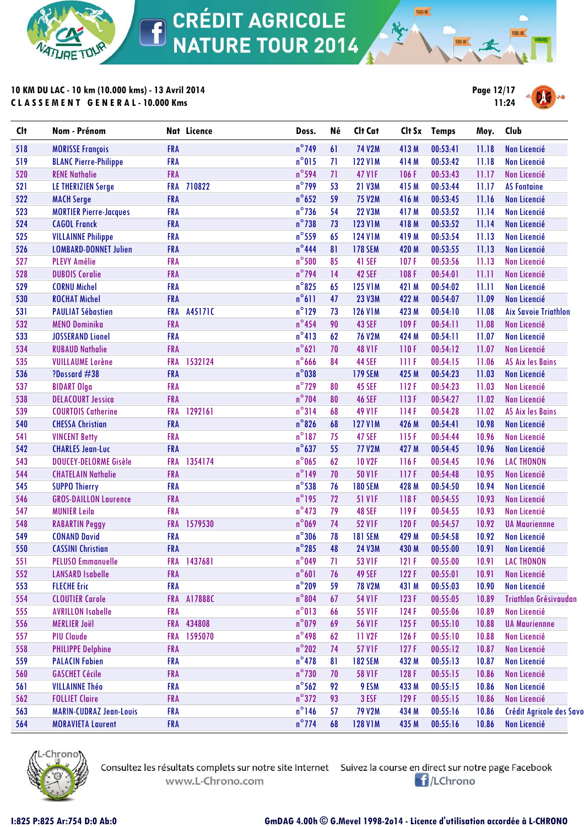

**10 KM DU LAC - 10 km (10.000 kms) - 13 Avril 2014 C L A S S E M E N T G E N E R A L - 10.000 Kms**



**1500 M** 



| <b>Clt</b> | Nom - Prénom                   |            | Nat Licence | Doss.           | Né | Clt Cat        |             | Clt Sx Temps | Moy.  | Club                        |
|------------|--------------------------------|------------|-------------|-----------------|----|----------------|-------------|--------------|-------|-----------------------------|
| 518        | <b>MORISSE François</b>        | <b>FRA</b> |             | $n^{\circ}$ 749 | 61 | <b>74 V2M</b>  | 413 M       | 00:53:41     | 11.18 | Non Licencié                |
| 519        | <b>BLANC Pierre-Philippe</b>   | <b>FRA</b> |             | $n^{\circ}015$  | 71 | <b>122 V1M</b> | 414 M       | 00:53:42     | 11.18 | <b>Non Licencié</b>         |
| 520        | <b>RENE Nathalie</b>           | <b>FRA</b> |             | $n^{\circ}$ 594 | 71 | <b>47 V1F</b>  | 106F        | 00:53:43     | 11.17 | Non Licencié                |
| 521        | <b>LE THERIZIEN Serge</b>      | <b>FRA</b> | 710822      | $n^{\circ}$ 799 | 53 | <b>21 V3M</b>  | 415 M       | 00:53:44     | 11.17 | <b>AS Fontaine</b>          |
| 522        | <b>MACH Serge</b>              | <b>FRA</b> |             | $n^{\circ}$ 652 | 59 | <b>75 V2M</b>  | 416 M       | 00:53:45     | 11.16 | Non Licencié                |
| 523        | <b>MORTIER Pierre-Jacques</b>  | <b>FRA</b> |             | $n^{\circ}$ 736 | 54 | <b>22 V3M</b>  | 417 M       | 00:53:52     | 11.14 | Non Licencié                |
| 524        | <b>CAGOL Franck</b>            | <b>FRA</b> |             | $n^{\circ}$ 738 | 73 | <b>123 V1M</b> | 418 M       | 00:53:52     | 11.14 | <b>Non Licencié</b>         |
| 525        | <b>VILLAINNE Philippe</b>      | <b>FRA</b> |             | $n^{\circ}$ 559 | 65 | <b>124 V1M</b> | 419 M       | 00:53:54     | 11.13 | <b>Non Licencié</b>         |
| 526        | <b>LOMBARD-DONNET Julien</b>   | <b>FRA</b> |             | $n^{\circ}$ 444 | 81 | <b>178 SEM</b> | 420 M       | 00:53:55     | 11.13 | Non Licencié                |
| 527        | <b>PLEVY Amélie</b>            | <b>FRA</b> |             | $n^{\circ}$ 500 | 85 | 41 SEF         | 107F        | 00:53:56     | 11.13 | <b>Non Licencié</b>         |
| 528        | <b>DUBOIS Coralie</b>          | <b>FRA</b> |             | $n^{\circ}$ 794 | 14 | <b>42 SEF</b>  | 108F        | 00:54:01     | 11.11 | Non Licencié                |
| 529        | <b>CORNU Michel</b>            | <b>FRA</b> |             | $n^{\circ}$ 825 | 65 | <b>125 V1M</b> | 421 M       | 00:54:02     | 11.11 | Non Licencié                |
| 530        | <b>ROCHAT Michel</b>           | <b>FRA</b> |             | $n^{\circ}611$  | 47 | <b>23 V3M</b>  | 422 M       | 00:54:07     | 11.09 | Non Licencié                |
| 531        | <b>PAULIAT Sébastien</b>       | <b>FRA</b> | A45171C     | $n^{\circ}$ 129 | 73 | <b>126 V1M</b> | 423 M       | 00:54:10     | 11.08 | <b>Aix Savoie Triathlon</b> |
| 532        | <b>MENO Dominika</b>           | FRA        |             | $n^{\circ}$ 454 | 90 | 43 SEF         | 109F        | 00:54:11     | 11.08 | Non Licencié                |
| 533        | <b>JOSSERAND Lionel</b>        | <b>FRA</b> |             | $n^{\circ}413$  | 62 | <b>76 V2M</b>  | 424 M       | 00:54:11     | 11.07 | <b>Non Licencié</b>         |
| 534        | <b>RUBAUD Nathalie</b>         | <b>FRA</b> |             | $n^{\circ}621$  | 70 | <b>48 V1F</b>  | 110F        | 00:54:12     | 11.07 | <b>Non Licencié</b>         |
| 535        | <b>VUILLAUME Lorène</b>        | <b>FRA</b> | 1532124     | $n^{\circ}$ 666 | 84 | <b>44 SEF</b>  | <b>IIIF</b> | 00:54:15     | 11.06 | <b>AS Aix les Bains</b>     |
| 536        | ?Dossard #38                   | <b>FRA</b> |             | $n^{\circ}$ 038 |    | <b>179 SEM</b> | 425 M       | 00:54:23     | 11.03 | Non Licencié                |
| 537        | <b>BIDART Olga</b>             | <b>FRA</b> |             | $n^{\circ}$ 729 | 80 | <b>45 SEF</b>  | 112F        | 00:54:23     | 11.03 | <b>Non Licencié</b>         |
| 538        | <b>DELACOURT Jessica</b>       | <b>FRA</b> |             | $n^{\circ}$ 704 | 80 | <b>46 SEF</b>  | 113F        | 00:54:27     | 11.02 | <b>Non Licencié</b>         |
| 539        | <b>COURTOIS Catherine</b>      | <b>FRA</b> | 1292161     | $n^{\circ}314$  | 68 | <b>49 V1F</b>  | 114F        | 00:54:28     | 11.02 | <b>AS Aix les Bains</b>     |
| 540        | <b>CHESSA Christian</b>        | <b>FRA</b> |             | $n^{\circ}$ 826 | 68 | <b>127 V1M</b> | 426 M       | 00:54:41     | 10.98 | <b>Non Licencié</b>         |
| 541        | <b>VINCENT Betty</b>           | <b>FRA</b> |             | $n^{\circ}187$  | 75 | <b>47 SEF</b>  | 115F        | 00:54:44     | 10.96 | <b>Non Licencié</b>         |
| 542        | <b>CHARLES Jean-Luc</b>        | <b>FRA</b> |             | $n^{\circ}637$  | 55 | 77 V2M         | 427 M       | 00:54:45     | 10.96 | Non Licencié                |
| 543        | DOUCEY-DELORME Gisèle          | <b>FRA</b> | 1354174     | $n^{\circ}$ 065 | 62 | <b>10 V2F</b>  | 116F        | 00:54:45     | 10.96 | <b>LAC THONON</b>           |
| 544        | <b>CHATELAIN Nathalie</b>      | <b>FRA</b> |             | $n^{\circ}$ 149 | 70 | <b>50 V1F</b>  | 117F        | 00:54:48     | 10.95 | Non Licencié                |
| 545        | <b>SUPPO Thierry</b>           | <b>FRA</b> |             | $n^{\circ}$ 538 | 76 | <b>180 SEM</b> | 428 M       | 00:54:50     | 10.94 | <b>Non Licencié</b>         |
| 546        | <b>GROS-DAILLON Laurence</b>   | <b>FRA</b> |             | $n^{\circ}$ 195 | 72 | <b>51 V1F</b>  | 118F        | 00:54:55     | 10.93 | <b>Non Licencié</b>         |
| 547        | <b>MUNIER Leila</b>            | <b>FRA</b> |             | $n^{\circ}$ 473 | 79 | 48 SEF         | 119F        | 00:54:55     | 10.93 | <b>Non Licencié</b>         |
| 548        | <b>RABARTIN Peggy</b>          | <b>FRA</b> | 1579530     | $n^{\circ}$ 069 | 74 | <b>52 V1F</b>  | 120F        | 00:54:57     | 10.92 | <b>UA Mauriennne</b>        |
| 549        | <b>CONAND David</b>            | <b>FRA</b> |             | $n^{\circ}$ 306 | 78 | <b>181 SEM</b> | 429 M       | 00:54:58     | 10.92 | <b>Non Licencié</b>         |
| 550        | <b>CASSINI Christian</b>       | <b>FRA</b> |             | $n^{\circ}$ 285 | 48 | <b>24 V3M</b>  | 430 M       | 00:55:00     | 10.91 | <b>Non Licencié</b>         |
| 551        | <b>PELUSO Emmanuelle</b>       |            | FRA 1437681 | $n^{\circ}$ 049 | 71 | 53 V1F         | 121F        | 00:55:00     | 10.91 | <b>LAC THONON</b>           |
| 552        | <b>LANSARD Isabelle</b>        | <b>FRA</b> |             | $n^{\circ}601$  | 76 | <b>49 SEF</b>  | 122F        | 00:55:01     | 10.91 | Non Licencié                |
| 553        | <b>FLECHE Eric</b>             | <b>FRA</b> |             | $n^{\circ}$ 209 | 59 | <b>78 V2M</b>  | 431 M       | 00:55:03     | 10.90 | Non Licencié                |
| 554        | <b>CLOUTIER Carole</b>         | <b>FRA</b> | A17888C     | $n^{\circ}804$  | 67 | <b>54 VIF</b>  | 123F        | 00:55:05     | 10.89 | Triathlon Grésivaudan       |
| 555        | <b>AVRILLON Isabelle</b>       | <b>FRA</b> |             | $n^{\circ}013$  | 66 | 55 V1F         | 124F        | 00:55:06     | 10.89 | Non Licencié                |
| 556        | <b>MERLIER Joël</b>            | <b>FRA</b> | 434808      | $n^{\circ}$ 079 | 69 | <b>56 VIF</b>  | 125F        | 00:55:10     | 10.88 | <b>UA Mauriennne</b>        |
| 557        | <b>PIU Claude</b>              | <b>FRA</b> | 1595070     | $n^{\circ}$ 498 | 62 | 11 V2F         | 126F        | 00:55:10     | 10.88 | Non Licencié                |
| 558        | <b>PHILIPPE Delphine</b>       | <b>FRA</b> |             | $n^{\circ}$ 202 | 74 | 57 V1F         | 127F        | 00:55:12     | 10.87 | Non Licencié                |
| 559        | <b>PALACIN Fabien</b>          | <b>FRA</b> |             | $n^{\circ}$ 478 | 81 | <b>182 SEM</b> | 432 M       | 00:55:13     | 10.87 | Non Licencié                |
| 560        | <b>GASCHET Cécile</b>          | <b>FRA</b> |             | $n^{\circ}$ 730 | 70 | <b>58 VIF</b>  | 128F        | 00:55:15     | 10.86 | Non Licencié                |
| 561        | <b>VILLAINNE Théo</b>          | <b>FRA</b> |             | $n^{\circ}$ 562 | 92 | 9 ESM          | 433 M       | 00:55:15     | 10.86 | Non Licencié                |
| 562        | <b>FOLLIET Claire</b>          | <b>FRA</b> |             | $n^{\circ}372$  | 93 | 3 ESF          | 129F        | 00:55:15     | 10.86 | Non Licencié                |
| 563        | <b>MARIN-CUDRAZ Jean-Louis</b> | <b>FRA</b> |             | $n^{\circ}$ 146 | 57 | <b>79 V2M</b>  | 434 M       | 00:55:16     | 10.86 | Crédit Agricole des Savo    |
| 564        | <b>MORAVIETA Laurent</b>       | <b>FRA</b> |             | $n^{\circ}$ 774 | 68 | <b>128 V1M</b> | 435 M       | 00:55:16     | 10.86 | Non Licencié                |
|            |                                |            |             |                 |    |                |             |              |       |                             |



Consultez les résultats complets sur notre site Internet Suivez la course en direct sur notre page Facebook www.L-Chrono.com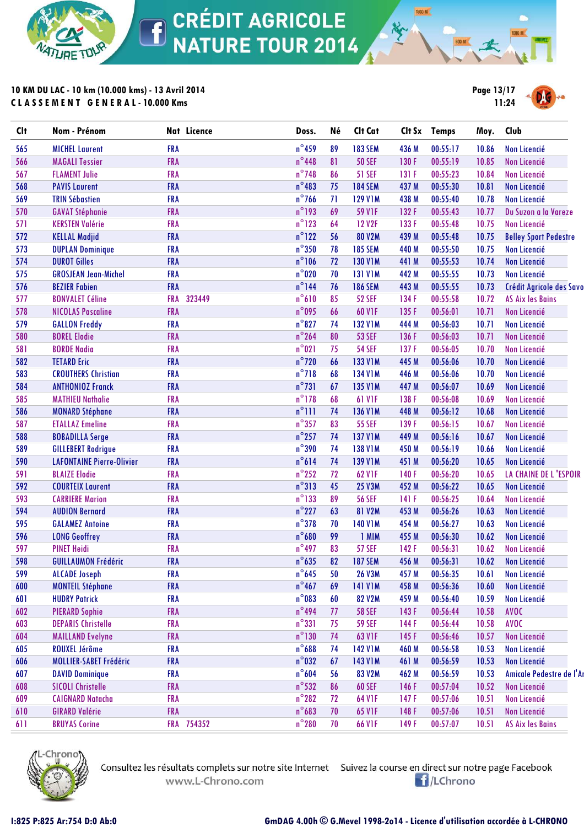

**10 KM DU LAC - 10 km (10.000 kms) - 13 Avril 2014 C L A S S E M E N T G E N E R A L - 10.000 Kms**



**1500 M** 

| <b>Clt</b> | Nom - Prénom                     | Nat Licence          | Doss.           | Né | Clt Cat        |       | Clt Sx Temps | Moy.  | Club                         |
|------------|----------------------------------|----------------------|-----------------|----|----------------|-------|--------------|-------|------------------------------|
| 565        | <b>MICHEL Laurent</b>            | <b>FRA</b>           | $n^{\circ}$ 459 | 89 | <b>183 SEM</b> | 436 M | 00:55:17     | 10.86 | <b>Non Licencié</b>          |
| 566        | <b>MAGALI Tessier</b>            | FRA                  | $n^{\circ}$ 448 | 81 | <b>50 SEF</b>  | 130 F | 00:55:19     | 10.85 | <b>Non Licencié</b>          |
| 567        | <b>FLAMENT Julie</b>             | <b>FRA</b>           | $n^{\circ}$ 748 | 86 | <b>51 SEF</b>  | 131 F | 00:55:23     | 10.84 | <b>Non Licencié</b>          |
| 568        | <b>PAVIS Laurent</b>             | <b>FRA</b>           | $n^{\circ}483$  | 75 | <b>184 SEM</b> | 437 M | 00:55:30     | 10.81 | <b>Non Licencié</b>          |
| 569        | <b>TRIN Sébastien</b>            | <b>FRA</b>           | $n^{\circ}$ 766 | 71 | <b>129 V1M</b> | 438 M | 00:55:40     | 10.78 | <b>Non Licencié</b>          |
| 570        | <b>GAVAT Stéphanie</b>           | FRA                  | $n^{\circ}$ 193 | 69 | <b>59 V1F</b>  | 132 F | 00:55:43     | 10.77 | Du Suzon a la Vareze         |
| 571        | <b>KERSTEN Valérie</b>           | <b>FRA</b>           | $n^{\circ}$ 123 | 64 | <b>12 V2F</b>  | 133 F | 00:55:48     | 10.75 | <b>Non Licencié</b>          |
| 572        | <b>KELLAL Madjid</b>             | <b>FRA</b>           | $n^{\circ}$ 122 | 56 | <b>80 V2M</b>  | 439 M | 00:55:48     | 10.75 | <b>Belley Sport Pedestre</b> |
| 573        | <b>DUPLAN Dominique</b>          | <b>FRA</b>           | $n^{\circ}350$  | 78 | <b>185 SEM</b> | 440 M | 00:55:50     | 10.75 | Non Licencié                 |
| 574        | <b>DUROT Gilles</b>              | <b>FRA</b>           | $n^{\circ}106$  | 72 | <b>130 V1M</b> | 441 M | 00:55:53     | 10.74 | <b>Non Licencié</b>          |
| 575        | <b>GROSJEAN Jean-Michel</b>      | <b>FRA</b>           | $n^{\circ}$ 020 | 70 | <b>131 V1M</b> | 442 M | 00:55:55     | 10.73 | <b>Non Licencié</b>          |
| 576        | <b>BEZIER Fabien</b>             | <b>FRA</b>           | $n^{\circ}$ 144 | 76 | <b>186 SEM</b> | 443 M | 00:55:55     | 10.73 | Crédit Agricole des Savo     |
| 577        | <b>BONVALET Céline</b>           | 323449<br><b>FRA</b> | $n^{\circ}610$  | 85 | <b>52 SEF</b>  | 134 F | 00:55:58     | 10.72 | <b>AS Aix les Bains</b>      |
| 578        | <b>NICOLAS Pascaline</b>         | FRA                  | $n^{\circ}$ 095 | 66 | 60 V1F         | 135 F | 00:56:01     | 10.71 | <b>Non Licencié</b>          |
| 579        | <b>GALLON Freddy</b>             | <b>FRA</b>           | $n^{\circ}827$  | 74 | <b>132 V1M</b> | 444 M | 00:56:03     | 10.71 | <b>Non Licencié</b>          |
| 580        | <b>BOREL Elodie</b>              | <b>FRA</b>           | $n^{\circ}$ 264 | 80 | <b>53 SEF</b>  | 136 F | 00:56:03     | 10.71 | <b>Non Licencié</b>          |
| 581        | <b>BORDE Nadia</b>               | <b>FRA</b>           | $n^{\circ}021$  | 75 | <b>54 SEF</b>  | 137F  | 00:56:05     | 10.70 | Non Licencié                 |
| 582        | <b>TETARD Eric</b>               | <b>FRA</b>           | $n^{\circ}$ 720 | 66 | <b>133 V1M</b> | 445 M | 00:56:06     | 10.70 | Non Licencié                 |
| 583        | <b>CROUTHERS Christian</b>       | <b>FRA</b>           | $n^{\circ}718$  | 68 | <b>134 V1M</b> | 446 M | 00:56:06     | 10.70 | Non Licencié                 |
| 584        | <b>ANTHONIOZ Franck</b>          | <b>FRA</b>           | $n^{\circ}731$  | 67 | <b>135 V1M</b> | 447 M | 00:56:07     | 10.69 | <b>Non Licencié</b>          |
| 585        | <b>MATHIEU Nathalie</b>          | <b>FRA</b>           | $n^{\circ}$ 178 | 68 | <b>61 V1F</b>  | 138 F | 00:56:08     | 10.69 | Non Licencié                 |
| 586        | <b>MONARD Stéphane</b>           | <b>FRA</b>           | $n^{\circ}$ 111 | 74 | <b>136 V1M</b> | 448 M | 00:56:12     | 10.68 | Non Licencié                 |
| 587        | <b>ETALLAZ Emeline</b>           | <b>FRA</b>           | $n^{\circ}$ 357 | 83 | <b>55 SEF</b>  | 139F  | 00:56:15     | 10.67 | Non Licencié                 |
| 588        | <b>BOBADILLA Serge</b>           | FRA                  | $n^{\circ}$ 257 | 74 | <b>137 V1M</b> | 449 M | 00:56:16     | 10.67 | Non Licencié                 |
| 589        | <b>GILLEBERT Rodrigue</b>        | <b>FRA</b>           | $n^{\circ}$ 390 | 74 | <b>138 V1M</b> | 450 M | 00:56:19     | 10.66 | Non Licencié                 |
| 590        | <b>LAFONTAINE Pierre-Olivier</b> | <b>FRA</b>           | $n^{\circ}614$  | 74 | <b>139 V1M</b> | 451 M | 00:56:20     | 10.65 | Non Licencié                 |
| 591        | <b>BLAIZE Elodie</b>             | <b>FRA</b>           | $n^{\circ}$ 252 | 72 | 62 V1F         | 140F  | 00:56:20     | 10.65 | LA CHAINE DE L'ESPOIR        |
| 592        | <b>COURTEIX Laurent</b>          | <b>FRA</b>           | $n^{\circ}313$  | 45 | <b>25 V3M</b>  | 452 M | 00:56:22     | 10.65 | <b>Non Licencié</b>          |
| 593        | <b>CARRIERE Marion</b>           | <b>FRA</b>           | $n^{\circ}$ 133 | 89 | <b>56 SEF</b>  | 141 F | 00:56:25     | 10.64 | <b>Non Licencié</b>          |
| 594        | <b>AUDION Bernard</b>            | <b>FRA</b>           | $n^{\circ}$ 227 | 63 | 81 V2M         | 453 M | 00:56:26     | 10.63 | <b>Non Licencié</b>          |
| 595        | <b>GALAMEZ Antoine</b>           | <b>FRA</b>           | $n^{\circ}378$  | 70 | <b>140 V1M</b> | 454 M | 00:56:27     | 10.63 | <b>Non Licencié</b>          |
| 596        | <b>LONG Geoffrey</b>             | FRA                  | $n^{\circ}680$  | 99 | 1 MIM          | 455 M | 00:56:30     | 10.62 | <b>Non Licencié</b>          |
| 597        | <b>PINET Heidi</b>               | <b>FRA</b>           | $n^{\circ}$ 497 | 83 | <b>57 SEF</b>  | 142F  | 00:56:31     | 10.62 | Non Licencié                 |
| 598        | <b>GUILLAUMON Frédéric</b>       | <b>FRA</b>           | $n^{\circ}$ 635 | 82 | <b>187 SEM</b> | 456 M | 00:56:31     |       | 10.62 Non Licencié           |
| 599        | <b>ALCADE Joseph</b>             | <b>FRA</b>           | $n^{\circ}$ 645 | 50 | <b>26 V3M</b>  | 457 M | 00:56:35     | 10.61 | Non Licencié                 |
| 600        | <b>MONTEIL Stéphane</b>          | <b>FRA</b>           | $n^{\circ}$ 467 | 69 | <b>141 V1M</b> | 458 M | 00:56:36     | 10.60 | <b>Non Licencié</b>          |
| 601        | <b>HUDRY Patrick</b>             | <b>FRA</b>           | $n^{\circ}083$  | 60 | 82 V2M         | 459 M | 00:56:40     | 10.59 | Non Licencié                 |
| 602        | <b>PIERARD Sophie</b>            | <b>FRA</b>           | $n^{\circ}$ 494 | 77 | <b>58 SEF</b>  | 143F  | 00:56:44     | 10.58 | AVOC                         |
| 603        | <b>DEPARIS Christelle</b>        | <b>FRA</b>           | $n^{\circ}331$  | 75 | <b>59 SEF</b>  | 144F  | 00:56:44     | 10.58 | <b>AVOC</b>                  |
| 604        | <b>MAILLAND Evelyne</b>          | <b>FRA</b>           | $n^{\circ}130$  | 74 | 63 V1F         | 145F  | 00:56:46     | 10.57 | Non Licencié                 |
| 605        | <b>ROUXEL Jérôme</b>             | <b>FRA</b>           | $n^{\circ}688$  | 74 | <b>142 V1M</b> | 460 M | 00:56:58     | 10.53 | Non Licencié                 |
| 606        | MOLLIER-SABET Frédéric           | <b>FRA</b>           | $n^{\circ}$ 032 | 67 | <b>143 V1M</b> | 461 M | 00:56:59     | 10.53 | Non Licencié                 |
| 607        | <b>DAVID Dominique</b>           | <b>FRA</b>           | $n^{\circ}604$  | 56 | 83 V2M         | 462 M | 00:56:59     | 10.53 | Amicale Pedestre de l'Ar     |
| 608        | <b>SICOLI Christelle</b>         | <b>FRA</b>           | $n^{\circ}$ 532 | 86 | <b>60 SEF</b>  | 146F  | 00:57:04     | 10.52 | <b>Non Licencié</b>          |
| 609        | <b>CAIGNARD Natacha</b>          | <b>FRA</b>           | $n^{\circ}282$  | 72 | 64 V1F         | 147 F | 00:57:06     | 10.51 | Non Licencié                 |
| 610        | <b>GIRARD Valérie</b>            | <b>FRA</b>           | $n^{\circ}$ 683 | 70 | 65 V1F         | 148F  | 00:57:06     | 10.51 | Non Licencié                 |
| 611        | <b>BRUYAS Corine</b>             | FRA 754352           | $n^{\circ}280$  | 70 | <b>66 VIF</b>  | 149 F | 00:57:07     | 10.51 | <b>AS Aix les Bains</b>      |
|            |                                  |                      |                 |    |                |       |              |       |                              |



www.L-Chrono.com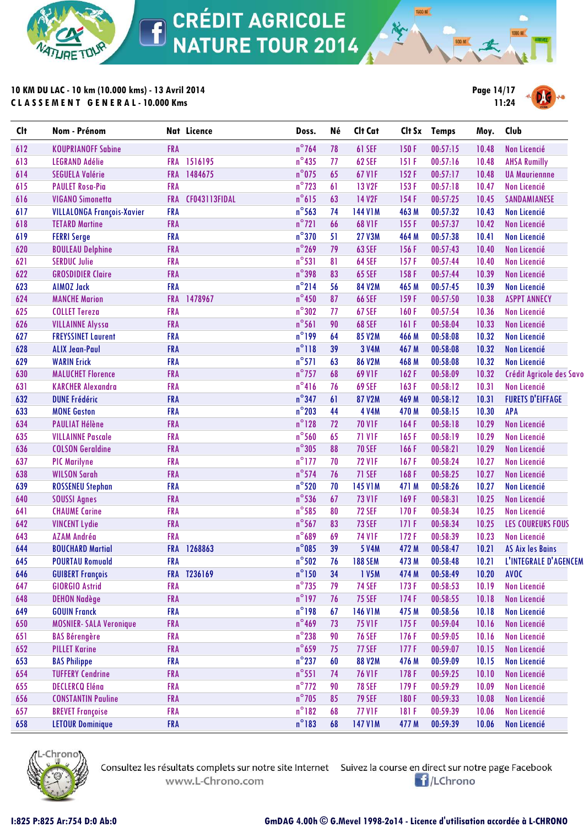

# **10 KM DU LAC - 10 km (10.000 kms) - 13 Avril 2014 C L A S S E M E N T G E N E R A L - 10.000 Kms**



**1500 M** 

| <b>Clt</b> | Nom - Prénom                      |            | Nat Licence   | Doss.           | Né | Clt Cat        |       | Clt Sx Temps | Moy.  | Club                     |
|------------|-----------------------------------|------------|---------------|-----------------|----|----------------|-------|--------------|-------|--------------------------|
| 612        | <b>KOUPRIANOFF Sabine</b>         | <b>FRA</b> |               | $n^{\circ}$ 764 | 78 | 61 SEF         | 150F  | 00:57:15     | 10.48 | Non Licencié             |
| 613        | <b>LEGRAND Adélie</b>             | <b>FRA</b> | 1516195       | $n^{\circ}$ 435 | 77 | <b>62 SEF</b>  | 151 F | 00:57:16     | 10.48 | <b>AHSA Rumilly</b>      |
| 614        | <b>SEGUELA Valérie</b>            | <b>FRA</b> | 1484675       | $n^{\circ}$ 075 | 65 | <b>67 V1F</b>  | 152F  | 00:57:17     | 10.48 | <b>UA Mauriennne</b>     |
| 615        | <b>PAULET Rosa-Pia</b>            | <b>FRA</b> |               | $n^{\circ}$ 723 | 61 | <b>13 V2F</b>  | 153F  | 00:57:18     | 10.47 | <b>Non Licencié</b>      |
| 616        | <b>VIGANO Simonetta</b>           | <b>FRA</b> | CF043113FIDAL | $n^{\circ}615$  | 63 | <b>14 V2F</b>  | 154F  | 00:57:25     | 10.45 | SANDAMIANESE             |
| 617        | <b>VILLALONGA François-Xavier</b> | <b>FRA</b> |               | $n^{\circ}$ 563 | 74 | <b>144 V1M</b> | 463 M | 00:57:32     | 10.43 | <b>Non Licencié</b>      |
| 618        | <b>TETARD Martine</b>             | <b>FRA</b> |               | $n^{\circ}$ 721 | 66 | <b>68 V1F</b>  | 155F  | 00:57:37     | 10.42 | <b>Non Licencié</b>      |
| 619        | <b>FERRI Serge</b>                | <b>FRA</b> |               | $n^{\circ}$ 370 | 51 | <b>27 V3M</b>  | 464 M | 00:57:38     | 10.41 | Non Licencié             |
| 620        | <b>BOULEAU Delphine</b>           | <b>FRA</b> |               | $n^{\circ}$ 269 | 79 | <b>63 SEF</b>  | 156F  | 00:57:43     | 10.40 | Non Licencié             |
| 621        | <b>SERDUC Julie</b>               | <b>FRA</b> |               | $n^{\circ}531$  | 81 | 64 SEF         | 157F  | 00:57:44     | 10.40 | <b>Non Licencié</b>      |
| 622        | <b>GROSDIDIER Claire</b>          | <b>FRA</b> |               | $n^{\circ}$ 398 | 83 | <b>65 SEF</b>  | 158F  | 00:57:44     | 10.39 | Non Licencié             |
| 623        | <b>AIMOZ Jack</b>                 | <b>FRA</b> |               | $n^{\circ}$ 214 | 56 | 84 V2M         | 465 M | 00:57:45     | 10.39 | <b>Non Licencié</b>      |
| 624        | <b>MANCHE Marion</b>              | <b>FRA</b> | 1478967       | $n^{\circ}$ 450 | 87 | <b>66 SEF</b>  | 159F  | 00:57:50     | 10.38 | <b>ASPPT ANNECY</b>      |
| 625        | <b>COLLET Tereza</b>              | <b>FRA</b> |               | $n^{\circ}302$  | 77 | <b>67 SEF</b>  | 160F  | 00:57:54     | 10.36 | <b>Non Licencié</b>      |
| 626        | <b>VILLAINNE Alyssa</b>           | <b>FRA</b> |               | $n^{\circ}$ 561 | 90 | <b>68 SEF</b>  | 161 F | 00:58:04     | 10.33 | <b>Non Licencié</b>      |
| 627        | <b>FREYSSINET Laurent</b>         | <b>FRA</b> |               | $n^{\circ}$ 199 | 64 | 85 V2M         | 466 M | 00:58:08     | 10.32 | Non Licencié             |
| 628        | <b>ALIX Jean-Paul</b>             | <b>FRA</b> |               | $n^{\circ}118$  | 39 | 3 V4M          | 467 M | 00:58:08     | 10.32 | <b>Non Licencié</b>      |
| 629        | <b>WARIN Erick</b>                | <b>FRA</b> |               | $n^{\circ}571$  | 63 | <b>86 V2M</b>  | 468 M | 00:58:08     | 10.32 | <b>Non Licencié</b>      |
| 630        | <b>MALUCHET Florence</b>          | <b>FRA</b> |               | $n^{\circ}$ 757 | 68 | 69 V1F         | 162F  | 00:58:09     | 10.32 | Crédit Agricole des Savo |
| 631        | <b>KARCHER Alexandra</b>          | <b>FRA</b> |               | $n^{\circ}416$  | 76 | <b>69 SEF</b>  | 163F  | 00:58:12     | 10.31 | <b>Non Licencié</b>      |
| 632        | <b>DUNE Frédéric</b>              | <b>FRA</b> |               | $n^{\circ}$ 347 | 61 | 87 V2M         | 469 M | 00:58:12     | 10.31 | <b>FURETS D'EIFFAGE</b>  |
| 633        | <b>MONE Gaston</b>                | <b>FRA</b> |               | $n^{\circ}$ 203 | 44 | <b>4 V4M</b>   | 470 M | 00:58:15     | 10.30 | <b>APA</b>               |
| 634        | <b>PAULIAT Hélène</b>             | <b>FRA</b> |               | $n^{\circ}$ 128 | 72 | <b>70 V1F</b>  | 164F  | 00:58:18     | 10.29 | <b>Non Licencié</b>      |
| 635        | <b>VILLAINNE Pascale</b>          | <b>FRA</b> |               | $n^{\circ}$ 560 | 65 | <b>71 V1F</b>  | 165F  | 00:58:19     | 10.29 | <b>Non Licencié</b>      |
| 636        | <b>COLSON Geraldine</b>           | <b>FRA</b> |               | $n^{\circ}305$  | 88 | <b>70 SEF</b>  | 166F  | 00:58:21     | 10.29 | Non Licencié             |
| 637        | <b>PIC Marilyne</b>               | <b>FRA</b> |               | $n^{\circ}$ 177 | 70 | <b>72 V1F</b>  | 167F  | 00:58:24     | 10.27 | Non Licencié             |
| 638        | <b>WILSON Sarah</b>               | <b>FRA</b> |               | $n^{\circ}$ 574 | 76 | 71 SEF         | 168F  | 00:58:25     | 10.27 | Non Licencié             |
| 639        | <b>ROSSENEU Stephan</b>           | <b>FRA</b> |               | $n^{\circ}520$  | 70 | <b>145 V1M</b> | 471 M | 00:58:26     | 10.27 | <b>Non Licencié</b>      |
| 640        | <b>SOUSSI Agnes</b>               | <b>FRA</b> |               | $n^{\circ}$ 536 | 67 | <b>73 V1F</b>  | 169F  | 00:58:31     | 10.25 | Non Licencié             |
| 641        | <b>CHAUME Carine</b>              | <b>FRA</b> |               | $n^{\circ}$ 585 | 80 | <b>72 SEF</b>  | 170F  | 00:58:34     | 10.25 | <b>Non Licencié</b>      |
| 642        | <b>VINCENT Lydie</b>              | <b>FRA</b> |               | $n^{\circ}$ 567 | 83 | <b>73 SEF</b>  | 171F  | 00:58:34     | 10.25 | <b>LES COUREURS FOUS</b> |
| 643        | AZAM Andréa                       | <b>FRA</b> |               | $n^{\circ}689$  | 69 | <b>74 V1F</b>  | 172F  | 00:58:39     | 10.23 | <b>Non Licencié</b>      |
| 644        | <b>BOUCHARD Martial</b>           |            | FRA 1268863   | $n^{\circ}085$  | 39 | <b>5 V4M</b>   | 472 M | 00:58:47     | 10.21 | <b>AS Aix les Bains</b>  |
| 645        | <b>POURTAU Romuald</b>            | <b>FRA</b> |               | $n^{\circ}502$  | 76 | <b>188 SEM</b> | 473 M | 00:58:48     | 10.21 | L'INTEGRALE D'AGENCEM    |
| 646        | <b>GUIBERT François</b>           |            | FRA T236169   | $n^{\circ}$ 150 | 34 | 1 V5M          | 474 M | 00:58:49     | 10.20 | AVOC                     |
| 647        | <b>GIORGIO Astrid</b>             | <b>FRA</b> |               | $n^{\circ}$ 735 | 79 | <b>74 SEF</b>  | 173F  | 00:58:53     | 10.19 | <b>Non Licencié</b>      |
| 648        | <b>DEHON Nadège</b>               | <b>FRA</b> |               | $n^{\circ}$ 197 | 76 | <b>75 SEF</b>  | 174F  | 00:58:55     | 10.18 | Non Licencié             |
| 649        | <b>GOUIN Franck</b>               | <b>FRA</b> |               | $n^{\circ}$ 198 | 67 | <b>146 V1M</b> | 475 M | 00:58:56     | 10.18 | <b>Non Licencié</b>      |
| 650        | <b>MOSNIER- SALA Veronique</b>    | <b>FRA</b> |               | $n^{\circ}$ 469 | 73 | <b>75 V1F</b>  | 175F  | 00:59:04     | 10.16 | Non Licencié             |
| 651        | <b>BAS Bérengère</b>              | <b>FRA</b> |               | $n^{\circ}$ 238 | 90 | <b>76 SEF</b>  | 176F  | 00:59:05     | 10.16 | Non Licencié             |
| 652        | <b>PILLET Karine</b>              | <b>FRA</b> |               | $n^{\circ}$ 659 | 75 | <b>77 SEF</b>  | 177F  | 00:59:07     | 10.15 | Non Licencié             |
| 653        | <b>BAS Philippe</b>               | <b>FRA</b> |               | $n^{\circ}$ 237 | 60 | <b>88 V2M</b>  | 476 M | 00:59:09     | 10.15 | Non Licencié             |
| 654        | <b>TUFFERY Cendrine</b>           | <b>FRA</b> |               | $n^{\circ}$ 551 | 74 | <b>76 V1F</b>  | 178F  | 00:59:25     | 10.10 | Non Licencié             |
| 655        | <b>DECLERCQ Eléna</b>             | <b>FRA</b> |               | $n^{\circ}$ 772 | 90 | <b>78 SEF</b>  | 179F  | 00:59:29     | 10.09 | Non Licencié             |
| 656        | <b>CONSTANTIN Pauline</b>         | <b>FRA</b> |               | $n^{\circ}$ 705 | 85 | <b>79 SEF</b>  | 180F  | 00:59:33     | 10.08 | Non Licencié             |
| 657        | <b>BREVET Françoise</b>           | <b>FRA</b> |               | $n^{\circ}182$  | 68 | <b>77 V1F</b>  | 181 F | 00:59:39     | 10.06 | Non Licencié             |
| 658        | <b>LETOUR Dominique</b>           | <b>FRA</b> |               | $n^{\circ}183$  | 68 | <b>147 V1M</b> | 477 M | 00:59:39     | 10.06 | Non Licencié             |
|            |                                   |            |               |                 |    |                |       |              |       |                          |



www.L-Chrono.com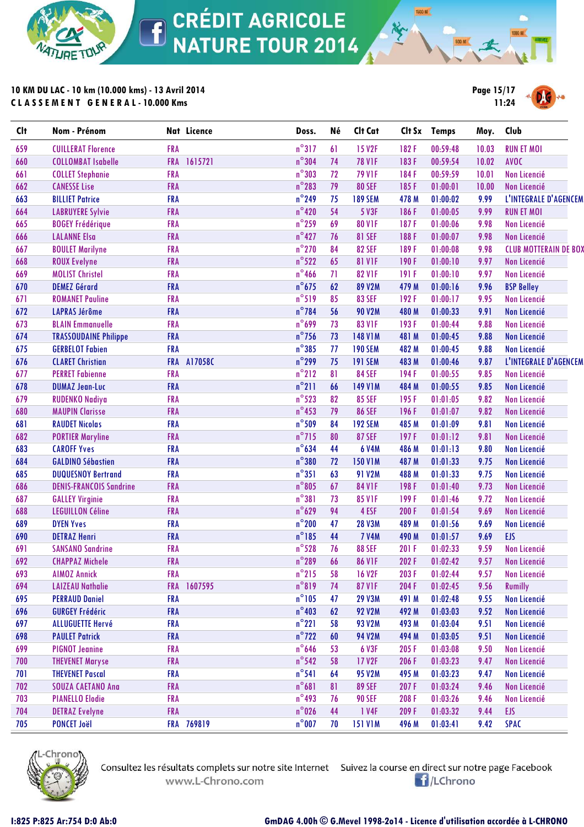

# **10 KM DU LAC - 10 km (10.000 kms) - 13 Avril 2014 C L A S S E M E N T G E N E R A L - 10.000 Kms**



**1500 M** 

| <b>Clt</b> | Nom - Prénom                   | Nat Licence           | Doss.           | Né | Clt Cat        |       | Clt Sx Temps | Moy.  | Club                         |
|------------|--------------------------------|-----------------------|-----------------|----|----------------|-------|--------------|-------|------------------------------|
| 659        | <b>CUILLERAT Florence</b>      | <b>FRA</b>            | $n^{\circ}317$  | 61 | <b>15 V2F</b>  | 182F  | 00:59:48     | 10.03 | <b>RUN ET MOI</b>            |
| 660        | <b>COLLOMBAT Isabelle</b>      | 1615721<br><b>FRA</b> | $n^{\circ}$ 304 | 74 | <b>78 V1F</b>  | 183F  | 00:59:54     | 10.02 | <b>AVOC</b>                  |
| 661        | <b>COLLET Stephanie</b>        | <b>FRA</b>            | $n^{\circ}303$  | 72 | <b>79 V1F</b>  | 184F  | 00:59:59     | 10.01 | <b>Non Licencié</b>          |
| 662        | <b>CANESSE Lise</b>            | <b>FRA</b>            | $n^{\circ}$ 283 | 79 | <b>80 SEF</b>  | 185F  | 01:00:01     | 10.00 | Non Licencié                 |
| 663        | <b>BILLIET Patrice</b>         | <b>FRA</b>            | $n^{\circ}$ 249 | 75 | <b>189 SEM</b> | 478 M | 01:00:02     | 9.99  | L'INTEGRALE D'AGENCEM        |
| 664        | <b>LABRUYERE Sylvie</b>        | <b>FRA</b>            | $n^{\circ}420$  | 54 | 5 V3F          | 186F  | 01:00:05     | 9.99  | <b>RUN ET MOI</b>            |
| 665        | <b>BOGEY Frédérique</b>        | <b>FRA</b>            | $n^{\circ}$ 259 | 69 | <b>80 V1F</b>  | 187F  | 01:00:06     | 9.98  | Non Licencié                 |
| 666        | <b>LALANNE Elsa</b>            | <b>FRA</b>            | $n^{\circ}427$  | 76 | <b>81 SEF</b>  | 188F  | 01:00:07     | 9.98  | Non Licencié                 |
| 667        | <b>BOULET Marilyne</b>         | FRA                   | $n^{\circ}$ 270 | 84 | <b>82 SEF</b>  | 189F  | 01:00:08     | 9.98  | <b>CLUB MOTTERAIN DE BOX</b> |
| 668        | <b>ROUX Evelyne</b>            | <b>FRA</b>            | $n^{\circ}522$  | 65 | <b>81 V1F</b>  | 190F  | 01:00:10     | 9.97  | Non Licencié                 |
| 669        | <b>MOLIST Christel</b>         | <b>FRA</b>            | $n^{\circ}$ 466 | 71 | <b>82 V1F</b>  | 191 F | 01:00:10     | 9.97  | <b>Non Licencié</b>          |
| 670        | <b>DEMEZ Gérard</b>            | <b>FRA</b>            | $n^{\circ}675$  | 62 | 89 V2M         | 479 M | 01:00:16     | 9.96  | <b>BSP Belley</b>            |
| 671        | <b>ROMANET Pauline</b>         | <b>FRA</b>            | $n^{\circ}519$  | 85 | <b>83 SEF</b>  | 192F  | 01:00:17     | 9.95  | Non Licencié                 |
| 672        | <b>LAPRAS Jérôme</b>           | <b>FRA</b>            | $n^{\circ}$ 784 | 56 | <b>90 V2M</b>  | 480 M | 01:00:33     | 9.91  | Non Licencié                 |
| 673        | <b>BLAIN Emmanuelle</b>        | <b>FRA</b>            | $n^{\circ}$ 699 | 73 | 83 V1F         | 193F  | 01:00:44     | 9.88  | <b>Non Licencié</b>          |
| 674        | <b>TRASSOUDAINE Philippe</b>   | <b>FRA</b>            | $n^{\circ}$ 756 | 73 | <b>148 V1M</b> | 481 M | 01:00:45     | 9.88  | Non Licencié                 |
| 675        | <b>GERBELOT Fabien</b>         | <b>FRA</b>            | $n^{\circ}385$  | 77 | <b>190 SEM</b> | 482 M | 01:00:45     | 9.88  | <b>Non Licencié</b>          |
| 676        | <b>CLARET Christian</b>        | FRA A17058C           | $n^{\circ}$ 299 | 75 | <b>191 SEM</b> | 483 M | 01:00:46     | 9.87  | L'INTEGRALE D'AGENCEM        |
| 677        | <b>PERRET Fabienne</b>         | <b>FRA</b>            | $n^{\circ}$ 212 | 81 | <b>84 SEF</b>  | 194F  | 01:00:55     | 9.85  | <b>Non Licencié</b>          |
| 678        | <b>DUMAZ Jean-Luc</b>          | <b>FRA</b>            | $n^{\circ}$ 211 | 66 | <b>149 V1M</b> | 484 M | 01:00:55     | 9.85  | Non Licencié                 |
| 679        | <b>RUDENKO Nadiya</b>          | <b>FRA</b>            | $n^{\circ}523$  | 82 | <b>85 SEF</b>  | 195F  | 01:01:05     | 9.82  | <b>Non Licencié</b>          |
| 680        | <b>MAUPIN Clarisse</b>         | <b>FRA</b>            | $n^{\circ}$ 453 | 79 | <b>86 SEF</b>  | 196F  | 01:01:07     | 9.82  | Non Licencié                 |
| 681        | <b>RAUDET Nicolas</b>          | <b>FRA</b>            | $n^{\circ}509$  | 84 | <b>192 SEM</b> | 485 M | 01:01:09     | 9.81  | <b>Non Licencié</b>          |
| 682        | <b>PORTIER Maryline</b>        | <b>FRA</b>            | $n^{\circ}$ 715 | 80 | <b>87 SEF</b>  | 197F  | 01:01:12     | 9.81  | Non Licencié                 |
| 683        | <b>CAROFF Yves</b>             | <b>FRA</b>            | $n^{\circ}$ 634 | 44 | <b>6 V4M</b>   | 486 M | 01:01:13     | 9.80  | <b>Non Licencié</b>          |
| 684        | <b>GALDINO Sébastien</b>       | <b>FRA</b>            | $n^{\circ}380$  | 72 | <b>150 V1M</b> | 487 M | 01:01:33     | 9.75  | Non Licencié                 |
| 685        | <b>DUQUESNOY Bertrand</b>      | <b>FRA</b>            | $n^{\circ}351$  | 63 | <b>91 V2M</b>  | 488 M | 01:01:33     | 9.75  | Non Licencié                 |
| 686        | <b>DENIS-FRANCOIS Sandrine</b> | <b>FRA</b>            | $n^{\circ}805$  | 67 | <b>84 V1F</b>  | 198F  | 01:01:40     | 9.73  | Non Licencié                 |
| 687        | <b>GALLEY Virginie</b>         | <b>FRA</b>            | $n^{\circ}381$  | 73 | <b>85 V1F</b>  | 199F  | 01:01:46     | 9.72  | Non Licencié                 |
| 688        | <b>LEGUILLON Céline</b>        | FRA                   | $n^{\circ}629$  | 94 | 4 ESF          | 200 F | 01:01:54     | 9.69  | Non Licencié                 |
| 689        | <b>DYEN Yves</b>               | <b>FRA</b>            | $n^{\circ}$ 200 | 47 | <b>28 V3M</b>  | 489 M | 01:01:56     | 9.69  | Non Licencié                 |
| 690        | <b>DETRAZ Henri</b>            | <b>FRA</b>            | $n^{\circ}185$  | 44 | <b>7 V4M</b>   | 490 M | 01:01:57     | 9.69  | EJS                          |
| 691        | <b>SANSANO Sandrine</b>        | <b>FRA</b>            | $n^{\circ}$ 528 | 76 | <b>88 SEF</b>  | 201 F | 01:02:33     | 9.59  | Non Licencié                 |
| 692        | <b>CHAPPAZ Michele</b>         | <b>FRA</b>            | $n^{\circ}$ 289 | 66 | <b>86 VIF</b>  | 202 F | 01:02:42     | 9.57  | Non Licencié                 |
| 693        | <b>AIMOZ Annick</b>            | <b>FRA</b>            | $n^{\circ}$ 215 | 58 | <b>16 V2F</b>  | 203 F | 01:02:44     | 9.57  | Non Licencié                 |
| 694        | <b>LAIZEAU Nathalie</b>        | <b>FRA</b><br>1607595 | $n^{\circ}819$  | 74 | <b>87 V1F</b>  | 204 F | 01:02:45     | 9.56  | <b>Rumilly</b>               |
| 695        | <b>PERRAUD Daniel</b>          | <b>FRA</b>            | $n^{\circ}105$  | 47 | <b>29 V3M</b>  | 491 M | 01:02:48     | 9.55  | Non Licencié                 |
| 696        | <b>GURGEY Frédéric</b>         | <b>FRA</b>            | $n^{\circ}403$  | 62 | <b>92 V2M</b>  | 492 M | 01:03:03     | 9.52  | Non Licencié                 |
| 697        | <b>ALLUGUETTE Hervé</b>        | <b>FRA</b>            | $n^{\circ}221$  | 58 | <b>93 V2M</b>  | 493 M | 01:03:04     | 9.51  | Non Licencié                 |
| 698        | <b>PAULET Patrick</b>          | <b>FRA</b>            | $n^{\circ}$ 722 | 60 | <b>94 V2M</b>  | 494 M | 01:03:05     | 9.51  | Non Licencié                 |
| 699        | <b>PIGNOT Jeanine</b>          | <b>FRA</b>            | $n^{\circ}$ 646 | 53 | <b>6 V3F</b>   | 205 F | 01:03:08     | 9.50  | Non Licencié                 |
| 700        | <b>THEVENET Maryse</b>         | <b>FRA</b>            | $n^{\circ}$ 542 | 58 | 17 V2F         | 206 F | 01:03:23     | 9.47  | Non Licencié                 |
| 701        | <b>THEVENET Pascal</b>         | <b>FRA</b>            | $n^{\circ}541$  | 64 | <b>95 V2M</b>  | 495 M | 01:03:23     | 9.47  | Non Licencié                 |
| 702        | <b>SOUZA CAETANO Ana</b>       | <b>FRA</b>            | $n^{\circ}681$  | 81 | <b>89 SEF</b>  | 207F  | 01:03:24     | 9.46  | Non Licencié                 |
| 703        | <b>PIANELLO Elodie</b>         | <b>FRA</b>            | $n^{\circ}$ 493 | 76 | <b>90 SEF</b>  | 208 F | 01:03:26     | 9.46  | <b>Non Licencié</b>          |
| 704        | <b>DETRAZ Evelyne</b>          | <b>FRA</b>            | $n^{\circ}$ 026 | 44 | 1 V4F          | 209 F | 01:03:32     | 9.44  | EJS                          |
| 705        | <b>PONCET Joël</b>             | FRA 769819            | $n^{\circ}$ 007 | 70 | <b>151 V1M</b> | 496 M | 01:03:41     | 9.42  | <b>SPAC</b>                  |
|            |                                |                       |                 |    |                |       |              |       |                              |



Consultez les résultats complets sur notre site Internet Suivez la course en direct sur notre page Facebook www.L-Chrono.com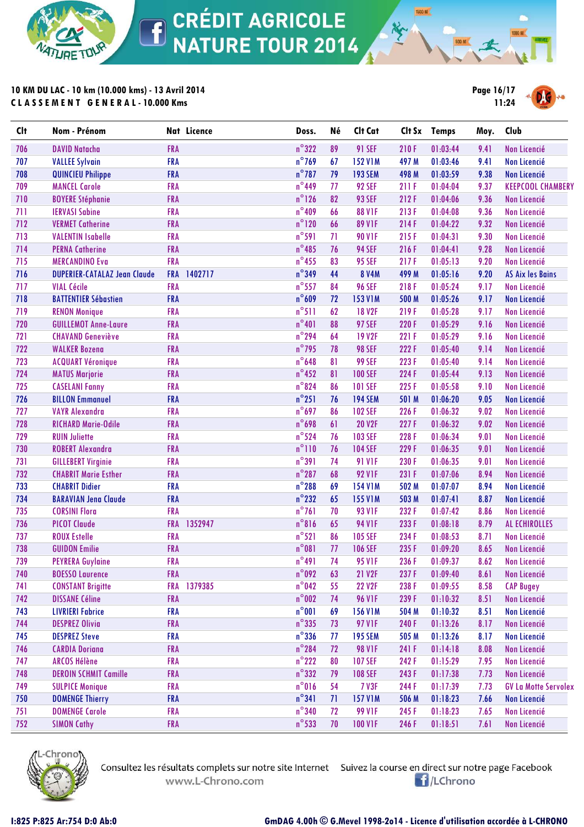

**10 KM DU LAC - 10 km (10.000 kms) - 13 Avril 2014 C L A S S E M E N T G E N E R A L - 10.000 Kms**



**1500 M** 

| $n^{\circ}322$<br><b>FRA</b><br>89<br><b>91 SEF</b><br>210F<br>706<br><b>DAVID Natacha</b><br>01:03:44<br>9.41<br><b>Non Licencié</b><br>$n^{\circ}$ 769<br>707<br><b>FRA</b><br><b>152 V1M</b><br>497 M<br>01:03:46<br>9.41<br><b>Non Licencié</b><br><b>VALLEE Sylvain</b><br>67<br>$n^{\circ}$ 787<br><b>FRA</b><br>708<br>79<br><b>193 SEM</b><br>498 M<br>01:03:59<br>9.38<br><b>QUINCIEU Philippe</b><br><b>Non Licencié</b><br>$n^{\circ}$ 449<br>709<br><b>MANCEL Carole</b><br><b>FRA</b><br><b>92 SEF</b><br>77<br>211F<br>01:04:04<br>9.37<br><b>KEEPCOOL CHAMBERY</b><br>$n^{\circ}$ 126<br><b>FRA</b><br><b>93 SEF</b><br>710<br>82<br>212F<br>01:04:06<br>9.36<br><b>Non Licencié</b><br><b>BOYERE Stéphanie</b><br>$n^{\circ}409$<br>711<br><b>FRA</b><br>66<br><b>88 V1F</b><br>213F<br>01:04:08<br>9.36<br><b>Non Licencié</b><br><b>IERVASI Sabine</b><br>$n^{\circ}$ 120<br>712<br><b>VERMET Catherine</b><br><b>FRA</b><br>66<br><b>89 V1F</b><br>214F<br>01:04:22<br>9.32<br><b>Non Licencié</b><br>$n^{\circ}591$<br>713<br><b>FRA</b><br><b>90 V1F</b><br>9.30<br><b>VALENTIN Isabelle</b><br>71<br>215F<br>01:04:31<br><b>Non Licencié</b><br>$n^{\circ}485$<br>714<br><b>FRA</b><br>76<br><b>94 SEF</b><br>216F<br>9.28<br><b>PERNA Catherine</b><br>01:04:41<br><b>Non Licencié</b><br>$n^{\circ}$ 455<br>715<br><b>FRA</b><br><b>MERCANDINO Eva</b><br><b>95 SEF</b><br>217F<br>9.20<br><b>Non Licencié</b><br>83<br>01:05:13<br>$n^{\circ}$ 349<br>716<br><b>FRA</b><br>1402717<br>44<br><b>8 V4M</b><br>499 M<br>9.20<br><b>DUPERIER-CATALAZ Jean Claude</b><br>01:05:16<br><b>AS Aix les Bains</b><br>$n^{\circ}$ 557<br>717<br><b>FRA</b><br><b>96 SEF</b><br><b>VIAL Cécile</b><br>84<br>218F<br>01:05:24<br>9.17<br><b>Non Licencié</b><br>$n^{\circ}609$<br>718<br><b>BATTENTIER Sébastien</b><br><b>FRA</b><br>72<br><b>153 V1M</b><br>01:05:26<br><b>Non Licencié</b><br>500 M<br>9.17<br>$n^{\circ}511$<br>719<br><b>FRA</b><br>62<br><b>18 V2F</b><br>219F<br><b>Non Licencié</b><br><b>RENON Monique</b><br>01:05:28<br>9.17<br>$n^{\circ}401$<br>720<br>88<br><b>FRA</b><br><b>97 SEF</b><br>220 F<br>01:05:29<br>9.16<br><b>Non Licencié</b><br><b>GUILLEMOT Anne-Laure</b><br>$n^{\circ}$ 294<br>721<br><b>FRA</b><br><b>19 V2F</b><br><b>CHAVAND Geneviève</b><br>64<br>221 F<br>01:05:29<br>9.16<br><b>Non Licencié</b><br>$n^{\circ}$ 795<br>722<br><b>WALKER Bozena</b><br><b>FRA</b><br><b>98 SEF</b><br>222 F<br>9.14<br><b>Non Licencié</b><br>78<br>01:05:40<br>$n^{\circ}$ 648<br>723<br><b>FRA</b><br>81<br><b>99 SEF</b><br>223F<br>9.14<br><b>Non Licencié</b><br><b>ACQUART Véronique</b><br>01:05:40<br>$n^{\circ}$ 452<br>724<br><b>FRA</b><br><b>MATUS Marjorie</b><br>81<br><b>100 SEF</b><br>224 F<br>9.13<br>01:05:44<br><b>Non Licencié</b><br>$n^{\circ}824$<br><b>FRA</b><br>725<br><b>CASELANI Fanny</b><br>86<br><b>101 SEF</b><br>225F<br>9.10<br>01:05:58<br><b>Non Licencié</b><br>$n^{\circ}251$<br>726<br><b>BILLON Emmanuel</b><br><b>FRA</b><br>76<br><b>194 SEM</b><br>501 M<br>01:06:20<br>9.05<br>Non Licencié<br>$n^{\circ}$ 697<br>727<br><b>VAYR Alexandra</b><br><b>FRA</b><br>86<br><b>102 SEF</b><br>226 F<br>01:06:32<br><b>Non Licencié</b><br>9.02<br>$n^{\circ}$ 698<br>728<br><b>FRA</b><br>61<br><b>20 V2F</b><br>227F<br>01:06:32<br>9.02<br><b>Non Licencié</b><br><b>RICHARD Marie-Odile</b><br>$n^{\circ}$ 524<br>729<br><b>FRA</b><br>76<br><b>103 SEF</b><br>228 F<br><b>RUIN Juliette</b><br>01:06:34<br>9.01<br><b>Non Licencié</b><br>$n^{\circ}110$<br>730<br><b>ROBERT Alexandra</b><br><b>FRA</b><br><b>104 SEF</b><br>229F<br>76<br>01:06:35<br>9.01<br><b>Non Licencié</b><br>$n^{\circ}391$<br>731<br><b>GILLEBERT Virginie</b><br><b>FRA</b><br>74<br><b>91 V1F</b><br>230 F<br>01:06:35<br>9.01<br><b>Non Licencié</b><br>$n^{\circ}$ 287<br>732<br><b>CHABRIT Marie Esther</b><br><b>FRA</b><br>68<br><b>92 V1F</b><br>231 F<br>8.94<br>01:07:06<br><b>Non Licencié</b><br>$n^{\circ}$ 288<br>733<br><b>CHABRIT Didier</b><br><b>FRA</b><br>69<br><b>154 V1M</b><br>502 M<br>01:07:07<br>8.94<br><b>Non Licencié</b><br>$n^{\circ}$ 232<br>734<br><b>FRA</b><br>65<br><b>155 V1M</b><br>8.87<br><b>BARAVIAN Jena Claude</b><br>503 M<br>01:07:41<br>Non Licencié<br>$n^{\circ}761$<br>735<br><b>CORSINI Flora</b><br><b>FRA</b><br><b>93 V1F</b><br>232 F<br>70<br>01:07:42<br>8.86<br>Non Licencié<br>$n^{\circ}816$<br>736<br><b>PICOT Claude</b><br>1352947<br>65<br><b>94 V1F</b><br>233 F<br><b>FRA</b><br>01:08:18<br>8.79<br>AL ECHIROLLES<br>$n^{\circ}521$<br>737<br><b>ROUX Estelle</b><br><b>FRA</b><br>86<br><b>105 SEF</b><br>234 F<br>01:08:53<br>8.71<br><b>Non Licencié</b><br>$n^{\circ}081$<br>738<br><b>GUIDON Emilie</b><br><b>FRA</b><br><b>106 SEF</b><br>235 F<br>01:09:20<br>8.65<br><b>Non Licencié</b><br>77<br>$n^{\circ}491$<br>739<br><b>FRA</b><br>74<br><b>95 V1F</b><br>236 F<br><b>PEYRERA Guylaine</b><br>01:09:37<br>8.62<br>Non Licencié<br>$n^{\circ}$ 092<br><b>BOESSO Laurence</b><br><b>FRA</b><br>01:09:40<br>740<br>63<br>21 V2F<br>237 F<br>Non Licencié<br>8.61<br>$n^{\circ}$ 042<br>FRA 1379385<br>741<br><b>CONSTANT Brigitte</b><br>55<br><b>22 V2F</b><br><b>CAP Bugey</b><br>238 F<br>01:09:55<br>8.58<br>$n^{\circ}$ 002<br>742<br><b>DISSANE Céline</b><br><b>FRA</b><br><b>96 VIF</b><br>239 F<br>01:10:32<br>8.51<br>Non Licencié<br>74<br>$n^{\circ}001$<br><b>FRA</b><br><b>Non Licencié</b><br>743<br><b>LIVRIERI Fabrice</b><br><b>156 V1M</b><br>01:10:32<br>69<br>504 M<br>8.51<br>$n^{\circ}335$<br>744<br><b>FRA</b><br><b>Non Licencié</b><br><b>DESPREZ Olivia</b><br><b>97 V1F</b><br>240 F<br>01:13:26<br>73<br>8.17<br>$n^{\circ}$ 336<br>745<br><b>DESPREZ Steve</b><br><b>FRA</b><br><b>195 SEM</b><br>505 M<br>01:13:26<br><b>Non Licencié</b><br>77<br>8.17<br>$n^{\circ}$ 284<br>746<br><b>CARDIA Doriana</b><br><b>FRA</b><br><b>98 V1F</b><br>01:14:18<br>Non Licencié<br>72<br>241 F<br>8.08<br>$n^{\circ}$ 222<br>747<br><b>ARCOS Hélène</b><br><b>FRA</b><br>80<br><b>107 SEF</b><br>242 F<br>01:15:29<br><b>Non Licencié</b><br>7.95<br>$n^{\circ}332$<br>748<br><b>DEROIN SCHMIT Camille</b><br><b>FRA</b><br><b>Non Licencié</b><br><b>108 SEF</b><br>243 F<br>7.73<br>79<br>01:17:38<br>$n^{\circ}016$<br>749<br><b>FRA</b><br><b>SULPICE Monique</b><br>54<br><b>7 V3F</b><br>244 F<br>7.73<br><b>GV La Motte Servolex</b><br>01:17:39<br>$n^{\circ}341$<br><b>FRA</b><br>750<br><b>DOMENGE Thierry</b><br>71<br><b>157 V1M</b><br>Non Licencié<br>506 M<br>01:18:23<br>7.66<br><b>DOMENGE Carole</b><br><b>FRA</b><br>$n^{\circ}$ 340<br>751<br><b>99 V1F</b><br>245 F<br>01:18:23<br>Non Licencié<br>72<br>7.65 | <b>Clt</b> | Nom - Prénom       |            | Nat Licence | Doss.           | Né | Clt Cat        |       | Clt Sx Temps | Moy. | Club         |
|---------------------------------------------------------------------------------------------------------------------------------------------------------------------------------------------------------------------------------------------------------------------------------------------------------------------------------------------------------------------------------------------------------------------------------------------------------------------------------------------------------------------------------------------------------------------------------------------------------------------------------------------------------------------------------------------------------------------------------------------------------------------------------------------------------------------------------------------------------------------------------------------------------------------------------------------------------------------------------------------------------------------------------------------------------------------------------------------------------------------------------------------------------------------------------------------------------------------------------------------------------------------------------------------------------------------------------------------------------------------------------------------------------------------------------------------------------------------------------------------------------------------------------------------------------------------------------------------------------------------------------------------------------------------------------------------------------------------------------------------------------------------------------------------------------------------------------------------------------------------------------------------------------------------------------------------------------------------------------------------------------------------------------------------------------------------------------------------------------------------------------------------------------------------------------------------------------------------------------------------------------------------------------------------------------------------------------------------------------------------------------------------------------------------------------------------------------------------------------------------------------------------------------------------------------------------------------------------------------------------------------------------------------------------------------------------------------------------------------------------------------------------------------------------------------------------------------------------------------------------------------------------------------------------------------------------------------------------------------------------------------------------------------------------------------------------------------------------------------------------------------------------------------------------------------------------------------------------------------------------------------------------------------------------------------------------------------------------------------------------------------------------------------------------------------------------------------------------------------------------------------------------------------------------------------------------------------------------------------------------------------------------------------------------------------------------------------------------------------------------------------------------------------------------------------------------------------------------------------------------------------------------------------------------------------------------------------------------------------------------------------------------------------------------------------------------------------------------------------------------------------------------------------------------------------------------------------------------------------------------------------------------------------------------------------------------------------------------------------------------------------------------------------------------------------------------------------------------------------------------------------------------------------------------------------------------------------------------------------------------------------------------------------------------------------------------------------------------------------------------------------------------------------------------------------------------------------------------------------------------------------------------------------------------------------------------------------------------------------------------------------------------------------------------------------------------------------------------------------------------------------------------------------------------------------------------------------------------------------------------------------------------------------------------------------------------------------------------------------------------------------------------------------------------------------------------------------------------------------------------------------------------------------------------------------------------------------------------------------------------------------------------------------------------------------------------------------------------------------------------------------------------------------------------------------------------------------------------------------------------------------------------------------------------------------------------------------------------------------------------------------------------------------------------------------------------------------------------------------------------------------------------------------------------------------------------------------------------------------------------------------------------------------------------------------------------------------------------------------------------------------------------------------------------------------------------------------------------------------------------------------------------------------------------------------------------------------------------------------------------------------------------------------------------------------------------------------------|------------|--------------------|------------|-------------|-----------------|----|----------------|-------|--------------|------|--------------|
|                                                                                                                                                                                                                                                                                                                                                                                                                                                                                                                                                                                                                                                                                                                                                                                                                                                                                                                                                                                                                                                                                                                                                                                                                                                                                                                                                                                                                                                                                                                                                                                                                                                                                                                                                                                                                                                                                                                                                                                                                                                                                                                                                                                                                                                                                                                                                                                                                                                                                                                                                                                                                                                                                                                                                                                                                                                                                                                                                                                                                                                                                                                                                                                                                                                                                                                                                                                                                                                                                                                                                                                                                                                                                                                                                                                                                                                                                                                                                                                                                                                                                                                                                                                                                                                                                                                                                                                                                                                                                                                                                                                                                                                                                                                                                                                                                                                                                                                                                                                                                                                                                                                                                                                                                                                                                                                                                                                                                                                                                                                                                                                                                                                                                                                                                                                                                                                                                                                                                                                                                                                                                                                                                                                                                                                                                                                                                                                                                                                                                                                                                                                                                                                                                                               |            |                    |            |             |                 |    |                |       |              |      |              |
|                                                                                                                                                                                                                                                                                                                                                                                                                                                                                                                                                                                                                                                                                                                                                                                                                                                                                                                                                                                                                                                                                                                                                                                                                                                                                                                                                                                                                                                                                                                                                                                                                                                                                                                                                                                                                                                                                                                                                                                                                                                                                                                                                                                                                                                                                                                                                                                                                                                                                                                                                                                                                                                                                                                                                                                                                                                                                                                                                                                                                                                                                                                                                                                                                                                                                                                                                                                                                                                                                                                                                                                                                                                                                                                                                                                                                                                                                                                                                                                                                                                                                                                                                                                                                                                                                                                                                                                                                                                                                                                                                                                                                                                                                                                                                                                                                                                                                                                                                                                                                                                                                                                                                                                                                                                                                                                                                                                                                                                                                                                                                                                                                                                                                                                                                                                                                                                                                                                                                                                                                                                                                                                                                                                                                                                                                                                                                                                                                                                                                                                                                                                                                                                                                                               |            |                    |            |             |                 |    |                |       |              |      |              |
|                                                                                                                                                                                                                                                                                                                                                                                                                                                                                                                                                                                                                                                                                                                                                                                                                                                                                                                                                                                                                                                                                                                                                                                                                                                                                                                                                                                                                                                                                                                                                                                                                                                                                                                                                                                                                                                                                                                                                                                                                                                                                                                                                                                                                                                                                                                                                                                                                                                                                                                                                                                                                                                                                                                                                                                                                                                                                                                                                                                                                                                                                                                                                                                                                                                                                                                                                                                                                                                                                                                                                                                                                                                                                                                                                                                                                                                                                                                                                                                                                                                                                                                                                                                                                                                                                                                                                                                                                                                                                                                                                                                                                                                                                                                                                                                                                                                                                                                                                                                                                                                                                                                                                                                                                                                                                                                                                                                                                                                                                                                                                                                                                                                                                                                                                                                                                                                                                                                                                                                                                                                                                                                                                                                                                                                                                                                                                                                                                                                                                                                                                                                                                                                                                                               |            |                    |            |             |                 |    |                |       |              |      |              |
|                                                                                                                                                                                                                                                                                                                                                                                                                                                                                                                                                                                                                                                                                                                                                                                                                                                                                                                                                                                                                                                                                                                                                                                                                                                                                                                                                                                                                                                                                                                                                                                                                                                                                                                                                                                                                                                                                                                                                                                                                                                                                                                                                                                                                                                                                                                                                                                                                                                                                                                                                                                                                                                                                                                                                                                                                                                                                                                                                                                                                                                                                                                                                                                                                                                                                                                                                                                                                                                                                                                                                                                                                                                                                                                                                                                                                                                                                                                                                                                                                                                                                                                                                                                                                                                                                                                                                                                                                                                                                                                                                                                                                                                                                                                                                                                                                                                                                                                                                                                                                                                                                                                                                                                                                                                                                                                                                                                                                                                                                                                                                                                                                                                                                                                                                                                                                                                                                                                                                                                                                                                                                                                                                                                                                                                                                                                                                                                                                                                                                                                                                                                                                                                                                                               |            |                    |            |             |                 |    |                |       |              |      |              |
|                                                                                                                                                                                                                                                                                                                                                                                                                                                                                                                                                                                                                                                                                                                                                                                                                                                                                                                                                                                                                                                                                                                                                                                                                                                                                                                                                                                                                                                                                                                                                                                                                                                                                                                                                                                                                                                                                                                                                                                                                                                                                                                                                                                                                                                                                                                                                                                                                                                                                                                                                                                                                                                                                                                                                                                                                                                                                                                                                                                                                                                                                                                                                                                                                                                                                                                                                                                                                                                                                                                                                                                                                                                                                                                                                                                                                                                                                                                                                                                                                                                                                                                                                                                                                                                                                                                                                                                                                                                                                                                                                                                                                                                                                                                                                                                                                                                                                                                                                                                                                                                                                                                                                                                                                                                                                                                                                                                                                                                                                                                                                                                                                                                                                                                                                                                                                                                                                                                                                                                                                                                                                                                                                                                                                                                                                                                                                                                                                                                                                                                                                                                                                                                                                                               |            |                    |            |             |                 |    |                |       |              |      |              |
|                                                                                                                                                                                                                                                                                                                                                                                                                                                                                                                                                                                                                                                                                                                                                                                                                                                                                                                                                                                                                                                                                                                                                                                                                                                                                                                                                                                                                                                                                                                                                                                                                                                                                                                                                                                                                                                                                                                                                                                                                                                                                                                                                                                                                                                                                                                                                                                                                                                                                                                                                                                                                                                                                                                                                                                                                                                                                                                                                                                                                                                                                                                                                                                                                                                                                                                                                                                                                                                                                                                                                                                                                                                                                                                                                                                                                                                                                                                                                                                                                                                                                                                                                                                                                                                                                                                                                                                                                                                                                                                                                                                                                                                                                                                                                                                                                                                                                                                                                                                                                                                                                                                                                                                                                                                                                                                                                                                                                                                                                                                                                                                                                                                                                                                                                                                                                                                                                                                                                                                                                                                                                                                                                                                                                                                                                                                                                                                                                                                                                                                                                                                                                                                                                                               |            |                    |            |             |                 |    |                |       |              |      |              |
|                                                                                                                                                                                                                                                                                                                                                                                                                                                                                                                                                                                                                                                                                                                                                                                                                                                                                                                                                                                                                                                                                                                                                                                                                                                                                                                                                                                                                                                                                                                                                                                                                                                                                                                                                                                                                                                                                                                                                                                                                                                                                                                                                                                                                                                                                                                                                                                                                                                                                                                                                                                                                                                                                                                                                                                                                                                                                                                                                                                                                                                                                                                                                                                                                                                                                                                                                                                                                                                                                                                                                                                                                                                                                                                                                                                                                                                                                                                                                                                                                                                                                                                                                                                                                                                                                                                                                                                                                                                                                                                                                                                                                                                                                                                                                                                                                                                                                                                                                                                                                                                                                                                                                                                                                                                                                                                                                                                                                                                                                                                                                                                                                                                                                                                                                                                                                                                                                                                                                                                                                                                                                                                                                                                                                                                                                                                                                                                                                                                                                                                                                                                                                                                                                                               |            |                    |            |             |                 |    |                |       |              |      |              |
|                                                                                                                                                                                                                                                                                                                                                                                                                                                                                                                                                                                                                                                                                                                                                                                                                                                                                                                                                                                                                                                                                                                                                                                                                                                                                                                                                                                                                                                                                                                                                                                                                                                                                                                                                                                                                                                                                                                                                                                                                                                                                                                                                                                                                                                                                                                                                                                                                                                                                                                                                                                                                                                                                                                                                                                                                                                                                                                                                                                                                                                                                                                                                                                                                                                                                                                                                                                                                                                                                                                                                                                                                                                                                                                                                                                                                                                                                                                                                                                                                                                                                                                                                                                                                                                                                                                                                                                                                                                                                                                                                                                                                                                                                                                                                                                                                                                                                                                                                                                                                                                                                                                                                                                                                                                                                                                                                                                                                                                                                                                                                                                                                                                                                                                                                                                                                                                                                                                                                                                                                                                                                                                                                                                                                                                                                                                                                                                                                                                                                                                                                                                                                                                                                                               |            |                    |            |             |                 |    |                |       |              |      |              |
|                                                                                                                                                                                                                                                                                                                                                                                                                                                                                                                                                                                                                                                                                                                                                                                                                                                                                                                                                                                                                                                                                                                                                                                                                                                                                                                                                                                                                                                                                                                                                                                                                                                                                                                                                                                                                                                                                                                                                                                                                                                                                                                                                                                                                                                                                                                                                                                                                                                                                                                                                                                                                                                                                                                                                                                                                                                                                                                                                                                                                                                                                                                                                                                                                                                                                                                                                                                                                                                                                                                                                                                                                                                                                                                                                                                                                                                                                                                                                                                                                                                                                                                                                                                                                                                                                                                                                                                                                                                                                                                                                                                                                                                                                                                                                                                                                                                                                                                                                                                                                                                                                                                                                                                                                                                                                                                                                                                                                                                                                                                                                                                                                                                                                                                                                                                                                                                                                                                                                                                                                                                                                                                                                                                                                                                                                                                                                                                                                                                                                                                                                                                                                                                                                                               |            |                    |            |             |                 |    |                |       |              |      |              |
|                                                                                                                                                                                                                                                                                                                                                                                                                                                                                                                                                                                                                                                                                                                                                                                                                                                                                                                                                                                                                                                                                                                                                                                                                                                                                                                                                                                                                                                                                                                                                                                                                                                                                                                                                                                                                                                                                                                                                                                                                                                                                                                                                                                                                                                                                                                                                                                                                                                                                                                                                                                                                                                                                                                                                                                                                                                                                                                                                                                                                                                                                                                                                                                                                                                                                                                                                                                                                                                                                                                                                                                                                                                                                                                                                                                                                                                                                                                                                                                                                                                                                                                                                                                                                                                                                                                                                                                                                                                                                                                                                                                                                                                                                                                                                                                                                                                                                                                                                                                                                                                                                                                                                                                                                                                                                                                                                                                                                                                                                                                                                                                                                                                                                                                                                                                                                                                                                                                                                                                                                                                                                                                                                                                                                                                                                                                                                                                                                                                                                                                                                                                                                                                                                                               |            |                    |            |             |                 |    |                |       |              |      |              |
|                                                                                                                                                                                                                                                                                                                                                                                                                                                                                                                                                                                                                                                                                                                                                                                                                                                                                                                                                                                                                                                                                                                                                                                                                                                                                                                                                                                                                                                                                                                                                                                                                                                                                                                                                                                                                                                                                                                                                                                                                                                                                                                                                                                                                                                                                                                                                                                                                                                                                                                                                                                                                                                                                                                                                                                                                                                                                                                                                                                                                                                                                                                                                                                                                                                                                                                                                                                                                                                                                                                                                                                                                                                                                                                                                                                                                                                                                                                                                                                                                                                                                                                                                                                                                                                                                                                                                                                                                                                                                                                                                                                                                                                                                                                                                                                                                                                                                                                                                                                                                                                                                                                                                                                                                                                                                                                                                                                                                                                                                                                                                                                                                                                                                                                                                                                                                                                                                                                                                                                                                                                                                                                                                                                                                                                                                                                                                                                                                                                                                                                                                                                                                                                                                                               |            |                    |            |             |                 |    |                |       |              |      |              |
|                                                                                                                                                                                                                                                                                                                                                                                                                                                                                                                                                                                                                                                                                                                                                                                                                                                                                                                                                                                                                                                                                                                                                                                                                                                                                                                                                                                                                                                                                                                                                                                                                                                                                                                                                                                                                                                                                                                                                                                                                                                                                                                                                                                                                                                                                                                                                                                                                                                                                                                                                                                                                                                                                                                                                                                                                                                                                                                                                                                                                                                                                                                                                                                                                                                                                                                                                                                                                                                                                                                                                                                                                                                                                                                                                                                                                                                                                                                                                                                                                                                                                                                                                                                                                                                                                                                                                                                                                                                                                                                                                                                                                                                                                                                                                                                                                                                                                                                                                                                                                                                                                                                                                                                                                                                                                                                                                                                                                                                                                                                                                                                                                                                                                                                                                                                                                                                                                                                                                                                                                                                                                                                                                                                                                                                                                                                                                                                                                                                                                                                                                                                                                                                                                                               |            |                    |            |             |                 |    |                |       |              |      |              |
|                                                                                                                                                                                                                                                                                                                                                                                                                                                                                                                                                                                                                                                                                                                                                                                                                                                                                                                                                                                                                                                                                                                                                                                                                                                                                                                                                                                                                                                                                                                                                                                                                                                                                                                                                                                                                                                                                                                                                                                                                                                                                                                                                                                                                                                                                                                                                                                                                                                                                                                                                                                                                                                                                                                                                                                                                                                                                                                                                                                                                                                                                                                                                                                                                                                                                                                                                                                                                                                                                                                                                                                                                                                                                                                                                                                                                                                                                                                                                                                                                                                                                                                                                                                                                                                                                                                                                                                                                                                                                                                                                                                                                                                                                                                                                                                                                                                                                                                                                                                                                                                                                                                                                                                                                                                                                                                                                                                                                                                                                                                                                                                                                                                                                                                                                                                                                                                                                                                                                                                                                                                                                                                                                                                                                                                                                                                                                                                                                                                                                                                                                                                                                                                                                                               |            |                    |            |             |                 |    |                |       |              |      |              |
|                                                                                                                                                                                                                                                                                                                                                                                                                                                                                                                                                                                                                                                                                                                                                                                                                                                                                                                                                                                                                                                                                                                                                                                                                                                                                                                                                                                                                                                                                                                                                                                                                                                                                                                                                                                                                                                                                                                                                                                                                                                                                                                                                                                                                                                                                                                                                                                                                                                                                                                                                                                                                                                                                                                                                                                                                                                                                                                                                                                                                                                                                                                                                                                                                                                                                                                                                                                                                                                                                                                                                                                                                                                                                                                                                                                                                                                                                                                                                                                                                                                                                                                                                                                                                                                                                                                                                                                                                                                                                                                                                                                                                                                                                                                                                                                                                                                                                                                                                                                                                                                                                                                                                                                                                                                                                                                                                                                                                                                                                                                                                                                                                                                                                                                                                                                                                                                                                                                                                                                                                                                                                                                                                                                                                                                                                                                                                                                                                                                                                                                                                                                                                                                                                                               |            |                    |            |             |                 |    |                |       |              |      |              |
|                                                                                                                                                                                                                                                                                                                                                                                                                                                                                                                                                                                                                                                                                                                                                                                                                                                                                                                                                                                                                                                                                                                                                                                                                                                                                                                                                                                                                                                                                                                                                                                                                                                                                                                                                                                                                                                                                                                                                                                                                                                                                                                                                                                                                                                                                                                                                                                                                                                                                                                                                                                                                                                                                                                                                                                                                                                                                                                                                                                                                                                                                                                                                                                                                                                                                                                                                                                                                                                                                                                                                                                                                                                                                                                                                                                                                                                                                                                                                                                                                                                                                                                                                                                                                                                                                                                                                                                                                                                                                                                                                                                                                                                                                                                                                                                                                                                                                                                                                                                                                                                                                                                                                                                                                                                                                                                                                                                                                                                                                                                                                                                                                                                                                                                                                                                                                                                                                                                                                                                                                                                                                                                                                                                                                                                                                                                                                                                                                                                                                                                                                                                                                                                                                                               |            |                    |            |             |                 |    |                |       |              |      |              |
|                                                                                                                                                                                                                                                                                                                                                                                                                                                                                                                                                                                                                                                                                                                                                                                                                                                                                                                                                                                                                                                                                                                                                                                                                                                                                                                                                                                                                                                                                                                                                                                                                                                                                                                                                                                                                                                                                                                                                                                                                                                                                                                                                                                                                                                                                                                                                                                                                                                                                                                                                                                                                                                                                                                                                                                                                                                                                                                                                                                                                                                                                                                                                                                                                                                                                                                                                                                                                                                                                                                                                                                                                                                                                                                                                                                                                                                                                                                                                                                                                                                                                                                                                                                                                                                                                                                                                                                                                                                                                                                                                                                                                                                                                                                                                                                                                                                                                                                                                                                                                                                                                                                                                                                                                                                                                                                                                                                                                                                                                                                                                                                                                                                                                                                                                                                                                                                                                                                                                                                                                                                                                                                                                                                                                                                                                                                                                                                                                                                                                                                                                                                                                                                                                                               |            |                    |            |             |                 |    |                |       |              |      |              |
|                                                                                                                                                                                                                                                                                                                                                                                                                                                                                                                                                                                                                                                                                                                                                                                                                                                                                                                                                                                                                                                                                                                                                                                                                                                                                                                                                                                                                                                                                                                                                                                                                                                                                                                                                                                                                                                                                                                                                                                                                                                                                                                                                                                                                                                                                                                                                                                                                                                                                                                                                                                                                                                                                                                                                                                                                                                                                                                                                                                                                                                                                                                                                                                                                                                                                                                                                                                                                                                                                                                                                                                                                                                                                                                                                                                                                                                                                                                                                                                                                                                                                                                                                                                                                                                                                                                                                                                                                                                                                                                                                                                                                                                                                                                                                                                                                                                                                                                                                                                                                                                                                                                                                                                                                                                                                                                                                                                                                                                                                                                                                                                                                                                                                                                                                                                                                                                                                                                                                                                                                                                                                                                                                                                                                                                                                                                                                                                                                                                                                                                                                                                                                                                                                                               |            |                    |            |             |                 |    |                |       |              |      |              |
|                                                                                                                                                                                                                                                                                                                                                                                                                                                                                                                                                                                                                                                                                                                                                                                                                                                                                                                                                                                                                                                                                                                                                                                                                                                                                                                                                                                                                                                                                                                                                                                                                                                                                                                                                                                                                                                                                                                                                                                                                                                                                                                                                                                                                                                                                                                                                                                                                                                                                                                                                                                                                                                                                                                                                                                                                                                                                                                                                                                                                                                                                                                                                                                                                                                                                                                                                                                                                                                                                                                                                                                                                                                                                                                                                                                                                                                                                                                                                                                                                                                                                                                                                                                                                                                                                                                                                                                                                                                                                                                                                                                                                                                                                                                                                                                                                                                                                                                                                                                                                                                                                                                                                                                                                                                                                                                                                                                                                                                                                                                                                                                                                                                                                                                                                                                                                                                                                                                                                                                                                                                                                                                                                                                                                                                                                                                                                                                                                                                                                                                                                                                                                                                                                                               |            |                    |            |             |                 |    |                |       |              |      |              |
|                                                                                                                                                                                                                                                                                                                                                                                                                                                                                                                                                                                                                                                                                                                                                                                                                                                                                                                                                                                                                                                                                                                                                                                                                                                                                                                                                                                                                                                                                                                                                                                                                                                                                                                                                                                                                                                                                                                                                                                                                                                                                                                                                                                                                                                                                                                                                                                                                                                                                                                                                                                                                                                                                                                                                                                                                                                                                                                                                                                                                                                                                                                                                                                                                                                                                                                                                                                                                                                                                                                                                                                                                                                                                                                                                                                                                                                                                                                                                                                                                                                                                                                                                                                                                                                                                                                                                                                                                                                                                                                                                                                                                                                                                                                                                                                                                                                                                                                                                                                                                                                                                                                                                                                                                                                                                                                                                                                                                                                                                                                                                                                                                                                                                                                                                                                                                                                                                                                                                                                                                                                                                                                                                                                                                                                                                                                                                                                                                                                                                                                                                                                                                                                                                                               |            |                    |            |             |                 |    |                |       |              |      |              |
|                                                                                                                                                                                                                                                                                                                                                                                                                                                                                                                                                                                                                                                                                                                                                                                                                                                                                                                                                                                                                                                                                                                                                                                                                                                                                                                                                                                                                                                                                                                                                                                                                                                                                                                                                                                                                                                                                                                                                                                                                                                                                                                                                                                                                                                                                                                                                                                                                                                                                                                                                                                                                                                                                                                                                                                                                                                                                                                                                                                                                                                                                                                                                                                                                                                                                                                                                                                                                                                                                                                                                                                                                                                                                                                                                                                                                                                                                                                                                                                                                                                                                                                                                                                                                                                                                                                                                                                                                                                                                                                                                                                                                                                                                                                                                                                                                                                                                                                                                                                                                                                                                                                                                                                                                                                                                                                                                                                                                                                                                                                                                                                                                                                                                                                                                                                                                                                                                                                                                                                                                                                                                                                                                                                                                                                                                                                                                                                                                                                                                                                                                                                                                                                                                                               |            |                    |            |             |                 |    |                |       |              |      |              |
|                                                                                                                                                                                                                                                                                                                                                                                                                                                                                                                                                                                                                                                                                                                                                                                                                                                                                                                                                                                                                                                                                                                                                                                                                                                                                                                                                                                                                                                                                                                                                                                                                                                                                                                                                                                                                                                                                                                                                                                                                                                                                                                                                                                                                                                                                                                                                                                                                                                                                                                                                                                                                                                                                                                                                                                                                                                                                                                                                                                                                                                                                                                                                                                                                                                                                                                                                                                                                                                                                                                                                                                                                                                                                                                                                                                                                                                                                                                                                                                                                                                                                                                                                                                                                                                                                                                                                                                                                                                                                                                                                                                                                                                                                                                                                                                                                                                                                                                                                                                                                                                                                                                                                                                                                                                                                                                                                                                                                                                                                                                                                                                                                                                                                                                                                                                                                                                                                                                                                                                                                                                                                                                                                                                                                                                                                                                                                                                                                                                                                                                                                                                                                                                                                                               |            |                    |            |             |                 |    |                |       |              |      |              |
|                                                                                                                                                                                                                                                                                                                                                                                                                                                                                                                                                                                                                                                                                                                                                                                                                                                                                                                                                                                                                                                                                                                                                                                                                                                                                                                                                                                                                                                                                                                                                                                                                                                                                                                                                                                                                                                                                                                                                                                                                                                                                                                                                                                                                                                                                                                                                                                                                                                                                                                                                                                                                                                                                                                                                                                                                                                                                                                                                                                                                                                                                                                                                                                                                                                                                                                                                                                                                                                                                                                                                                                                                                                                                                                                                                                                                                                                                                                                                                                                                                                                                                                                                                                                                                                                                                                                                                                                                                                                                                                                                                                                                                                                                                                                                                                                                                                                                                                                                                                                                                                                                                                                                                                                                                                                                                                                                                                                                                                                                                                                                                                                                                                                                                                                                                                                                                                                                                                                                                                                                                                                                                                                                                                                                                                                                                                                                                                                                                                                                                                                                                                                                                                                                                               |            |                    |            |             |                 |    |                |       |              |      |              |
|                                                                                                                                                                                                                                                                                                                                                                                                                                                                                                                                                                                                                                                                                                                                                                                                                                                                                                                                                                                                                                                                                                                                                                                                                                                                                                                                                                                                                                                                                                                                                                                                                                                                                                                                                                                                                                                                                                                                                                                                                                                                                                                                                                                                                                                                                                                                                                                                                                                                                                                                                                                                                                                                                                                                                                                                                                                                                                                                                                                                                                                                                                                                                                                                                                                                                                                                                                                                                                                                                                                                                                                                                                                                                                                                                                                                                                                                                                                                                                                                                                                                                                                                                                                                                                                                                                                                                                                                                                                                                                                                                                                                                                                                                                                                                                                                                                                                                                                                                                                                                                                                                                                                                                                                                                                                                                                                                                                                                                                                                                                                                                                                                                                                                                                                                                                                                                                                                                                                                                                                                                                                                                                                                                                                                                                                                                                                                                                                                                                                                                                                                                                                                                                                                                               |            |                    |            |             |                 |    |                |       |              |      |              |
|                                                                                                                                                                                                                                                                                                                                                                                                                                                                                                                                                                                                                                                                                                                                                                                                                                                                                                                                                                                                                                                                                                                                                                                                                                                                                                                                                                                                                                                                                                                                                                                                                                                                                                                                                                                                                                                                                                                                                                                                                                                                                                                                                                                                                                                                                                                                                                                                                                                                                                                                                                                                                                                                                                                                                                                                                                                                                                                                                                                                                                                                                                                                                                                                                                                                                                                                                                                                                                                                                                                                                                                                                                                                                                                                                                                                                                                                                                                                                                                                                                                                                                                                                                                                                                                                                                                                                                                                                                                                                                                                                                                                                                                                                                                                                                                                                                                                                                                                                                                                                                                                                                                                                                                                                                                                                                                                                                                                                                                                                                                                                                                                                                                                                                                                                                                                                                                                                                                                                                                                                                                                                                                                                                                                                                                                                                                                                                                                                                                                                                                                                                                                                                                                                                               |            |                    |            |             |                 |    |                |       |              |      |              |
|                                                                                                                                                                                                                                                                                                                                                                                                                                                                                                                                                                                                                                                                                                                                                                                                                                                                                                                                                                                                                                                                                                                                                                                                                                                                                                                                                                                                                                                                                                                                                                                                                                                                                                                                                                                                                                                                                                                                                                                                                                                                                                                                                                                                                                                                                                                                                                                                                                                                                                                                                                                                                                                                                                                                                                                                                                                                                                                                                                                                                                                                                                                                                                                                                                                                                                                                                                                                                                                                                                                                                                                                                                                                                                                                                                                                                                                                                                                                                                                                                                                                                                                                                                                                                                                                                                                                                                                                                                                                                                                                                                                                                                                                                                                                                                                                                                                                                                                                                                                                                                                                                                                                                                                                                                                                                                                                                                                                                                                                                                                                                                                                                                                                                                                                                                                                                                                                                                                                                                                                                                                                                                                                                                                                                                                                                                                                                                                                                                                                                                                                                                                                                                                                                                               |            |                    |            |             |                 |    |                |       |              |      |              |
|                                                                                                                                                                                                                                                                                                                                                                                                                                                                                                                                                                                                                                                                                                                                                                                                                                                                                                                                                                                                                                                                                                                                                                                                                                                                                                                                                                                                                                                                                                                                                                                                                                                                                                                                                                                                                                                                                                                                                                                                                                                                                                                                                                                                                                                                                                                                                                                                                                                                                                                                                                                                                                                                                                                                                                                                                                                                                                                                                                                                                                                                                                                                                                                                                                                                                                                                                                                                                                                                                                                                                                                                                                                                                                                                                                                                                                                                                                                                                                                                                                                                                                                                                                                                                                                                                                                                                                                                                                                                                                                                                                                                                                                                                                                                                                                                                                                                                                                                                                                                                                                                                                                                                                                                                                                                                                                                                                                                                                                                                                                                                                                                                                                                                                                                                                                                                                                                                                                                                                                                                                                                                                                                                                                                                                                                                                                                                                                                                                                                                                                                                                                                                                                                                                               |            |                    |            |             |                 |    |                |       |              |      |              |
|                                                                                                                                                                                                                                                                                                                                                                                                                                                                                                                                                                                                                                                                                                                                                                                                                                                                                                                                                                                                                                                                                                                                                                                                                                                                                                                                                                                                                                                                                                                                                                                                                                                                                                                                                                                                                                                                                                                                                                                                                                                                                                                                                                                                                                                                                                                                                                                                                                                                                                                                                                                                                                                                                                                                                                                                                                                                                                                                                                                                                                                                                                                                                                                                                                                                                                                                                                                                                                                                                                                                                                                                                                                                                                                                                                                                                                                                                                                                                                                                                                                                                                                                                                                                                                                                                                                                                                                                                                                                                                                                                                                                                                                                                                                                                                                                                                                                                                                                                                                                                                                                                                                                                                                                                                                                                                                                                                                                                                                                                                                                                                                                                                                                                                                                                                                                                                                                                                                                                                                                                                                                                                                                                                                                                                                                                                                                                                                                                                                                                                                                                                                                                                                                                                               |            |                    |            |             |                 |    |                |       |              |      |              |
|                                                                                                                                                                                                                                                                                                                                                                                                                                                                                                                                                                                                                                                                                                                                                                                                                                                                                                                                                                                                                                                                                                                                                                                                                                                                                                                                                                                                                                                                                                                                                                                                                                                                                                                                                                                                                                                                                                                                                                                                                                                                                                                                                                                                                                                                                                                                                                                                                                                                                                                                                                                                                                                                                                                                                                                                                                                                                                                                                                                                                                                                                                                                                                                                                                                                                                                                                                                                                                                                                                                                                                                                                                                                                                                                                                                                                                                                                                                                                                                                                                                                                                                                                                                                                                                                                                                                                                                                                                                                                                                                                                                                                                                                                                                                                                                                                                                                                                                                                                                                                                                                                                                                                                                                                                                                                                                                                                                                                                                                                                                                                                                                                                                                                                                                                                                                                                                                                                                                                                                                                                                                                                                                                                                                                                                                                                                                                                                                                                                                                                                                                                                                                                                                                                               |            |                    |            |             |                 |    |                |       |              |      |              |
|                                                                                                                                                                                                                                                                                                                                                                                                                                                                                                                                                                                                                                                                                                                                                                                                                                                                                                                                                                                                                                                                                                                                                                                                                                                                                                                                                                                                                                                                                                                                                                                                                                                                                                                                                                                                                                                                                                                                                                                                                                                                                                                                                                                                                                                                                                                                                                                                                                                                                                                                                                                                                                                                                                                                                                                                                                                                                                                                                                                                                                                                                                                                                                                                                                                                                                                                                                                                                                                                                                                                                                                                                                                                                                                                                                                                                                                                                                                                                                                                                                                                                                                                                                                                                                                                                                                                                                                                                                                                                                                                                                                                                                                                                                                                                                                                                                                                                                                                                                                                                                                                                                                                                                                                                                                                                                                                                                                                                                                                                                                                                                                                                                                                                                                                                                                                                                                                                                                                                                                                                                                                                                                                                                                                                                                                                                                                                                                                                                                                                                                                                                                                                                                                                                               |            |                    |            |             |                 |    |                |       |              |      |              |
|                                                                                                                                                                                                                                                                                                                                                                                                                                                                                                                                                                                                                                                                                                                                                                                                                                                                                                                                                                                                                                                                                                                                                                                                                                                                                                                                                                                                                                                                                                                                                                                                                                                                                                                                                                                                                                                                                                                                                                                                                                                                                                                                                                                                                                                                                                                                                                                                                                                                                                                                                                                                                                                                                                                                                                                                                                                                                                                                                                                                                                                                                                                                                                                                                                                                                                                                                                                                                                                                                                                                                                                                                                                                                                                                                                                                                                                                                                                                                                                                                                                                                                                                                                                                                                                                                                                                                                                                                                                                                                                                                                                                                                                                                                                                                                                                                                                                                                                                                                                                                                                                                                                                                                                                                                                                                                                                                                                                                                                                                                                                                                                                                                                                                                                                                                                                                                                                                                                                                                                                                                                                                                                                                                                                                                                                                                                                                                                                                                                                                                                                                                                                                                                                                                               |            |                    |            |             |                 |    |                |       |              |      |              |
|                                                                                                                                                                                                                                                                                                                                                                                                                                                                                                                                                                                                                                                                                                                                                                                                                                                                                                                                                                                                                                                                                                                                                                                                                                                                                                                                                                                                                                                                                                                                                                                                                                                                                                                                                                                                                                                                                                                                                                                                                                                                                                                                                                                                                                                                                                                                                                                                                                                                                                                                                                                                                                                                                                                                                                                                                                                                                                                                                                                                                                                                                                                                                                                                                                                                                                                                                                                                                                                                                                                                                                                                                                                                                                                                                                                                                                                                                                                                                                                                                                                                                                                                                                                                                                                                                                                                                                                                                                                                                                                                                                                                                                                                                                                                                                                                                                                                                                                                                                                                                                                                                                                                                                                                                                                                                                                                                                                                                                                                                                                                                                                                                                                                                                                                                                                                                                                                                                                                                                                                                                                                                                                                                                                                                                                                                                                                                                                                                                                                                                                                                                                                                                                                                                               |            |                    |            |             |                 |    |                |       |              |      |              |
|                                                                                                                                                                                                                                                                                                                                                                                                                                                                                                                                                                                                                                                                                                                                                                                                                                                                                                                                                                                                                                                                                                                                                                                                                                                                                                                                                                                                                                                                                                                                                                                                                                                                                                                                                                                                                                                                                                                                                                                                                                                                                                                                                                                                                                                                                                                                                                                                                                                                                                                                                                                                                                                                                                                                                                                                                                                                                                                                                                                                                                                                                                                                                                                                                                                                                                                                                                                                                                                                                                                                                                                                                                                                                                                                                                                                                                                                                                                                                                                                                                                                                                                                                                                                                                                                                                                                                                                                                                                                                                                                                                                                                                                                                                                                                                                                                                                                                                                                                                                                                                                                                                                                                                                                                                                                                                                                                                                                                                                                                                                                                                                                                                                                                                                                                                                                                                                                                                                                                                                                                                                                                                                                                                                                                                                                                                                                                                                                                                                                                                                                                                                                                                                                                                               |            |                    |            |             |                 |    |                |       |              |      |              |
|                                                                                                                                                                                                                                                                                                                                                                                                                                                                                                                                                                                                                                                                                                                                                                                                                                                                                                                                                                                                                                                                                                                                                                                                                                                                                                                                                                                                                                                                                                                                                                                                                                                                                                                                                                                                                                                                                                                                                                                                                                                                                                                                                                                                                                                                                                                                                                                                                                                                                                                                                                                                                                                                                                                                                                                                                                                                                                                                                                                                                                                                                                                                                                                                                                                                                                                                                                                                                                                                                                                                                                                                                                                                                                                                                                                                                                                                                                                                                                                                                                                                                                                                                                                                                                                                                                                                                                                                                                                                                                                                                                                                                                                                                                                                                                                                                                                                                                                                                                                                                                                                                                                                                                                                                                                                                                                                                                                                                                                                                                                                                                                                                                                                                                                                                                                                                                                                                                                                                                                                                                                                                                                                                                                                                                                                                                                                                                                                                                                                                                                                                                                                                                                                                                               |            |                    |            |             |                 |    |                |       |              |      |              |
|                                                                                                                                                                                                                                                                                                                                                                                                                                                                                                                                                                                                                                                                                                                                                                                                                                                                                                                                                                                                                                                                                                                                                                                                                                                                                                                                                                                                                                                                                                                                                                                                                                                                                                                                                                                                                                                                                                                                                                                                                                                                                                                                                                                                                                                                                                                                                                                                                                                                                                                                                                                                                                                                                                                                                                                                                                                                                                                                                                                                                                                                                                                                                                                                                                                                                                                                                                                                                                                                                                                                                                                                                                                                                                                                                                                                                                                                                                                                                                                                                                                                                                                                                                                                                                                                                                                                                                                                                                                                                                                                                                                                                                                                                                                                                                                                                                                                                                                                                                                                                                                                                                                                                                                                                                                                                                                                                                                                                                                                                                                                                                                                                                                                                                                                                                                                                                                                                                                                                                                                                                                                                                                                                                                                                                                                                                                                                                                                                                                                                                                                                                                                                                                                                                               |            |                    |            |             |                 |    |                |       |              |      |              |
|                                                                                                                                                                                                                                                                                                                                                                                                                                                                                                                                                                                                                                                                                                                                                                                                                                                                                                                                                                                                                                                                                                                                                                                                                                                                                                                                                                                                                                                                                                                                                                                                                                                                                                                                                                                                                                                                                                                                                                                                                                                                                                                                                                                                                                                                                                                                                                                                                                                                                                                                                                                                                                                                                                                                                                                                                                                                                                                                                                                                                                                                                                                                                                                                                                                                                                                                                                                                                                                                                                                                                                                                                                                                                                                                                                                                                                                                                                                                                                                                                                                                                                                                                                                                                                                                                                                                                                                                                                                                                                                                                                                                                                                                                                                                                                                                                                                                                                                                                                                                                                                                                                                                                                                                                                                                                                                                                                                                                                                                                                                                                                                                                                                                                                                                                                                                                                                                                                                                                                                                                                                                                                                                                                                                                                                                                                                                                                                                                                                                                                                                                                                                                                                                                                               |            |                    |            |             |                 |    |                |       |              |      |              |
|                                                                                                                                                                                                                                                                                                                                                                                                                                                                                                                                                                                                                                                                                                                                                                                                                                                                                                                                                                                                                                                                                                                                                                                                                                                                                                                                                                                                                                                                                                                                                                                                                                                                                                                                                                                                                                                                                                                                                                                                                                                                                                                                                                                                                                                                                                                                                                                                                                                                                                                                                                                                                                                                                                                                                                                                                                                                                                                                                                                                                                                                                                                                                                                                                                                                                                                                                                                                                                                                                                                                                                                                                                                                                                                                                                                                                                                                                                                                                                                                                                                                                                                                                                                                                                                                                                                                                                                                                                                                                                                                                                                                                                                                                                                                                                                                                                                                                                                                                                                                                                                                                                                                                                                                                                                                                                                                                                                                                                                                                                                                                                                                                                                                                                                                                                                                                                                                                                                                                                                                                                                                                                                                                                                                                                                                                                                                                                                                                                                                                                                                                                                                                                                                                                               |            |                    |            |             |                 |    |                |       |              |      |              |
|                                                                                                                                                                                                                                                                                                                                                                                                                                                                                                                                                                                                                                                                                                                                                                                                                                                                                                                                                                                                                                                                                                                                                                                                                                                                                                                                                                                                                                                                                                                                                                                                                                                                                                                                                                                                                                                                                                                                                                                                                                                                                                                                                                                                                                                                                                                                                                                                                                                                                                                                                                                                                                                                                                                                                                                                                                                                                                                                                                                                                                                                                                                                                                                                                                                                                                                                                                                                                                                                                                                                                                                                                                                                                                                                                                                                                                                                                                                                                                                                                                                                                                                                                                                                                                                                                                                                                                                                                                                                                                                                                                                                                                                                                                                                                                                                                                                                                                                                                                                                                                                                                                                                                                                                                                                                                                                                                                                                                                                                                                                                                                                                                                                                                                                                                                                                                                                                                                                                                                                                                                                                                                                                                                                                                                                                                                                                                                                                                                                                                                                                                                                                                                                                                                               |            |                    |            |             |                 |    |                |       |              |      |              |
|                                                                                                                                                                                                                                                                                                                                                                                                                                                                                                                                                                                                                                                                                                                                                                                                                                                                                                                                                                                                                                                                                                                                                                                                                                                                                                                                                                                                                                                                                                                                                                                                                                                                                                                                                                                                                                                                                                                                                                                                                                                                                                                                                                                                                                                                                                                                                                                                                                                                                                                                                                                                                                                                                                                                                                                                                                                                                                                                                                                                                                                                                                                                                                                                                                                                                                                                                                                                                                                                                                                                                                                                                                                                                                                                                                                                                                                                                                                                                                                                                                                                                                                                                                                                                                                                                                                                                                                                                                                                                                                                                                                                                                                                                                                                                                                                                                                                                                                                                                                                                                                                                                                                                                                                                                                                                                                                                                                                                                                                                                                                                                                                                                                                                                                                                                                                                                                                                                                                                                                                                                                                                                                                                                                                                                                                                                                                                                                                                                                                                                                                                                                                                                                                                                               |            |                    |            |             |                 |    |                |       |              |      |              |
|                                                                                                                                                                                                                                                                                                                                                                                                                                                                                                                                                                                                                                                                                                                                                                                                                                                                                                                                                                                                                                                                                                                                                                                                                                                                                                                                                                                                                                                                                                                                                                                                                                                                                                                                                                                                                                                                                                                                                                                                                                                                                                                                                                                                                                                                                                                                                                                                                                                                                                                                                                                                                                                                                                                                                                                                                                                                                                                                                                                                                                                                                                                                                                                                                                                                                                                                                                                                                                                                                                                                                                                                                                                                                                                                                                                                                                                                                                                                                                                                                                                                                                                                                                                                                                                                                                                                                                                                                                                                                                                                                                                                                                                                                                                                                                                                                                                                                                                                                                                                                                                                                                                                                                                                                                                                                                                                                                                                                                                                                                                                                                                                                                                                                                                                                                                                                                                                                                                                                                                                                                                                                                                                                                                                                                                                                                                                                                                                                                                                                                                                                                                                                                                                                                               |            |                    |            |             |                 |    |                |       |              |      |              |
|                                                                                                                                                                                                                                                                                                                                                                                                                                                                                                                                                                                                                                                                                                                                                                                                                                                                                                                                                                                                                                                                                                                                                                                                                                                                                                                                                                                                                                                                                                                                                                                                                                                                                                                                                                                                                                                                                                                                                                                                                                                                                                                                                                                                                                                                                                                                                                                                                                                                                                                                                                                                                                                                                                                                                                                                                                                                                                                                                                                                                                                                                                                                                                                                                                                                                                                                                                                                                                                                                                                                                                                                                                                                                                                                                                                                                                                                                                                                                                                                                                                                                                                                                                                                                                                                                                                                                                                                                                                                                                                                                                                                                                                                                                                                                                                                                                                                                                                                                                                                                                                                                                                                                                                                                                                                                                                                                                                                                                                                                                                                                                                                                                                                                                                                                                                                                                                                                                                                                                                                                                                                                                                                                                                                                                                                                                                                                                                                                                                                                                                                                                                                                                                                                                               |            |                    |            |             |                 |    |                |       |              |      |              |
|                                                                                                                                                                                                                                                                                                                                                                                                                                                                                                                                                                                                                                                                                                                                                                                                                                                                                                                                                                                                                                                                                                                                                                                                                                                                                                                                                                                                                                                                                                                                                                                                                                                                                                                                                                                                                                                                                                                                                                                                                                                                                                                                                                                                                                                                                                                                                                                                                                                                                                                                                                                                                                                                                                                                                                                                                                                                                                                                                                                                                                                                                                                                                                                                                                                                                                                                                                                                                                                                                                                                                                                                                                                                                                                                                                                                                                                                                                                                                                                                                                                                                                                                                                                                                                                                                                                                                                                                                                                                                                                                                                                                                                                                                                                                                                                                                                                                                                                                                                                                                                                                                                                                                                                                                                                                                                                                                                                                                                                                                                                                                                                                                                                                                                                                                                                                                                                                                                                                                                                                                                                                                                                                                                                                                                                                                                                                                                                                                                                                                                                                                                                                                                                                                                               |            |                    |            |             |                 |    |                |       |              |      |              |
|                                                                                                                                                                                                                                                                                                                                                                                                                                                                                                                                                                                                                                                                                                                                                                                                                                                                                                                                                                                                                                                                                                                                                                                                                                                                                                                                                                                                                                                                                                                                                                                                                                                                                                                                                                                                                                                                                                                                                                                                                                                                                                                                                                                                                                                                                                                                                                                                                                                                                                                                                                                                                                                                                                                                                                                                                                                                                                                                                                                                                                                                                                                                                                                                                                                                                                                                                                                                                                                                                                                                                                                                                                                                                                                                                                                                                                                                                                                                                                                                                                                                                                                                                                                                                                                                                                                                                                                                                                                                                                                                                                                                                                                                                                                                                                                                                                                                                                                                                                                                                                                                                                                                                                                                                                                                                                                                                                                                                                                                                                                                                                                                                                                                                                                                                                                                                                                                                                                                                                                                                                                                                                                                                                                                                                                                                                                                                                                                                                                                                                                                                                                                                                                                                                               |            |                    |            |             |                 |    |                |       |              |      |              |
|                                                                                                                                                                                                                                                                                                                                                                                                                                                                                                                                                                                                                                                                                                                                                                                                                                                                                                                                                                                                                                                                                                                                                                                                                                                                                                                                                                                                                                                                                                                                                                                                                                                                                                                                                                                                                                                                                                                                                                                                                                                                                                                                                                                                                                                                                                                                                                                                                                                                                                                                                                                                                                                                                                                                                                                                                                                                                                                                                                                                                                                                                                                                                                                                                                                                                                                                                                                                                                                                                                                                                                                                                                                                                                                                                                                                                                                                                                                                                                                                                                                                                                                                                                                                                                                                                                                                                                                                                                                                                                                                                                                                                                                                                                                                                                                                                                                                                                                                                                                                                                                                                                                                                                                                                                                                                                                                                                                                                                                                                                                                                                                                                                                                                                                                                                                                                                                                                                                                                                                                                                                                                                                                                                                                                                                                                                                                                                                                                                                                                                                                                                                                                                                                                                               |            |                    |            |             |                 |    |                |       |              |      |              |
|                                                                                                                                                                                                                                                                                                                                                                                                                                                                                                                                                                                                                                                                                                                                                                                                                                                                                                                                                                                                                                                                                                                                                                                                                                                                                                                                                                                                                                                                                                                                                                                                                                                                                                                                                                                                                                                                                                                                                                                                                                                                                                                                                                                                                                                                                                                                                                                                                                                                                                                                                                                                                                                                                                                                                                                                                                                                                                                                                                                                                                                                                                                                                                                                                                                                                                                                                                                                                                                                                                                                                                                                                                                                                                                                                                                                                                                                                                                                                                                                                                                                                                                                                                                                                                                                                                                                                                                                                                                                                                                                                                                                                                                                                                                                                                                                                                                                                                                                                                                                                                                                                                                                                                                                                                                                                                                                                                                                                                                                                                                                                                                                                                                                                                                                                                                                                                                                                                                                                                                                                                                                                                                                                                                                                                                                                                                                                                                                                                                                                                                                                                                                                                                                                                               |            |                    |            |             |                 |    |                |       |              |      |              |
|                                                                                                                                                                                                                                                                                                                                                                                                                                                                                                                                                                                                                                                                                                                                                                                                                                                                                                                                                                                                                                                                                                                                                                                                                                                                                                                                                                                                                                                                                                                                                                                                                                                                                                                                                                                                                                                                                                                                                                                                                                                                                                                                                                                                                                                                                                                                                                                                                                                                                                                                                                                                                                                                                                                                                                                                                                                                                                                                                                                                                                                                                                                                                                                                                                                                                                                                                                                                                                                                                                                                                                                                                                                                                                                                                                                                                                                                                                                                                                                                                                                                                                                                                                                                                                                                                                                                                                                                                                                                                                                                                                                                                                                                                                                                                                                                                                                                                                                                                                                                                                                                                                                                                                                                                                                                                                                                                                                                                                                                                                                                                                                                                                                                                                                                                                                                                                                                                                                                                                                                                                                                                                                                                                                                                                                                                                                                                                                                                                                                                                                                                                                                                                                                                                               |            |                    |            |             |                 |    |                |       |              |      |              |
|                                                                                                                                                                                                                                                                                                                                                                                                                                                                                                                                                                                                                                                                                                                                                                                                                                                                                                                                                                                                                                                                                                                                                                                                                                                                                                                                                                                                                                                                                                                                                                                                                                                                                                                                                                                                                                                                                                                                                                                                                                                                                                                                                                                                                                                                                                                                                                                                                                                                                                                                                                                                                                                                                                                                                                                                                                                                                                                                                                                                                                                                                                                                                                                                                                                                                                                                                                                                                                                                                                                                                                                                                                                                                                                                                                                                                                                                                                                                                                                                                                                                                                                                                                                                                                                                                                                                                                                                                                                                                                                                                                                                                                                                                                                                                                                                                                                                                                                                                                                                                                                                                                                                                                                                                                                                                                                                                                                                                                                                                                                                                                                                                                                                                                                                                                                                                                                                                                                                                                                                                                                                                                                                                                                                                                                                                                                                                                                                                                                                                                                                                                                                                                                                                                               |            |                    |            |             |                 |    |                |       |              |      |              |
|                                                                                                                                                                                                                                                                                                                                                                                                                                                                                                                                                                                                                                                                                                                                                                                                                                                                                                                                                                                                                                                                                                                                                                                                                                                                                                                                                                                                                                                                                                                                                                                                                                                                                                                                                                                                                                                                                                                                                                                                                                                                                                                                                                                                                                                                                                                                                                                                                                                                                                                                                                                                                                                                                                                                                                                                                                                                                                                                                                                                                                                                                                                                                                                                                                                                                                                                                                                                                                                                                                                                                                                                                                                                                                                                                                                                                                                                                                                                                                                                                                                                                                                                                                                                                                                                                                                                                                                                                                                                                                                                                                                                                                                                                                                                                                                                                                                                                                                                                                                                                                                                                                                                                                                                                                                                                                                                                                                                                                                                                                                                                                                                                                                                                                                                                                                                                                                                                                                                                                                                                                                                                                                                                                                                                                                                                                                                                                                                                                                                                                                                                                                                                                                                                                               | 752        | <b>SIMON Cathy</b> | <b>FRA</b> |             | $n^{\circ}$ 533 | 70 | <b>100 V1F</b> | 246 F | 01:18:51     | 7.61 | Non Licencié |



www.L-Chrono.com